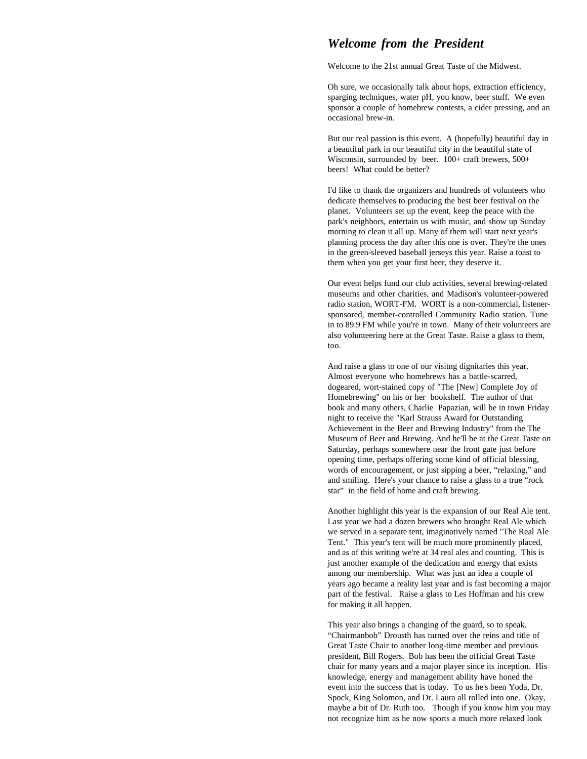## *Welcome from the President*

Welcome to the 21st annual Great Taste of the Midwest.

Oh sure, we occasionally talk about hops, extraction efficiency, sparging techniques, water pH, you know, beer stuff. We even sponsor a couple of homebrew contests, a cider pressing, and an occasional brew-in.

But our real passion is this event. A (hopefully) beautiful day in a beautiful park in our beautiful city in the beautiful state of Wisconsin, surrounded by beer.  $100+$  craft brewers,  $500+$ beers! What could be better?

I'd like to thank the organizers and hundreds of volunteers who dedicate themselves to producing the best beer festival on the planet. Volunteers set up the event, keep the peace with the park's neighbors, entertain us with music, and show up Sunday morning to clean it all up. Many of them will start next year's planning process the day after this one is over. They're the ones in the green-sleeved baseball jerseys this year. Raise a toast to them when you get your first beer, they deserve it.

Our event helps fund our club activities, several brewing-related museums and other charities, and Madison's volunteer-powered radio station, WORT-FM. WORT is a non-commercial, listenersponsored, member-controlled Community Radio station. Tune in to 89.9 FM while you're in town. Many of their volunteers are also volunteering here at the Great Taste. Raise a glass to them, too.

And raise a glass to one of our visitng dignitaries this year. Almost everyone who homebrews has a battle-scarred, dogeared, wort-stained copy of "The [New] Complete Joy of Homebrewing" on his or her bookshelf. The author of that book and many others, Charlie Papazian, will be in town Friday night to receive the "Karl Strauss Award for Outstanding Achievement in the Beer and Brewing Industry" from the The Museum of Beer and Brewing. And he'll be at the Great Taste on Saturday, perhaps somewhere near the front gate just before opening time, perhaps offering some kind of official blessing, words of encouragement, or just sipping a beer, "relaxing," and and smiling. Here's your chance to raise a glass to a true "rock star" in the field of home and craft brewing.

Another highlight this year is the expansion of our Real Ale tent. Last year we had a dozen brewers who brought Real Ale which we served in a separate tent, imaginatively named "The Real Ale Tent." This year's tent will be much more prominently placed, and as of this writing we're at 34 real ales and counting. This is just another example of the dedication and energy that exists among our membership. What was just an idea a couple of years ago became a reality last year and is fast becoming a major part of the festival. Raise a glass to Les Hoffman and his crew for making it all happen.

This year also brings a changing of the guard, so to speak. "Chairmanbob" Drousth has turned over the reins and title of Great Taste Chair to another long-time member and previous president, Bill Rogers. Bob has been the official Great Taste chair for many years and a major player since its inception. His knowledge, energy and management ability have honed the event into the success that is today. To us he's been Yoda, Dr. Spock, King Solomon, and Dr. Laura all rolled into one. Okay, maybe a bit of Dr. Ruth too. Though if you know him you may not recognize him as he now sports a much more relaxed look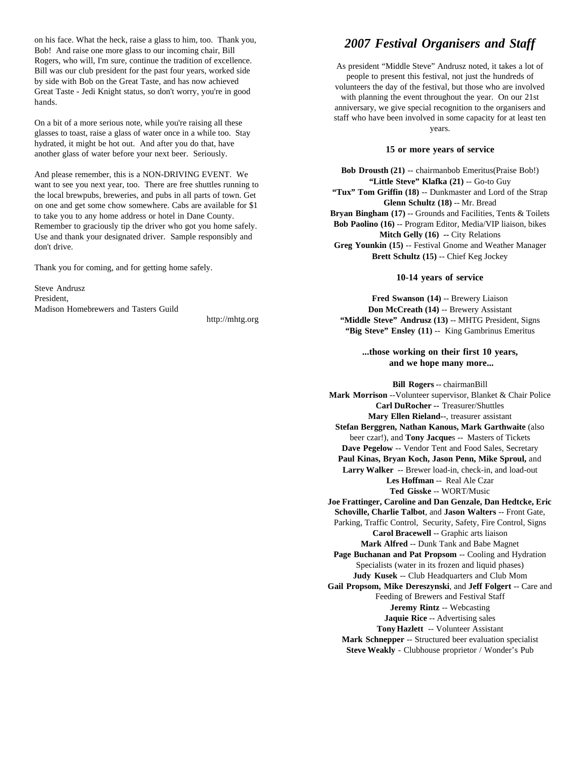on his face. What the heck, raise a glass to him, too. Thank you, Bob! And raise one more glass to our incoming chair, Bill Rogers, who will, I'm sure, continue the tradition of excellence. Bill was our club president for the past four years, worked side by side with Bob on the Great Taste, and has now achieved Great Taste - Jedi Knight status, so don't worry, you're in good hands.

On a bit of a more serious note, while you're raising all these glasses to toast, raise a glass of water once in a while too. Stay hydrated, it might be hot out. And after you do that, have another glass of water before your next beer. Seriously.

And please remember, this is a NON-DRIVING EVENT. We want to see you next year, too. There are free shuttles running to the local brewpubs, breweries, and pubs in all parts of town. Get on one and get some chow somewhere. Cabs are available for \$1 to take you to any home address or hotel in Dane County. Remember to graciously tip the driver who got you home safely. Use and thank your designated driver. Sample responsibly and don't drive.

Thank you for coming, and for getting home safely.

Steve Andrusz Madison Homebrewers and Tasters Guild

http://mhtg.org

### *2007 Festival Organisers and Staff*

As president "Middle Steve" Andrusz noted, it takes a lot of people to present this festival, not just the hundreds of volunteers the day of the festival, but those who are involved with planning the event throughout the year. On our 21st anniversary, we give special recognition to the organisers and staff who have been involved in some capacity for at least ten years.

#### **15 or more years of service**

**Bob Drousth (21)** -- chairmanbob Emeritus(Praise Bob!) **"Little Steve" Klafka (21)** -- Go-to Guy **"Tux" Tom Griffin (18)** -- Dunkmaster and Lord of the Strap **Glenn Schultz (18)** -- Mr. Bread **Bryan Bingham (17)** -- Grounds and Facilities, Tents & Toilets **Bob Paolino (16)** -- Program Editor, Media/VIP liaison, bikes **Mitch Gelly (16) -- City Relations Greg Younkin (15)** -- Festival Gnome and Weather Manager **Brett Schultz (15)** -- Chief Keg Jockey

#### **10-14 years of service**

President, **Fred Swanson (14)** -- Brewery Liaison **Don McCreath (14)** -- Brewery Assistant **"Middle Steve" Andrusz (13)** -- MHTG President, Signs **"Big Steve" Ensley (11)** -- King Gambrinus Emeritus

### **...those working on their first 10 years, and we hope many more...**

**Bill Rogers** -- chairmanBill **Mark Morrison** --Volunteer supervisor, Blanket & Chair Police **Carl DuRocher --** Treasurer/Shuttles **Mary Ellen Rieland--**, treasurer assistant **Stefan Berggren, Nathan Kanous, Mark Garthwaite** (also beer czar!), and **Tony Jacque**s -- Masters of Tickets **Dave Pegelow** -- Vendor Tent and Food Sales, Secretary **Paul Kinas, Bryan Koch, Jason Penn, Mike Sproul,** and **Larry Walker** -- Brewer load-in, check-in, and load-out **Les Hoffman** -- Real Ale Czar **Ted Gisske** -- WORT/Music **Joe Frattinger, Caroline and Dan Genzale, Dan Hedtcke, Eric Schoville, Charlie Talbot**, and **Jason Walters** -- Front Gate, Parking, Traffic Control, Security, Safety, Fire Control, Signs **Carol Bracewell** -- Graphic arts liaison **Mark Alfred** -- Dunk Tank and Babe Magnet **Page Buchanan and Pat Propsom** -- Cooling and Hydration Specialists (water in its frozen and liquid phases) **Judy Kusek** -- Club Headquarters and Club Mom **Gail Propsom, Mike Dereszynski**, and **Jeff Folgert** -- Care and Feeding of Brewers and Festival Staff **Jeremy Rintz** -- Webcasting **Jaquie Rice** -- Advertising sales **Tony Hazlett** -- Volunteer Assistant **Mark Schnepper** -- Structured beer evaluation specialist **Steve Weakly** - Clubhouse proprietor / Wonder's Pub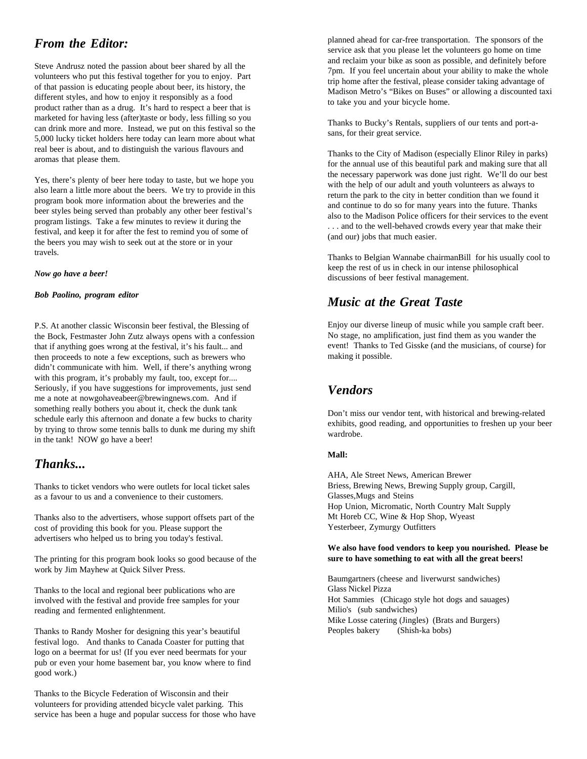# *From the Editor:*

Steve Andrusz noted the passion about beer shared by all the volunteers who put this festival together for you to enjoy. Part of that passion is educating people about beer, its history, the different styles, and how to enjoy it responsibly as a food product rather than as a drug. It's hard to respect a beer that is marketed for having less (after)taste or body, less filling so you can drink more and more. Instead, we put on this festival so the 5,000 lucky ticket holders here today can learn more about what real beer is about, and to distinguish the various flavours and aromas that please them.

Yes, there's plenty of beer here today to taste, but we hope you also learn a little more about the beers. We try to provide in this program book more information about the breweries and the beer styles being served than probably any other beer festival's program listings. Take a few minutes to review it during the festival, and keep it for after the fest to remind you of some of the beers you may wish to seek out at the store or in your travels.

#### *Now go have a beer!*

#### *Bob Paolino, program editor*

P.S. At another classic Wisconsin beer festival, the Blessing of the Bock, Festmaster John Zutz always opens with a confession that if anything goes wrong at the festival, it's his fault... and then proceeds to note a few exceptions, such as brewers who didn't communicate with him. Well, if there's anything wrong with this program, it's probably my fault, too, except for.... Seriously, if you have suggestions for improvements, just send me a note at nowgohaveabeer@brewingnews.com. And if something really bothers you about it, check the dunk tank schedule early this afternoon and donate a few bucks to charity by trying to throw some tennis balls to dunk me during my shift in the tank! NOW go have a beer!

# *Thanks...*

Thanks to ticket vendors who were outlets for local ticket sales as a favour to us and a convenience to their customers.

Thanks also to the advertisers, whose support offsets part of the cost of providing this book for you. Please support the advertisers who helped us to bring you today's festival.

The printing for this program book looks so good because of the work by Jim Mayhew at Quick Silver Press.

Thanks to the local and regional beer publications who are involved with the festival and provide free samples for your reading and fermented enlightenment.

Thanks to Randy Mosher for designing this year's beautiful festival logo. And thanks to Canada Coaster for putting that logo on a beermat for us! (If you ever need beermats for your pub or even your home basement bar, you know where to find good work.)

Thanks to the Bicycle Federation of Wisconsin and their volunteers for providing attended bicycle valet parking. This service has been a huge and popular success for those who have

planned ahead for car-free transportation. The sponsors of the service ask that you please let the volunteers go home on time and reclaim your bike as soon as possible, and definitely before 7pm. If you feel uncertain about your ability to make the whole trip home after the festival, please consider taking advantage of Madison Metro's "Bikes on Buses" or allowing a discounted taxi to take you and your bicycle home.

Thanks to Bucky's Rentals, suppliers of our tents and port-asans, for their great service.

Thanks to the City of Madison (especially Elinor Riley in parks) for the annual use of this beautiful park and making sure that all the necessary paperwork was done just right. We'll do our best with the help of our adult and youth volunteers as always to return the park to the city in better condition than we found it and continue to do so for many years into the future. Thanks also to the Madison Police officers for their services to the event . . . and to the well-behaved crowds every year that make their (and our) jobs that much easier.

Thanks to Belgian Wannabe chairmanBill for his usually cool to keep the rest of us in check in our intense philosophical discussions of beer festival management.

# *Music at the Great Taste*

Enjoy our diverse lineup of music while you sample craft beer. No stage, no amplification, just find them as you wander the event! Thanks to Ted Gisske (and the musicians, of course) for making it possible.

# *Vendors*

Don't miss our vendor tent, with historical and brewing-related exhibits, good reading, and opportunities to freshen up your beer wardrobe.

#### **Mall:**

AHA, Ale Street News, American Brewer Briess, Brewing News, Brewing Supply group, Cargill, Glasses,Mugs and Steins Hop Union, Micromatic, North Country Malt Supply Mt Horeb CC, Wine & Hop Shop, Wyeast Yesterbeer, Zymurgy Outfitters

#### **We also have food vendors to keep you nourished. Please be sure to have something to eat with all the great beers!**

Baumgartners (cheese and liverwurst sandwiches) Glass Nickel Pizza Hot Sammies (Chicago style hot dogs and sauages) Milio's (sub sandwiches) Mike Losse catering (Jingles) (Brats and Burgers) Peoples bakery (Shish-ka bobs)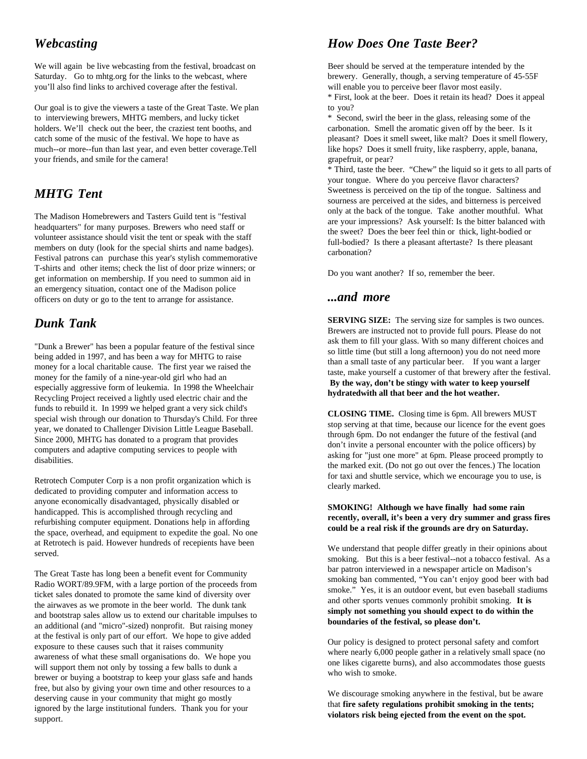We will again be live webcasting from the festival, broadcast on Beer should be served at the temperature intended by the Saturday. Go to mhtg.org for the links to the webcast, where brewery. Generally, though, a serving temperature of 45-55F you'll also find links to archived coverage after the festival. will enable you to perceive beer flavor most easily.

Our goal is to give the viewers a taste of the Great Taste. We plan to you? to interviewing brewers, MHTG members, and lucky ticket \* Second, swirl the beer in the glass, releasing some of the holders. We'll check out the beer, the craziest tent booths, and carbonation. Smell the aromatic given off by the beer. Is it catch some of the music of the festival. We hope to have as pleasant? Does it smell sweet, like malt? Does it smell flowery, much--or more--fun than last year, and even better coverage.Tell like hops? Does it smell fruity, like raspberry, apple, banana, your friends, and smile for the camera! grapefruit, or pear?

# *MHTG Tent*

The Madison Homebrewers and Tasters Guild tent is "festival headquarters" for many purposes. Brewers who need staff or volunteer assistance should visit the tent or speak with the staff members on duty (look for the special shirts and name badges). Festival patrons can purchase this year's stylish commemorative T-shirts and other items; check the list of door prize winners; or get information on membership. If you need to summon aid in an emergency situation, contact one of the Madison police officers on duty or go to the tent to arrange for assistance.

# *Dunk Tank*

"Dunk a Brewer" has been a popular feature of the festival since being added in 1997, and has been a way for MHTG to raise money for a local charitable cause. The first year we raised the money for the family of a nine-year-old girl who had an especially aggressive form of leukemia. In 1998 the Wheelchair Recycling Project received a lightly used electric chair and the funds to rebuild it. In 1999 we helped grant a very sick child's special wish through our donation to Thursday's Child. For three year, we donated to Challenger Division Little League Baseball. Since 2000, MHTG has donated to a program that provides computers and adaptive computing services to people with disabilities.

Retrotech Computer Corp is a non profit organization which is dedicated to providing computer and information access to anyone economically disadvantaged, physically disabled or handicapped. This is accomplished through recycling and refurbishing computer equipment. Donations help in affording the space, overhead, and equipment to expedite the goal. No one at Retrotech is paid. However hundreds of recepients have been served.

The Great Taste has long been a benefit event for Community Radio WORT/89.9FM, with a large portion of the proceeds from ticket sales donated to promote the same kind of diversity over the airwaves as we promote in the beer world. The dunk tank and bootstrap sales allow us to extend our charitable impulses to an additional (and "micro"-sized) nonprofit. But raising money at the festival is only part of our effort. We hope to give added exposure to these causes such that it raises community awareness of what these small organisations do. We hope you will support them not only by tossing a few balls to dunk a brewer or buying a bootstrap to keep your glass safe and hands free, but also by giving your own time and other resources to a deserving cause in your community that might go mostly ignored by the large institutional funders. Thank you for your support.

# *Webcasting How Does One Taste Beer?*

\* First, look at the beer. Does it retain its head? Does it appeal

\* Third, taste the beer. "Chew" the liquid so it gets to all parts of your tongue. Where do you perceive flavor characters? Sweetness is perceived on the tip of the tongue. Saltiness and sourness are perceived at the sides, and bitterness is perceived only at the back of the tongue. Take another mouthful. What are your impressions? Ask yourself: Is the bitter balanced with the sweet? Does the beer feel thin or thick, light-bodied or full-bodied? Is there a pleasant aftertaste? Is there pleasant carbonation?

Do you want another? If so, remember the beer.

## *...and more*

**SERVING SIZE:** The serving size for samples is two ounces. Brewers are instructed not to provide full pours. Please do not ask them to fill your glass. With so many different choices and so little time (but still a long afternoon) you do not need more than a small taste of any particular beer. If you want a larger taste, make yourself a customer of that brewery after the festival.  **By the way, don't be stingy with water to keep yourself hydratedwith all that beer and the hot weather.**

**CLOSING TIME.** Closing time is 6pm. All brewers MUST stop serving at that time, because our licence for the event goes through 6pm. Do not endanger the future of the festival (and don't invite a personal encounter with the police officers) by asking for "just one more" at 6pm. Please proceed promptly to the marked exit. (Do not go out over the fences.) The location for taxi and shuttle service, which we encourage you to use, is clearly marked.

#### **SMOKING! Although we have finally had some rain recently, overall, it's been a very dry summer and grass fires could be a real risk if the grounds are dry on Saturday.**

We understand that people differ greatly in their opinions about smoking. But this is a beer festival--not a tobacco festival. As a bar patron interviewed in a newspaper article on Madison's smoking ban commented, "You can't enjoy good beer with bad smoke." Yes, it is an outdoor event, but even baseball stadiums and other sports venues commonly prohibit smoking. **It is simply not something you should expect to do within the boundaries of the festival, so please don't.** 

Our policy is designed to protect personal safety and comfort where nearly 6,000 people gather in a relatively small space (no one likes cigarette burns), and also accommodates those guests who wish to smoke.

We discourage smoking anywhere in the festival, but be aware that **fire safety regulations prohibit smoking in the tents; violators risk being ejected from the event on the spot.**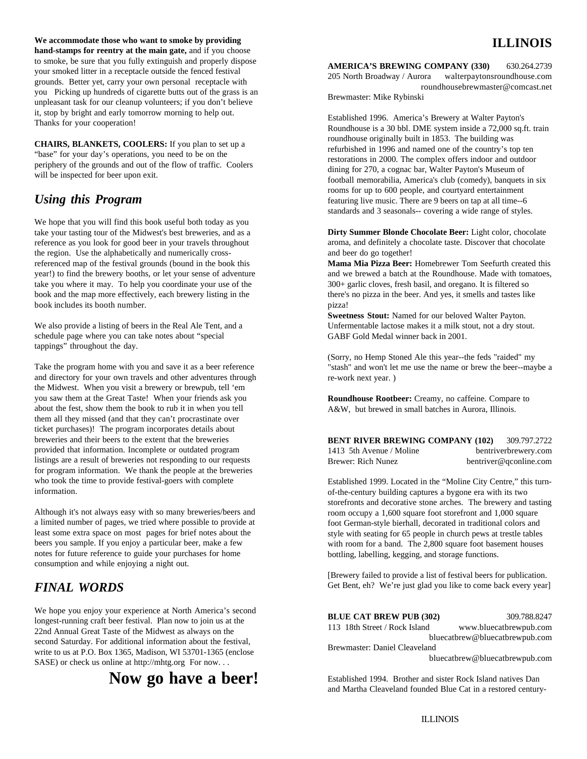**We accommodate those who want to smoke by providing hand-stamps for reentry at the main gate,** and if you choose to smoke, be sure that you fully extinguish and properly dispose your smoked litter in a receptacle outside the fenced festival grounds. Better yet, carry your own personal receptacle with you Picking up hundreds of cigarette butts out of the grass is an unpleasant task for our cleanup volunteers; if you don't believe it, stop by bright and early tomorrow morning to help out. Thanks for your cooperation!

**CHAIRS, BLANKETS, COOLERS:** If you plan to set up a "base" for your day's operations, you need to be on the periphery of the grounds and out of the flow of traffic. Coolers will be inspected for beer upon exit.

We hope that you will find this book useful both today as you take your tasting tour of the Midwest's best breweries, and as a reference as you look for good beer in your travels throughout the region. Use the alphabetically and numerically crossreferenced map of the festival grounds (bound in the book this **Mama Mia Pizza Beer:** Homebrewer Tom Seefurth created this take you where it may. To help you coordinate your use of the 300+ garlic cloves, fresh basil, and oregano. It is filtered so book and the map more effectively, each brewery listing in the there's no pizza in the beer. And yes, it smells and tastes like book includes its booth number. pizza!

We also provide a listing of beers in the Real Ale Tent, and a schedule page where you can take notes about "special tappings" throughout the day.

Take the program home with you and save it as a beer reference and directory for your own travels and other adventures through the Midwest. When you visit a brewery or brewpub, tell 'em you saw them at the Great Taste! When your friends ask you about the fest, show them the book to rub it in when you tell them all they missed (and that they can't procrastinate over ticket purchases)! The program incorporates details about breweries and their beers to the extent that the breweries provided that information. Incomplete or outdated program listings are a result of breweries not responding to our requests for program information. We thank the people at the breweries who took the time to provide festival-goers with complete information.

Although it's not always easy with so many breweries/beers and a limited number of pages, we tried where possible to provide at least some extra space on most pages for brief notes about the beers you sample. If you enjoy a particular beer, make a few notes for future reference to guide your purchases for home consumption and while enjoying a night out.

# *FINAL WORDS*

We hope you enjoy your experience at North America's second longest-running craft beer festival. Plan now to join us at the 22nd Annual Great Taste of the Midwest as always on the second Saturday. For additional information about the festival, write to us at P.O. Box 1365, Madison, WI 53701-1365 (enclose SASE) or check us online at http://mhtg.org For now. . .

# **Now go have a beer!**

# **ILLINOIS**

**AMERICA'S BREWING COMPANY (330)** 630.264.2739 205 North Broadway / Aurora walterpaytonsroundhouse.com roundhousebrewmaster@comcast.net Brewmaster: Mike Rybinski

*Using this Program* featuring live music. There are 9 beers on tap at all time--6 Established 1996. America's Brewery at Walter Payton's Roundhouse is a 30 bbl. DME system inside a 72,000 sq.ft. train roundhouse originally built in 1853. The building was refurbished in 1996 and named one of the country's top ten restorations in 2000. The complex offers indoor and outdoor dining for 270, a cognac bar, Walter Payton's Museum of football memorabilia, America's club (comedy), banquets in six rooms for up to 600 people, and courtyard entertainment standards and 3 seasonals-- covering a wide range of styles.

> **Dirty Summer Blonde Chocolate Beer:** Light color, chocolate aroma, and definitely a chocolate taste. Discover that chocolate and beer do go together!

year!) to find the brewery booths, or let your sense of adventure and we brewed a batch at the Roundhouse. Made with tomatoes,

**Sweetness Stout:** Named for our beloved Walter Payton. Unfermentable lactose makes it a milk stout, not a dry stout. GABF Gold Medal winner back in 2001.

(Sorry, no Hemp Stoned Ale this year--the feds "raided" my "stash" and won't let me use the name or brew the beer--maybe a re-work next year. )

**Roundhouse Rootbeer:** Creamy, no caffeine. Compare to A&W, but brewed in small batches in Aurora, Illinois.

**BENT RIVER BREWING COMPANY (102)** 309.797.2722 1413 5th Avenue / Moline bentriverbrewery.com Brewer: Rich Nunez bentriver@qconline.com

Established 1999. Located in the "Moline City Centre," this turnof-the-century building captures a bygone era with its two storefronts and decorative stone arches. The brewery and tasting room occupy a 1,600 square foot storefront and 1,000 square foot German-style bierhall, decorated in traditional colors and style with seating for 65 people in church pews at trestle tables with room for a band. The 2,800 square foot basement houses bottling, labelling, kegging, and storage functions.

[Brewery failed to provide a list of festival beers for publication. Get Bent, eh? We're just glad you like to come back every year]

| <b>BLUE CAT BREW PUB (302)</b><br>309.788.8247          |  |  |  |
|---------------------------------------------------------|--|--|--|
| 113 18th Street / Rock Island<br>www.bluecatbrewpub.com |  |  |  |
| bluecatbrew@bluecatbrewpub.com                          |  |  |  |
| Brewmaster: Daniel Cleaveland                           |  |  |  |
| bluecatbrew@bluecatbrewpub.com                          |  |  |  |
|                                                         |  |  |  |

Established 1994. Brother and sister Rock Island natives Dan and Martha Cleaveland founded Blue Cat in a restored century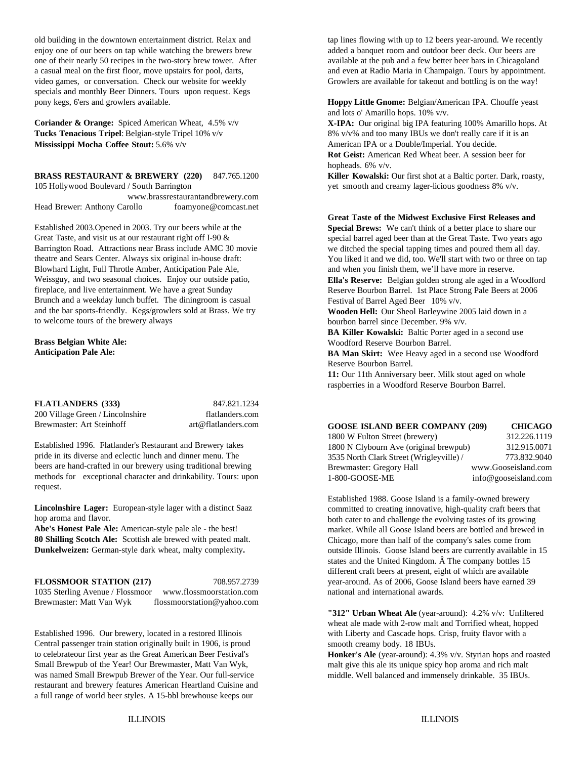old building in the downtown entertainment district. Relax and tap lines flowing with up to 12 beers year-around. We recently enjoy one of our beers on tap while watching the brewers brew added a banquet room and outdoor beer deck. Our beers are one of their nearly 50 recipes in the two-story brew tower. After available at the pub and a few better beer bars in Chicagoland a casual meal on the first floor, move upstairs for pool, darts, and even at Radio Maria in Champaign. Tours by appointment. video games, or conversation. Check our website for weekly Growlers are available for takeout and bottling is on the way! specials and monthly Beer Dinners. Tours upon request. Kegs pony kegs, 6'ers and growlers available.

**Coriander & Orange:** Spiced American Wheat, 4.5% v/v **Tucks Tenacious Tripel**: Belgian-style Tripel 10% v/v 8 8% v/v% and too many IBUs we don't really care if it is an **Mississippi Mocha Coffee Stout:** 5.6% v/v

**BRASS RESTAURANT & BREWERY (220)** 847.765.1200 **Killer Kowalski:** Our first shot at a Baltic porter. Dark, roasty, 105 Hollywood Boulevard / South Barrington yet smooth and creamy lager-licious goodness 8% v/v. www.brassrestaurantandbrewery.com

Head Brewer: Anthony Carollo foamyone@comcast.net Established 2003.Opened in 2003. Try our beers while at the

Great Taste, and visit us at our restaurant right off I-90 & Barrington Road. Attractions near Brass include AMC 30 movie theatre and Sears Center. Always six original in-house draft: Blowhard Light, Full Throtle Amber, Anticipation Pale Ale, Weissguy, and two seasonal choices. Enjoy our outside patio, fireplace, and live entertainment. We have a great Sunday Brunch and a weekday lunch buffet. The diningroom is casual and the bar sports-friendly. Kegs/growlers sold at Brass. We try to welcome tours of the brewery always

#### **Brass Belgian White Ale: Anticipation Pale Ale:**

**FLATLANDERS (333)** 847.821.1234 200 Village Green / Lincolnshire flatlanders.com Brewmaster: Art Steinhoff art@flatlanders.com

Established 1996. Flatlander's Restaurant and Brewery takes pride in its diverse and eclectic lunch and dinner menu. The beers are hand-crafted in our brewery using traditional brewing methods for exceptional character and drinkability. Tours: upon request.

**Lincolnshire Lager:** European-style lager with a distinct Saaz hop aroma and flavor.

**Abe's Honest Pale Ale:** American-style pale ale - the best! **80 Shilling Scotch Ale:** Scottish ale brewed with peated malt. **Dunkelweizen:** German-style dark wheat, malty complexity**.**

1035 Sterling Avenue / Flossmoor www.flossmoorstation.com national and international awards. Brewmaster: Matt Van Wyk flossmoorstation@yahoo.com

Established 1996. Our brewery, located in a restored Illinois Central passenger train station originally built in 1906, is proud to celebrateour first year as the Great American Beer Festival's Small Brewpub of the Year! Our Brewmaster, Matt Van Wyk, was named Small Brewpub Brewer of the Year. Our full-service restaurant and brewery features American Heartland Cuisine and a full range of world beer styles. A 15-bbl brewhouse keeps our

**Hoppy Little Gnome:** Belgian/American IPA. Chouffe yeast and lots o' Amarillo hops. 10% v/v.

**X-IPA:** Our original big IPA featuring 100% Amarillo hops. At American IPA or a Double/Imperial. You decide. **Rot Geist:** American Red Wheat beer. A session beer for

hopheads. 6% v/v.

**Great Taste of the Midwest Exclusive First Releases and**

**Special Brews:** We can't think of a better place to share our special barrel aged beer than at the Great Taste. Two years ago we ditched the special tapping times and poured them all day. You liked it and we did, too. We'll start with two or three on tap and when you finish them, we'll have more in reserve.

**Ella's Reserve:** Belgian golden strong ale aged in a Woodford Reserve Bourbon Barrel. 1st Place Strong Pale Beers at 2006 Festival of Barrel Aged Beer 10% v/v.

**Wooden Hell:** Our Sheol Barleywine 2005 laid down in a bourbon barrel since December. 9% v/v.

**BA Killer Kowalski:** Baltic Porter aged in a second use Woodford Reserve Bourbon Barrel.

**BA Man Skirt:** Wee Heavy aged in a second use Woodford Reserve Bourbon Barrel.

**11:** Our 11th Anniversary beer. Milk stout aged on whole raspberries in a Woodford Reserve Bourbon Barrel.

| <b>GOOSE ISLAND BEER COMPANY (209)</b>   | <b>CHICAGO</b>       |
|------------------------------------------|----------------------|
| 1800 W Fulton Street (brewery)           | 312.226.1119         |
| 1800 N Clybourn Ave (original brewpub)   | 312.915.0071         |
| 3535 North Clark Street (Wrigleyville) / | 773.832.9040         |
| Brewmaster: Gregory Hall                 | www.Gooseisland.com  |
| 1-800-GOOSE-ME                           | info@gooseisland.com |

**FLOSSMOOR STATION (217)** 708.957.2739 year-around. As of 2006, Goose Island beers have earned 39 Established 1988. Goose Island is a family-owned brewery committed to creating innovative, high-quality craft beers that both cater to and challenge the evolving tastes of its growing market. While all Goose Island beers are bottled and brewed in Chicago, more than half of the company's sales come from outside Illinois. Goose Island beers are currently available in 15 states and the United Kingdom. Â The company bottles 15 different craft beers at present, eight of which are available

> **"312" Urban Wheat Ale** (year-around): 4.2% v/v: Unfiltered wheat ale made with 2-row malt and Torrified wheat, hopped with Liberty and Cascade hops. Crisp, fruity flavor with a smooth creamy body. 18 IBUs.

**Honker's Ale** (year-around): 4.3% v/v. Styrian hops and roasted malt give this ale its unique spicy hop aroma and rich malt middle. Well balanced and immensely drinkable. 35 IBUs.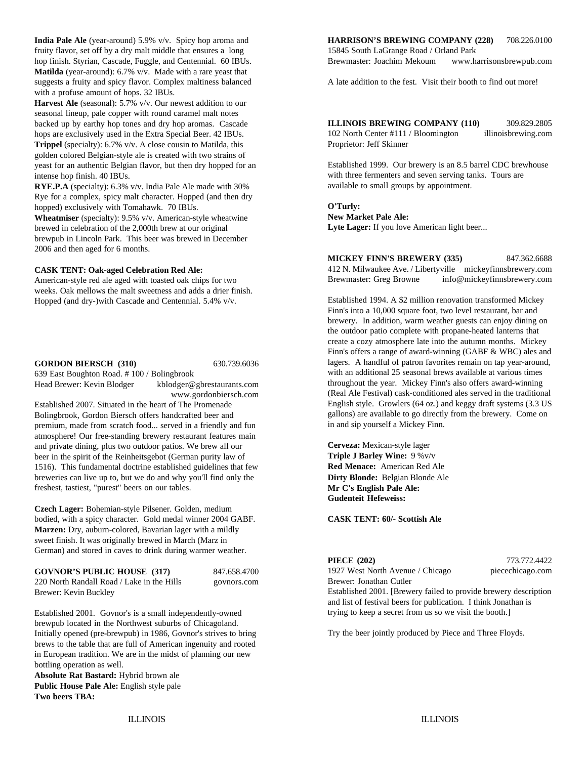fruity flavor, set off by a dry malt middle that ensures a long 15845 South LaGrange Road / Orland Park **Matilda** (year-around): 6.7% v/v. Made with a rare yeast that suggests a fruity and spicy flavor. Complex maltiness balanced with a profuse amount of hops. 32 IBUs.

**Harvest Ale** (seasonal): 5.7% v/v. Our newest addition to our seasonal lineup, pale copper with round caramel malt notes backed up by earthy hop tones and dry hop aromas. Cascade hops are exclusively used in the Extra Special Beer. 42 IBUs. **Trippel** (specialty): 6.7% v/v. A close cousin to Matilda, this golden colored Belgian-style ale is created with two strains of yeast for an authentic Belgian flavor, but then dry hopped for an intense hop finish. 40 IBUs.

**RYE.P.A** (specialty): 6.3% v/v. India Pale Ale made with 30% Rye for a complex, spicy malt character. Hopped (and then dry hopped) exclusively with Tomahawk. 70 IBUs.

**Wheatmiser** (specialty): 9.5% v/v. American-style wheatwine brewed in celebration of the 2,000th brew at our original brewpub in Lincoln Park. This beer was brewed in December 2006 and then aged for 6 months.

#### **CASK TENT: Oak-aged Celebration Red Ale:**

American-style red ale aged with toasted oak chips for two weeks. Oak mellows the malt sweetness and adds a drier finish. Hopped (and dry-)with Cascade and Centennial. 5.4% v/v.

#### **GORDON BIERSCH (310)** 630.739.6036

639 East Boughton Road. # 100 / Bolingbrook Head Brewer: Kevin Blodger kblodger@gbrestaurants.com

www.gordonbiersch.com

Established 2007. Situated in the heart of The Promenade Bolingbrook, Gordon Biersch offers handcrafted beer and premium, made from scratch food... served in a friendly and fun atmosphere! Our free-standing brewery restaurant features main and private dining, plus two outdoor patios. We brew all our beer in the spirit of the Reinheitsgebot (German purity law of 1516). This fundamental doctrine established guidelines that few breweries can live up to, but we do and why you'll find only the **Dirty Blonde:** Belgian Blonde Ale freshest, tastiest, "purest" beers on our tables.

**Czech Lager:** Bohemian-style Pilsener. Golden, medium bodied, with a spicy character. Gold medal winner 2004 GABF. **CASK TENT: 60/- Scottish Ale Marzen:** Dry, auburn-colored, Bavarian lager with a mildly sweet finish. It was originally brewed in March (Marz in German) and stored in caves to drink during warmer weather.

| <b>GOVNOR'S PUBLIC HOUSE (317)</b>         | 847.658.4700       |
|--------------------------------------------|--------------------|
| 220 North Dandall Dood / Loka in the Uille | 0.0112200322000322 |

220 North Randall Road / Lake in the Hills govnors.com Brewer: Kevin Buckley

Established 2001. Govnor's is a small independently-owned brewpub located in the Northwest suburbs of Chicagoland. Initially opened (pre-brewpub) in 1986, Govnor's strives to bring brews to the table that are full of American ingenuity and rooted in European tradition. We are in the midst of planning our new bottling operation as well.

**Absolute Rat Bastard:** Hybrid brown ale **Public House Pale Ale:** English style pale **Two beers TBA:**

#### **India Pale Ale** (year-around) 5.9% v/v. Spicy hop aroma and **HARRISON'S BREWING COMPANY (228)** 708.226.0100

hop finish. Styrian, Cascade, Fuggle, and Centennial. 60 IBUs. Brewmaster: Joachim Mekoum www.harrisonsbrewpub.com

A late addition to the fest. Visit their booth to find out more!

**ILLINOIS BREWING COMPANY (110)** 309.829.2805 102 North Center #111 / Bloomington illinoisbrewing.com Proprietor: Jeff Skinner

Established 1999. Our brewery is an 8.5 barrel CDC brewhouse with three fermenters and seven serving tanks. Tours are available to small groups by appointment.

### **O'Turly:**

**New Market Pale Ale:** Lyte Lager: If you love American light beer...

#### **MICKEY FINN'S BREWERY (335)** 847.362.6688

412 N. Milwaukee Ave. / Libertyville mickeyfinnsbrewery.com Brewmaster: Greg Browne info@mickeyfinnsbrewery.com

Established 1994. A \$2 million renovation transformed Mickey Finn's into a 10,000 square foot, two level restaurant, bar and brewery. In addition, warm weather guests can enjoy dining on the outdoor patio complete with propane-heated lanterns that create a cozy atmosphere late into the autumn months. Mickey Finn's offers a range of award-winning (GABF & WBC) ales and lagers. A handful of patron favorites remain on tap year-around, with an additional 25 seasonal brews available at various times throughout the year. Mickey Finn's also offers award-winning (Real Ale Festival) cask-conditioned ales served in the traditional English style. Growlers (64 oz.) and keggy draft systems (3.3 US gallons) are available to go directly from the brewery. Come on in and sip yourself a Mickey Finn.

**Cerveza:** Mexican-style lager **Triple J Barley Wine:** 9 %v/v **Red Menace:** American Red Ale **Mr C's English Pale Ale: Gudenteit Hefeweiss:**

**PIECE (202)** 773.772.4422 1927 West North Avenue / Chicago piecechicago.com Brewer: Jonathan Cutler

Established 2001. [Brewery failed to provide brewery description and list of festival beers for publication. I think Jonathan is trying to keep a secret from us so we visit the booth.]

Try the beer jointly produced by Piece and Three Floyds.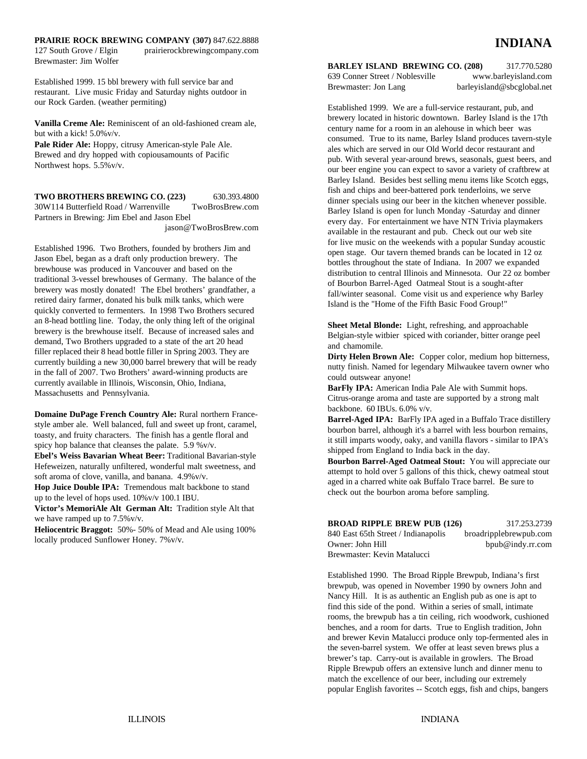### **PRAIRIE ROCK BREWING COMPANY (307)** 847.622.8888

127 South Grove / Elgin prairierockbrewingcompany.com Brewmaster: Jim Wolfer

Established 1999. 15 bbl brewery with full service bar and restaurant. Live music Friday and Saturday nights outdoor in our Rock Garden. (weather permiting)

**Vanilla Creme Ale:** Reminiscent of an old-fashioned cream ale, but with a kick! 5.0%v/v.

**Pale Rider Ale:** Hoppy, citrusy American-style Pale Ale. Brewed and dry hopped with copiousamounts of Pacific Northwest hops. 5.5%v/v.

**TWO BROTHERS BREWING CO. (223)** 630.393.4800 30W114 Butterfield Road / Warrenville TwoBrosBrew.com Partners in Brewing: Jim Ebel and Jason Ebel jason@TwoBrosBrew.com

Established 1996. Two Brothers, founded by brothers Jim and Jason Ebel, began as a draft only production brewery. The brewhouse was produced in Vancouver and based on the traditional 3-vessel brewhouses of Germany. The balance of the brewery was mostly donated! The Ebel brothers' grandfather, a retired dairy farmer, donated his bulk milk tanks, which were quickly converted to fermenters. In 1998 Two Brothers secured an 8-head bottling line. Today, the only thing left of the original brewery is the brewhouse itself. Because of increased sales and demand, Two Brothers upgraded to a state of the art 20 head filler replaced their 8 head bottle filler in Spring 2003. They are currently building a new 30,000 barrel brewery that will be ready in the fall of 2007. Two Brothers' award-winning products are currently available in Illinois, Wisconsin, Ohio, Indiana, Massachusetts and Pennsylvania.

**Domaine DuPage French Country Ale:** Rural northern Francestyle amber ale. Well balanced, full and sweet up front, caramel, toasty, and fruity characters. The finish has a gentle floral and spicy hop balance that cleanses the palate. 5.9 %v/v.

**Ebel's Weiss Bavarian Wheat Beer:** Traditional Bavarian-style Hefeweizen, naturally unfiltered, wonderful malt sweetness, and soft aroma of clove, vanilla, and banana. 4.9%v/v.

**Hop Juice Double IPA:** Tremendous malt backbone to stand up to the level of hops used. 10%v/v 100.1 IBU.

**Victor's MemoriAle Alt German Alt:** Tradition style Alt that we have ramped up to 7.5%v/v.

**Heliocentric Braggot:** 50%- 50% of Mead and Ale using 100% locally produced Sunflower Honey. 7%v/v.

## **BARLEY ISLAND BREWING CO. (208)** 317.770.5280

639 Conner Street / Noblesville www.barleyisland.com Brewmaster: Jon Lang barleyisland@sbcglobal.net

Established 1999. We are a full-service restaurant, pub, and brewery located in historic downtown. Barley Island is the 17th century name for a room in an alehouse in which beer was consumed. True to its name, Barley Island produces tavern-style ales which are served in our Old World decor restaurant and pub. With several year-around brews, seasonals, guest beers, and our beer engine you can expect to savor a variety of craftbrew at Barley Island. Besides best selling menu items like Scotch eggs, fish and chips and beer-battered pork tenderloins, we serve dinner specials using our beer in the kitchen whenever possible. Barley Island is open for lunch Monday -Saturday and dinner every day. For entertainment we have NTN Trivia playmakers available in the restaurant and pub. Check out our web site for live music on the weekends with a popular Sunday acoustic open stage. Our tavern themed brands can be located in 12 oz bottles throughout the state of Indiana. In 2007 we expanded distribution to central Illinois and Minnesota. Our 22 oz bomber of Bourbon Barrel-Aged Oatmeal Stout is a sought-after fall/winter seasonal. Come visit us and experience why Barley Island is the "Home of the Fifth Basic Food Group!"

**Sheet Metal Blonde:** Light, refreshing, and approachable Belgian-style witbier spiced with coriander, bitter orange peel and chamomile.

**Dirty Helen Brown Ale:** Copper color, medium hop bitterness, nutty finish. Named for legendary Milwaukee tavern owner who could outswear anyone!

BarFly IPA: American India Pale Ale with Summit hops. Citrus-orange aroma and taste are supported by a strong malt backbone. 60 IBUs. 6.0% v/v.

**Barrel-Aged IPA:** BarFly IPA aged in a Buffalo Trace distillery bourbon barrel, although it's a barrel with less bourbon remains, it still imparts woody, oaky, and vanilla flavors - similar to IPA's shipped from England to India back in the day.

**Bourbon Barrel-Aged Oatmeal Stout:** You will appreciate our attempt to hold over 5 gallons of this thick, chewy oatmeal stout aged in a charred white oak Buffalo Trace barrel. Be sure to check out the bourbon aroma before sampling.

| <b>BROAD RIPPLE BREW PUB (126)</b>  | 317.253.2739           |
|-------------------------------------|------------------------|
| 840 East 65th Street / Indianapolis | broadripplebrewpub.com |
| Owner: John Hill                    | bpub@indy.rr.com       |
| Brewmaster: Kevin Matalucci         |                        |

Established 1990. The Broad Ripple Brewpub, Indiana's first brewpub, was opened in November 1990 by owners John and Nancy Hill. It is as authentic an English pub as one is apt to find this side of the pond. Within a series of small, intimate rooms, the brewpub has a tin ceiling, rich woodwork, cushioned benches, and a room for darts. True to English tradition, John and brewer Kevin Matalucci produce only top-fermented ales in the seven-barrel system. We offer at least seven brews plus a brewer's tap. Carry-out is available in growlers. The Broad Ripple Brewpub offers an extensive lunch and dinner menu to match the excellence of our beer, including our extremely popular English favorites -- Scotch eggs, fish and chips, bangers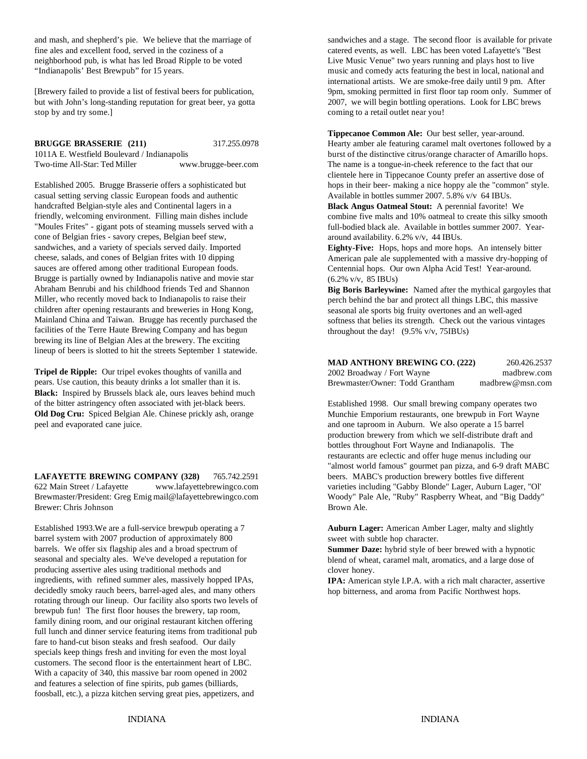fine ales and excellent food, served in the coziness of a catered events, as well. LBC has been voted Lafayette's "Best neighborhood pub, is what has led Broad Ripple to be voted Live Music Venue" two years running and plays host to live "Indianapolis' Best Brewpub" for 15 years. music and comedy acts featuring the best in local, national and

but with John's long-standing reputation for great beer, ya gotta 2007, we will begin bottling operations. Look for LBC brews stop by and try some.] coming to a retail outlet near you!

casual setting serving classic European foods and authentic Available in bottles summer 2007. 5.8% v/v 64 IBUs. handcrafted Belgian-style ales and Continental lagers in a friendly, welcoming environment. Filling main dishes include "Moules Frites" - gigant pots of steaming mussels served with a cone of Belgian fries - savory crepes, Belgian beef stew, sandwiches, and a variety of specials served daily. Imported cheese, salads, and cones of Belgian frites with 10 dipping sauces are offered among other traditional European foods. Brugge is partially owned by Indianapolis native and movie star Abraham Benrubi and his childhood friends Ted and Shannon Miller, who recently moved back to Indianapolis to raise their children after opening restaurants and breweries in Hong Kong, Mainland China and Taiwan. Brugge has recently purchased the facilities of the Terre Haute Brewing Company and has begun brewing its line of Belgian Ales at the brewery. The exciting

**Tripel de Ripple:** Our tripel evokes thoughts of vanilla and pears. Use caution, this beauty drinks a lot smaller than it is. **Black:** Inspired by Brussels black ale, ours leaves behind much of the bitter astringency often associated with jet-black beers. **Old Dog Cru:** Spiced Belgian Ale. Chinese prickly ash, orange peel and evaporated cane juice.

lineup of beers is slotted to hit the streets September 1 statewide.

**LAFAYETTE BREWING COMPANY (328)** 765.742.2591 beers. MABC's production brewery bottles five different 622 Main Street / Lafayette www.lafayettebrewingco.com varieties including "Gabby Blonde" Lager, Auburn Lager, "Ol' Brewmaster/President: Greg Emig mail@lafayettebrewingco.com Woody" Pale Ale, "Ruby" Raspberry Wheat, and "Big Daddy" Brewer: Chris Johnson Brown Ale.

Established 1993.We are a full-service brewpub operating a 7 barrel system with 2007 production of approximately 800 barrels. We offer six flagship ales and a broad spectrum of seasonal and specialty ales. We've developed a reputation for producing assertive ales using traditional methods and ingredients, with refined summer ales, massively hopped IPAs, decidedly smoky rauch beers, barrel-aged ales, and many others rotating through our lineup. Our facility also sports two levels of brewpub fun! The first floor houses the brewery, tap room, family dining room, and our original restaurant kitchen offering full lunch and dinner service featuring items from traditional pub fare to hand-cut bison steaks and fresh seafood. Our daily specials keep things fresh and inviting for even the most loyal customers. The second floor is the entertainment heart of LBC. With a capacity of 340, this massive bar room opened in 2002 and features a selection of fine spirits, pub games (billiards, foosball, etc.), a pizza kitchen serving great pies, appetizers, and

and mash, and shepherd's pie. We believe that the marriage of sandwiches and a stage. The second floor is available for private [Brewery failed to provide a list of festival beers for publication, 9pm, smoking permitted in first floor tap room only. Summer of international artists. We are smoke-free daily until 9 pm. After

**BRUGGE BRASSERIE** (211) 317.255.0978 Hearty amber ale featuring caramel malt overtones followed by a 1011A E. Westfield Boulevard / Indianapolis burst of the distinctive citrus/orange character of Amarillo hops. Two-time All-Star: Ted Miller www.brugge-beer.com The name is a tongue-in-cheek reference to the fact that our Established 2005. Brugge Brasserie offers a sophisticated but hops in their beer- making a nice hoppy ale the "common" style. **Tippecanoe Common Ale:** Our best seller, year-around. clientele here in Tippecanoe County prefer an assertive dose of

**Black Angus Oatmeal Stout:** A perennial favorite! We combine five malts and 10% oatmeal to create this silky smooth full-bodied black ale. Available in bottles summer 2007. Yeararound availability. 6.2% v/v, 44 IBUs.

**Eighty-Five:** Hops, hops and more hops. An intensely bitter American pale ale supplemented with a massive dry-hopping of Centennial hops. Our own Alpha Acid Test! Year-around. (6.2% v/v, 85 IBUs)

**Big Boris Barleywine:** Named after the mythical gargoyles that perch behind the bar and protect all things LBC, this massive seasonal ale sports big fruity overtones and an well-aged softness that belies its strength. Check out the various vintages throughout the day! (9.5% v/v, 75IBUs)

| <b>MAD ANTHONY BREWING CO. (222)</b> | 260.426.2537    |
|--------------------------------------|-----------------|
| 2002 Broadway / Fort Wayne           | madbrew.com     |
| Brewmaster/Owner: Todd Grantham      | madbrew@msn.com |

Established 1998. Our small brewing company operates two Munchie Emporium restaurants, one brewpub in Fort Wayne and one taproom in Auburn. We also operate a 15 barrel production brewery from which we self-distribute draft and bottles throughout Fort Wayne and Indianapolis. The restaurants are eclectic and offer huge menus including our "almost world famous" gourmet pan pizza, and 6-9 draft MABC

**Auburn Lager:** American Amber Lager, malty and slightly sweet with subtle hop character.

**Summer Daze:** hybrid style of beer brewed with a hypnotic blend of wheat, caramel malt, aromatics, and a large dose of clover honey.

**IPA:** American style I.P.A. with a rich malt character, assertive hop bitterness, and aroma from Pacific Northwest hops.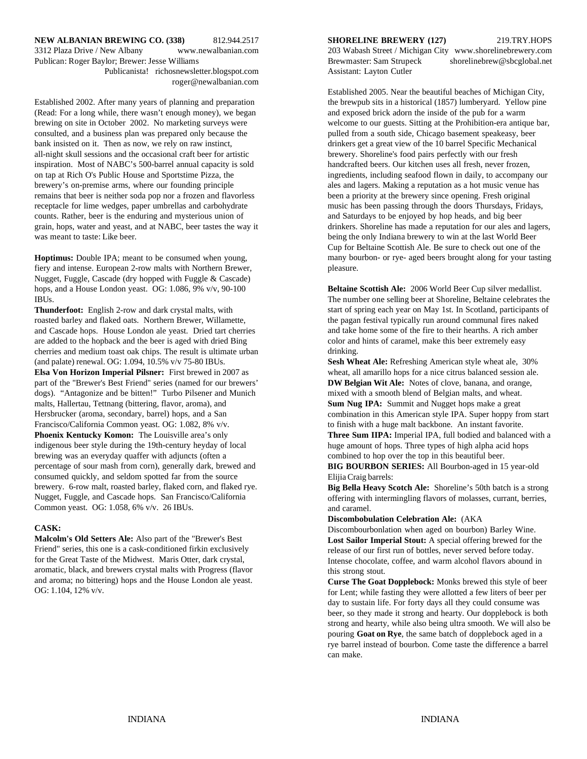#### **NEW ALBANIAN BREWING CO. (338)** 812.944.2517 **SHORELINE BREWERY (127)** 219.TRY.HOPS 3312 Plaza Drive / New Albany www.newalbanian.com 203 Wabash Street / Michigan City www.shorelinebrewery.com

Publicanista! richosnewsletter.blogspot.com Assistant: Layton Cutler roger@newalbanian.com

(Read: For a long while, there wasn't enough money), we began and exposed brick adorn the inside of the pub for a warm brewing on site in October 2002. No marketing surveys were welcome to our guests. Sitting at the Prohibition-era antique bar, consulted, and a business plan was prepared only because the pulled from a south side, Chicago basement speakeasy, beer bank insisted on it. Then as now, we rely on raw instinct, denote the match of the 10 barrel Specific Mechanical all-night skull sessions and the occasional craft beer for artistic brewery. Shoreline's food pairs perfectly with our fresh inspiration. Most of NABC's 500-barrel annual capacity is sold handcrafted beers. Our kitchen uses all fresh, never frozen, on tap at Rich O's Public House and Sportstime Pizza, the ingredients, including seafood flown in daily, to accompany our brewery's on-premise arms, where our founding principle ales and lagers. Making a reputation as a hot music venue has remains that beer is neither soda pop nor a frozen and flavorless been a priority at the brewery since opening. Fresh original receptacle for lime wedges, paper umbrellas and carbohydrate music has been passing through the doors Thursdays, Fridays, counts. Rather, beer is the enduring and mysterious union of and Saturdays to be enjoyed by hop heads, and big beer grain, hops, water and yeast, and at NABC, beer tastes the way it drinkers. Shoreline has made a reputation for our ales and lagers, was meant to taste: Like beer. being the only Indiana brewery to win at the last World Beer

**Hoptimus:** Double IPA; meant to be consumed when young, fiery and intense. European 2-row malts with Northern Brewer, Nugget, Fuggle, Cascade (dry hopped with Fuggle & Cascade) hops, and a House London yeast. OG: 1.086, 9% v/v, 90-100 **Beltaine Scottish Ale:** 2006 World Beer Cup silver medallist.

**Thunderfoot:** English 2-row and dark crystal malts, with roasted barley and flaked oats. Northern Brewer, Willamette, and Cascade hops. House London ale yeast. Dried tart cherries are added to the hopback and the beer is aged with dried Bing cherries and medium toast oak chips. The result is ultimate urban (and palate) renewal. OG: 1.094, 10.5% v/v 75-80 IBUs. **Sesh Wheat Ale:** Refreshing American style wheat ale, 30% **Elsa Von Horizon Imperial Pilsner:** First brewed in 2007 as part of the "Brewer's Best Friend" series (named for our brewers' **DW Belgian Wit Ale:** Notes of clove, banana, and orange, dogs). "Antagonize and be bitten!" Turbo Pilsener and Munich mixed with a smooth blend of Belgian malts, and wheat. malts, Hallertau, Tettnang (bittering, flavor, aroma), and

Hersbrucker (aroma, secondary, barrel) hops, and a San Francisco/California Common yeast. OG: 1.082, 8% v/v. **Phoenix Kentucky Komon:** The Louisville area's only indigenous beer style during the 19th-century heyday of local brewing was an everyday quaffer with adjuncts (often a percentage of sour mash from corn), generally dark, brewed and consumed quickly, and seldom spotted far from the source brewery. 6-row malt, roasted barley, flaked corn, and flaked rye. Nugget, Fuggle, and Cascade hops. San Francisco/California Common yeast. OG: 1.058, 6% v/v. 26 IBUs.

#### **CASK:**

**Malcolm's Old Setters Ale:** Also part of the "Brewer's Best Friend" series, this one is a cask-conditioned firkin exclusively for the Great Taste of the Midwest. Maris Otter, dark crystal, aromatic, black, and brewers crystal malts with Progress (flavor and aroma; no bittering) hops and the House London ale yeast. OG: 1.104, 12% v/v.

Publican: Roger Baylor; Brewer: Jesse Williams Brewmaster: Sam Strupeck shorelinebrew@sbcglobal.net

Established 2002. After many years of planning and preparation the brewpub sits in a historical (1857) lumberyard. Yellow pine Established 2005. Near the beautiful beaches of Michigan City, Cup for Beltaine Scottish Ale. Be sure to check out one of the many bourbon- or rye- aged beers brought along for your tasting pleasure.

IBUs. The number one selling beer at Shoreline, Beltaine celebrates the start of spring each year on May 1st. In Scotland, participants of the pagan festival typically run around communal fires naked and take home some of the fire to their hearths. A rich amber color and hints of caramel, make this beer extremely easy drinking.

> wheat, all amarillo hops for a nice citrus balanced session ale. **Sum Nug IPA:** Summit and Nugget hops make a great combination in this American style IPA. Super hoppy from start to finish with a huge malt backbone. An instant favorite. **Three Sum IIPA:** Imperial IPA, full bodied and balanced with a huge amount of hops. Three types of high alpha acid hops combined to hop over the top in this beautiful beer.

**BIG BOURBON SERIES:** All Bourbon-aged in 15 year-old Elijia Craig barrels:

**Big Bella Heavy Scotch Ale:** Shoreline's 50th batch is a strong offering with intermingling flavors of molasses, currant, berries, and caramel.

#### **Discombobulation Celebration Ale:** (AKA

Discombourbonlation when aged on bourbon) Barley Wine. **Lost Sailor Imperial Stout:** A special offering brewed for the release of our first run of bottles, never served before today. Intense chocolate, coffee, and warm alcohol flavors abound in this strong stout.

**Curse The Goat Dopplebock:** Monks brewed this style of beer for Lent; while fasting they were allotted a few liters of beer per day to sustain life. For forty days all they could consume was beer, so they made it strong and hearty. Our dopplebock is both strong and hearty, while also being ultra smooth. We will also be pouring **Goat on Rye**, the same batch of dopplebock aged in a rye barrel instead of bourbon. Come taste the difference a barrel can make.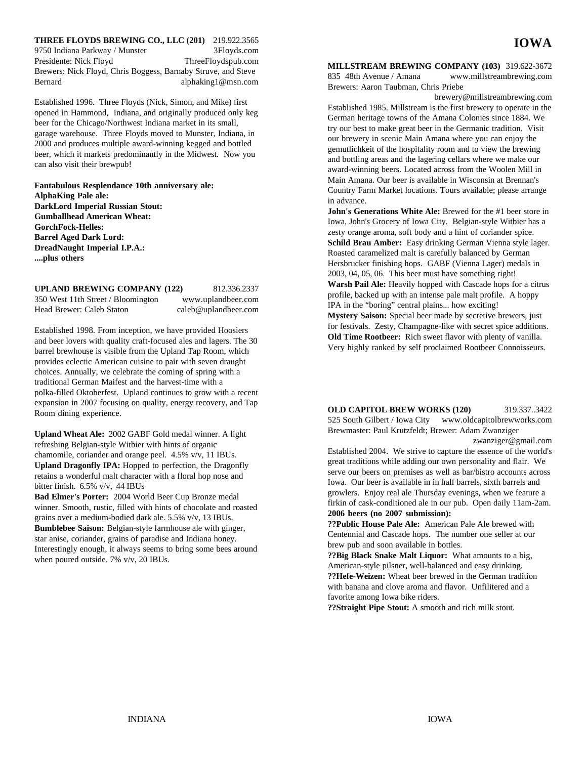**THREE FLOYDS BREWING CO., LLC (201)** 219.922.3565 9750 Indiana Parkway / Munster 3Floyds.com Presidente: Nick Floyd ThreeFloydspub.com Brewers: Nick Floyd, Chris Boggess, Barnaby Struve, and Steve Bernard alphaking1@msn.com

Established 1996. Three Floyds (Nick, Simon, and Mike) first opened in Hammond, Indiana, and originally produced only keg beer for the Chicago/Northwest Indiana market in its small, garage warehouse. Three Floyds moved to Munster, Indiana, in 2000 and produces multiple award-winning kegged and bottled beer, which it markets predominantly in the Midwest. Now you can also visit their brewpub!

**Fantabulous Resplendance 10th anniversary ale: AlphaKing Pale ale: DarkLord Imperial Russian Stout: Gumballhead American Wheat: GorchFock-Helles: Barrel Aged Dark Lord: DreadNaught Imperial I.P.A.: ....plus others**

### **UPLAND BREWING COMPANY (122)** 812.336.2337 350 West 11th Street / Bloomington www.uplandbeer.com Head Brewer: Caleb Staton caleb@uplandbeer.com

Established 1998. From inception, we have provided Hoosiers and beer lovers with quality craft-focused ales and lagers. The 30 barrel brewhouse is visible from the Upland Tap Room, which provides eclectic American cuisine to pair with seven draught choices. Annually, we celebrate the coming of spring with a traditional German Maifest and the harvest-time with a polka-filled Oktoberfest. Upland continues to grow with a recent expansion in 2007 focusing on quality, energy recovery, and Tap Room dining experience.

**Upland Wheat Ale:** 2002 GABF Gold medal winner. A light refreshing Belgian-style Witbier with hints of organic chamomile, coriander and orange peel. 4.5% v/v, 11 IBUs. **Upland Dragonfly IPA:** Hopped to perfection, the Dragonfly retains a wonderful malt character with a floral hop nose and bitter finish. 6.5% v/v, 44 IBUs

**Bad Elmer's Porter:** 2004 World Beer Cup Bronze medal winner. Smooth, rustic, filled with hints of chocolate and roasted grains over a medium-bodied dark ale. 5.5% v/v, 13 IBUs. **Bumblebee Saison:** Belgian-style farmhouse ale with ginger, star anise, coriander, grains of paradise and Indiana honey. Interestingly enough, it always seems to bring some bees around when poured outside. 7% v/v, 20 IBUs.

# **MILLSTREAM BREWING COMPANY (103)** 319.622-3672

**IOWA**

835 48th Avenue / Amana www.millstreambrewing.com Brewers: Aaron Taubman, Chris Priebe

brewery@millstreambrewing.com Established 1985. Millstream is the first brewery to operate in the German heritage towns of the Amana Colonies since 1884. We try our best to make great beer in the Germanic tradition. Visit our brewery in scenic Main Amana where you can enjoy the gemutlichkeit of the hospitality room and to view the brewing and bottling areas and the lagering cellars where we make our award-winning beers. Located across from the Woolen Mill in Main Amana. Our beer is available in Wisconsin at Brennan's Country Farm Market locations. Tours available; please arrange in advance.

**John's Generations White Ale:** Brewed for the #1 beer store in Iowa, John's Grocery of Iowa City. Belgian-style Witbier has a zesty orange aroma, soft body and a hint of coriander spice. **Schild Brau Amber:** Easy drinking German Vienna style lager. Roasted caramelized malt is carefully balanced by German Hersbrucker finishing hops. GABF (Vienna Lager) medals in 2003, 04, 05, 06. This beer must have something right! **Warsh Pail Ale:** Heavily hopped with Cascade hops for a citrus profile, backed up with an intense pale malt profile. A hoppy IPA in the "boring" central plains... how exciting! **Mystery Saison:** Special beer made by secretive brewers, just for festivals. Zesty, Champagne-like with secret spice additions. **Old Time Rootbeer:** Rich sweet flavor with plenty of vanilla. Very highly ranked by self proclaimed Rootbeer Connoisseurs.

**OLD CAPITOL BREW WORKS (120)** 319.337..3422 525 South Gilbert / Iowa City www.oldcapitolbrewworks.com Brewmaster: Paul Krutzfeldt; Brewer: Adam Zwanziger zwanziger@gmail.com

Established 2004. We strive to capture the essence of the world's great traditions while adding our own personality and flair. We serve our beers on premises as well as bar/bistro accounts across Iowa. Our beer is available in in half barrels, sixth barrels and growlers. Enjoy real ale Thursday evenings, when we feature a firkin of cask-conditioned ale in our pub. Open daily 11am-2am. **2006 beers (no 2007 submission):**

**??Public House Pale Ale:** American Pale Ale brewed with Centennial and Cascade hops. The number one seller at our brew pub and soon available in bottles.

**??Big Black Snake Malt Liquor:** What amounts to a big, American-style pilsner, well-balanced and easy drinking. **??Hefe-Weizen:** Wheat beer brewed in the German tradition with banana and clove aroma and flavor. Unfilitered and a favorite among Iowa bike riders.

**??Straight Pipe Stout:** A smooth and rich milk stout.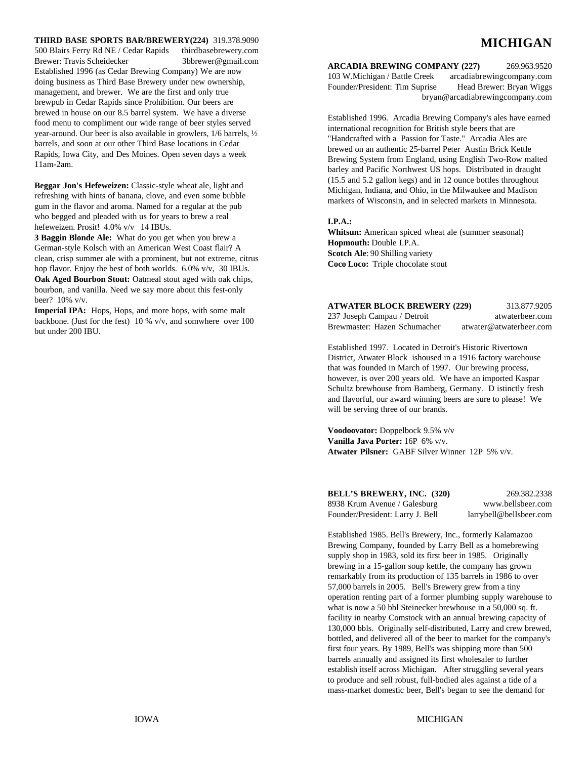#### **THIRD BASE SPORTS BAR/BREWERY(224)** 319.378.9090

500 Blairs Ferry Rd NE / Cedar Rapids thirdbasebrewery.com Brewer: Travis Scheidecker 3bbrewer@gmail.com Established 1996 (as Cedar Brewing Company) We are now doing business as Third Base Brewery under new ownership, management, and brewer. We are the first and only true brewpub in Cedar Rapids since Prohibition. Our beers are brewed in house on our 8.5 barrel system. We have a diverse food menu to compliment our wide range of beer styles served year-around. Our beer is also available in growlers, 1/6 barrels, ½ barrels, and soon at our other Third Base locations in Cedar Rapids, Iowa City, and Des Moines. Open seven days a week 11am-2am.

**Beggar Jon's Hefeweizen:** Classic-style wheat ale, light and refreshing with hints of banana, clove, and even some bubble gum in the flavor and aroma. Named for a regular at the pub who begged and pleaded with us for years to brew a real hefeweizen. Prosit! 4.0% v/v 14 IBUs.

**3 Baggin Blonde Ale:** What do you get when you brew a German-style Kolsch with an American West Coast flair? A clean, crisp summer ale with a prominent, but not extreme, citrus hop flavor. Enjoy the best of both worlds. 6.0% v/v, 30 IBUs. **Oak Aged Bourbon Stout:** Oatmeal stout aged with oak chips, bourbon, and vanilla. Need we say more about this fest-only beer? 10% v/v.

Imperial IPA: Hops, Hops, and more hops, with some malt backbone. (Just for the fest) 10 % v/v, and somwhere over 100 but under 200 IBU.

# **MICHIGAN**

**ARCADIA BREWING COMPANY (227)** 269.963.9520 103 W.Michigan / Battle Creek arcadiabrewingcompany.com Founder/President: Tim Suprise Head Brewer: Bryan Wiggs bryan@arcadiabrewingcompany.com

Established 1996. Arcadia Brewing Company's ales have earned international recognition for British style beers that are "Handcrafted with a Passion for Taste." Arcadia Ales are brewed on an authentic 25-barrel Peter Austin Brick Kettle Brewing System from England, using English Two-Row malted barley and Pacific Northwest US hops. Distributed in draught (15.5 and 5.2 gallon kegs) and in 12 ounce bottles throughout Michigan, Indiana, and Ohio, in the Milwaukee and Madison markets of Wisconsin, and in selected markets in Minnesota.

#### **I.P.A.:**

**Whitsun:** American spiced wheat ale (summer seasonal) **Hopmouth:** Double I.P.A. **Scotch Ale**: 90 Shilling variety **Coco Loco:** Triple chocolate stout

| <b>ATWATER BLOCK BREWERY (229)</b> | 313.877.9205            |
|------------------------------------|-------------------------|
| 237 Joseph Campau / Detroit        | atwaterbeer.com         |
| Brewmaster: Hazen Schumacher       | atwater@atwaterbeer.com |

Established 1997. Located in Detroit's Historic Rivertown District, Atwater Block ishoused in a 1916 factory warehouse that was founded in March of 1997. Our brewing process, however, is over 200 years old. We have an imported Kaspar Schultz brewhouse from Bamberg, Germany. D istinctly fresh and flavorful, our award winning beers are sure to please! We will be serving three of our brands.

**Voodoovator:** Doppelbock 9.5% v/v **Vanilla Java Porter:** 16P 6% v/v. **Atwater Pilsner:** GABF Silver Winner12P 5% v/v.

| <b>BELL'S BREWERY, INC. (320)</b> | 269.382.2338            |
|-----------------------------------|-------------------------|
| 8938 Krum Avenue / Galesburg      | www.bellsbeer.com       |
| Founder/President: Larry J. Bell  | larrybell@bellsbeer.com |

Established 1985. Bell's Brewery, Inc., formerly Kalamazoo Brewing Company, founded by Larry Bell as a homebrewing supply shop in 1983, sold its first beer in 1985. Originally brewing in a 15-gallon soup kettle, the company has grown remarkably from its production of 135 barrels in 1986 to over 57,000 barrels in 2005. Bell's Brewery grew from a tiny operation renting part of a former plumbing supply warehouse to what is now a 50 bbl Steinecker brewhouse in a 50,000 sq. ft. facility in nearby Comstock with an annual brewing capacity of 130,000 bbls. Originally self-distributed, Larry and crew brewed, bottled, and delivered all of the beer to market for the company's first four years. By 1989, Bell's was shipping more than 500 barrels annually and assigned its first wholesaler to further establish itself across Michigan. After struggling several years to produce and sell robust, full-bodied ales against a tide of a mass-market domestic beer, Bell's began to see the demand for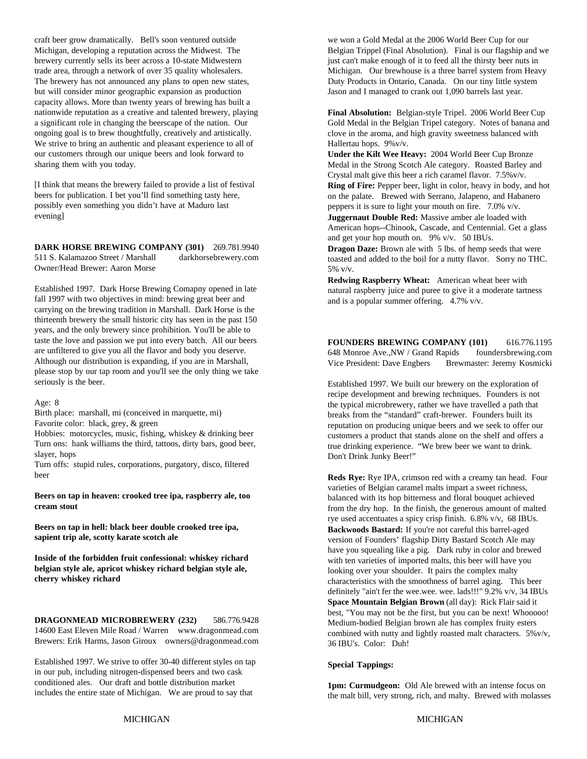craft beer grow dramatically. Bell's soon ventured outside we won a Gold Medal at the 2006 World Beer Cup for our Michigan, developing a reputation across the Midwest. The Belgian Trippel (Final Absolution). Final is our flagship and we brewery currently sells its beer across a 10-state Midwestern just can't make enough of it to feed all the thirsty beer nuts in trade area, through a network of over 35 quality wholesalers. Michigan. Our brewhouse is a three barrel system from Heavy The brewery has not announced any plans to open new states, Duty Products in Ontario, Canada. On our tiny little system but will consider minor geographic expansion as production Jason and I managed to crank out 1,090 barrels last year. capacity allows. More than twenty years of brewing has built a nationwide reputation as a creative and talented brewery, playing a significant role in changing the beerscape of the nation. Our ongoing goal is to brew thoughtfully, creatively and artistically. We strive to bring an authentic and pleasant experience to all of our customers through our unique beers and look forward to sharing them with you today.

[I think that means the brewery failed to provide a list of festival beers for publication. I bet you'll find something tasty here, possibly even something you didn't have at Maduro last evening]

**DARK HORSE BREWING COMPANY (301)** 269.781.9940 511 S. Kalamazoo Street / Marshall darkhorsebrewery.com Owner/Head Brewer: Aaron Morse

Established 1997. Dark Horse Brewing Comapny opened in late fall 1997 with two objectives in mind: brewing great beer and carrying on the brewing tradition in Marshall. Dark Horse is the thirteenth brewery the small historic city has seen in the past 150 years, and the only brewery since prohibition. You'll be able to taste the love and passion we put into every batch. All our beers are unfiltered to give you all the flavor and body you deserve. Although our distribution is expanding, if you are in Marshall, please stop by our tap room and you'll see the only thing we take seriously is the beer.

#### Age: 8

Birth place: marshall, mi (conceived in marquette, mi) Favorite color: black, grey, & green

Hobbies: motorcycles, music, fishing, whiskey & drinking beer Turn ons: hank williams the third, tattoos, dirty bars, good beer, slayer, hops

Turn offs: stupid rules, corporations, purgatory, disco, filtered beer

**Beers on tap in heaven: crooked tree ipa, raspberry ale, too cream stout**

**Beers on tap in hell: black beer double crooked tree ipa, sapient trip ale, scotty karate scotch ale**

**Inside of the forbidden fruit confessional: whiskey richard belgian style ale, apricot whiskey richard belgian style ale, cherry whiskey richard**

**DRAGONMEAD MICROBREWERY (232)** 586.776.9428 14600 East Eleven Mile Road / Warren www.dragonmead.com Brewers: Erik Harms, Jason Giroux owners@dragonmead.com

Established 1997. We strive to offer 30-40 different styles on tap in our pub, including nitrogen-dispensed beers and two cask conditioned ales. Our draft and bottle distribution market includes the entire state of Michigan. We are proud to say that

**Final Absolution:** Belgian-style Tripel. 2006 World Beer Cup Gold Medal in the Belgian Tripel category. Notes of banana and clove in the aroma, and high gravity sweetness balanced with Hallertau hops. 9%v/v.

**Under the Kilt Wee Heavy:** 2004 World Beer Cup Bronze Medal in the Strong Scotch Ale category. Roasted Barley and Crystal malt give this beer a rich caramel flavor. 7.5%v/v. **Ring of Fire:** Pepper beer, light in color, heavy in body, and hot on the palate. Brewed with Serrano, Jalapeno, and Habanero peppers it is sure to light your mouth on fire. 7.0% v/v. **Juggernaut Double Red:** Massive amber ale loaded with American hops--Chinook, Cascade, and Centennial. Get a glass and get your hop mouth on. 9% v/v. 50 IBUs. **Dragon Daze:** Brown ale with 5 lbs. of hemp seeds that were toasted and added to the boil for a nutty flavor. Sorry no THC. 5% v/v.

**Redwing Raspberry Wheat:** American wheat beer with natural raspberry juice and puree to give it a moderate tartness and is a popular summer offering. 4.7% v/v.

**FOUNDERS BREWING COMPANY (101)** 616.776.1195 648 Monroe Ave.,NW / Grand Rapids foundersbrewing.com Vice President: Dave Engbers Brewmaster: Jeremy Kosmicki

Established 1997. We built our brewery on the exploration of recipe development and brewing techniques. Founders is not the typical microbrewery, rather we have travelled a path that breaks from the "standard" craft-brewer. Founders built its reputation on producing unique beers and we seek to offer our customers a product that stands alone on the shelf and offers a true drinking experience. "We brew beer we want to drink. Don't Drink Junky Beer!"

**Reds Rye:** Rye IPA, crimson red with a creamy tan head. Four varieties of Belgian caramel malts impart a sweet richness, balanced with its hop bitterness and floral bouquet achieved from the dry hop. In the finish, the generous amount of malted rye used accentuates a spicy crisp finish. 6.8% v/v, 68 IBUs. **Backwoods Bastard:** If you're not careful this barrel-aged version of Founders' flagship Dirty Bastard Scotch Ale may have you squealing like a pig. Dark ruby in color and brewed with ten varieties of imported malts, this beer will have you looking over your shoulder. It pairs the complex malty characteristics with the smoothness of barrel aging. This beer definitely "ain't fer the wee.wee. wee. lads!!!" 9.2% v/v, 34 IBUs **Space Mountain Belgian Brown** (all day): Rick Flair said it best, "You may not be the first, but you can be next! Whooooo! Medium-bodied Belgian brown ale has complex fruity esters combined with nutty and lightly roasted malt characters. 5%v/v, 36 IBU's. Color: Duh!

#### **Special Tappings:**

**1pm: Curmudgeon:** Old Ale brewed with an intense focus on the malt bill, very strong, rich, and malty. Brewed with molasses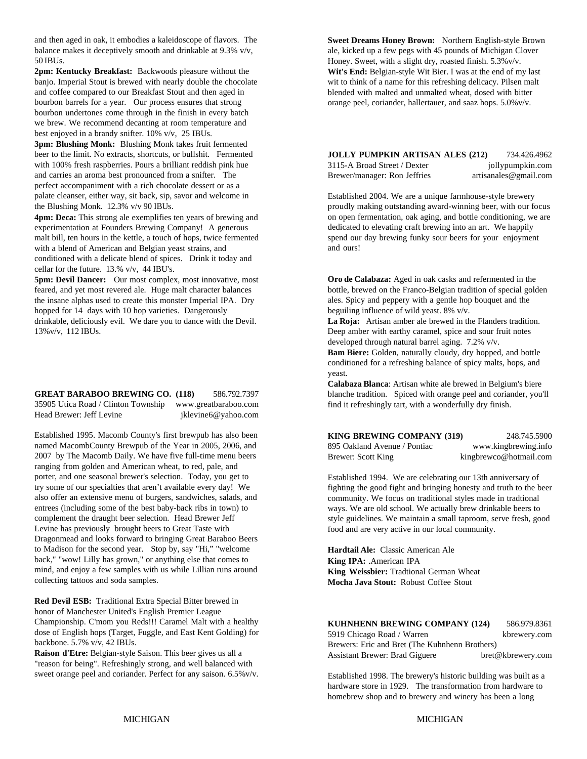and then aged in oak, it embodies a kaleidoscope of flavors. The balance makes it deceptively smooth and drinkable at 9.3% v/v, 50 IBUs.

**2pm: Kentucky Breakfast:** Backwoods pleasure without the banjo. Imperial Stout is brewed with nearly double the chocolate and coffee compared to our Breakfast Stout and then aged in bourbon barrels for a year. Our process ensures that strong bourbon undertones come through in the finish in every batch we brew. We recommend decanting at room temperature and best enjoyed in a brandy snifter. 10% v/v, 25 IBUs.

**3pm: Blushing Monk:** Blushing Monk takes fruit fermented beer to the limit. No extracts, shortcuts, or bullshit. Fermented with 100% fresh raspberries. Pours a brilliant reddish pink hue and carries an aroma best pronounced from a snifter. The perfect accompaniment with a rich chocolate dessert or as a palate cleanser, either way, sit back, sip, savor and welcome in

**4pm: Deca:** This strong ale exemplifies ten years of brewing and experimentation at Founders Brewing Company! A generous malt bill, ten hours in the kettle, a touch of hops, twice fermented with a blend of American and Belgian yeast strains, and conditioned with a delicate blend of spices. Drink it today and cellar for the future. 13.% v/v, 44 IBU's.

**5pm: Devil Dancer:** Our most complex, most innovative, most feared, and yet most revered ale. Huge malt character balances the insane alphas used to create this monster Imperial IPA. Dry hopped for 14 days with 10 hop varieties. Dangerously drinkable, deliciously evil. We dare you to dance with the Devil. **La Roja:** Artisan amber ale brewed in the Flanders tradition. 13%v/v, 112 IBUs. **Deep amber with earthy caramel**, spice and sour fruit notes

**GREAT BARABOO BREWING CO. (118)** 586.792.7397 35905 Utica Road / Clinton Township www.greatbaraboo.com Head Brewer: Jeff Levine iklevine6@yahoo.com

Established 1995. Macomb County's first brewpub has also been named MacombCounty Brewpub of the Year in 2005, 2006, and 2007 by The Macomb Daily. We have five full-time menu beers ranging from golden and American wheat, to red, pale, and porter, and one seasonal brewer's selection. Today, you get to try some of our specialties that aren't available every day! We also offer an extensive menu of burgers, sandwiches, salads, and entrees (including some of the best baby-back ribs in town) to complement the draught beer selection. Head Brewer Jeff Levine has previously brought beers to Great Taste with Dragonmead and looks forward to bringing Great Baraboo Beers to Madison for the second year. Stop by, say "Hi," "welcome back," "wow! Lilly has grown," or anything else that comes to mind, and enjoy a few samples with us while Lillian runs around collecting tattoos and soda samples.

**Red Devil ESB:** Traditional Extra Special Bitter brewed in honor of Manchester United's English Premier League Championship. C'mom you Reds!!! Caramel Malt with a healthy dose of English hops (Target, Fuggle, and East Kent Golding) for backbone. 5.7% v/v, 42 IBUs.

**Raison d'Etre:** Belgian-style Saison. This beer gives us all a "reason for being". Refreshingly strong, and well balanced with sweet orange peel and coriander. Perfect for any saison. 6.5%v/v.

**Sweet Dreams Honey Brown:** Northern English-style Brown ale, kicked up a few pegs with 45 pounds of Michigan Clover Honey. Sweet, with a slight dry, roasted finish. 5.3%v/v. **Wit's End:** Belgian-style Wit Bier. I was at the end of my last wit to think of a name for this refreshing delicacy. Pilsen malt blended with malted and unmalted wheat, dosed with bitter orange peel, coriander, hallertauer, and saaz hops. 5.0%v/v.

| <b>JOLLY PUMPKIN ARTISAN ALES (212)</b> | 734.426.4962          |
|-----------------------------------------|-----------------------|
| 3115-A Broad Street / Dexter            | jollypumpkin.com      |
| Brewer/manager: Ron Jeffries            | artisanales@gmail.com |

the Blushing Monk. 12.3% v/v 90 IBUs. proudly making outstanding award-winning beer, with our focus Established 2004. We are a unique farmhouse-style brewery on open fermentation, oak aging, and bottle conditioning, we are dedicated to elevating craft brewing into an art. We happily spend our day brewing funky sour beers for your enjoyment and ours!

> **Oro de Calabaza:** Aged in oak casks and refermented in the bottle, brewed on the Franco-Belgian tradition of special golden ales. Spicy and peppery with a gentle hop bouquet and the beguiling influence of wild yeast. 8% v/v.

developed through natural barrel aging. 7.2% v/v.

**Bam Biere:** Golden, naturally cloudy, dry hopped, and bottle conditioned for a refreshing balance of spicy malts, hops, and yeast.

**Calabaza Blanca**: Artisan white ale brewed in Belgium's biere blanche tradition. Spiced with orange peel and coriander, you'll find it refreshingly tart, with a wonderfully dry finish.

| <b>KING BREWING COMPANY (319)</b> | 248.745.5900           |
|-----------------------------------|------------------------|
| 895 Oakland Avenue / Pontiac      | www.kingbrewing.info   |
| Brewer: Scott King                | kingbrewco@hotmail.com |

Established 1994. We are celebrating our 13th anniversary of fighting the good fight and bringing honesty and truth to the beer community. We focus on traditional styles made in tradtional ways. We are old school. We actually brew drinkable beers to style guidelines. We maintain a small taproom, serve fresh, good food and are very active in our local community.

**Hardtail Ale:** Classic American Ale **King IPA:** .American IPA **King Weissbier:** Tradtional German Wheat **Mocha Java Stout:** Robust Coffee Stout

#### **KUHNHENN BREWING COMPANY (124)** 586.979.8361 5919 Chicago Road / Warren kbrewery.com

|                                                | 1.11              |
|------------------------------------------------|-------------------|
| Brewers: Eric and Bret (The Kuhnhenn Brothers) |                   |
| Assistant Brewer: Brad Giguere                 | bret@kbrewery.com |

Established 1998. The brewery's historic building was built as a hardware store in 1929. The transformation from hardware to homebrew shop and to brewery and winery has been a long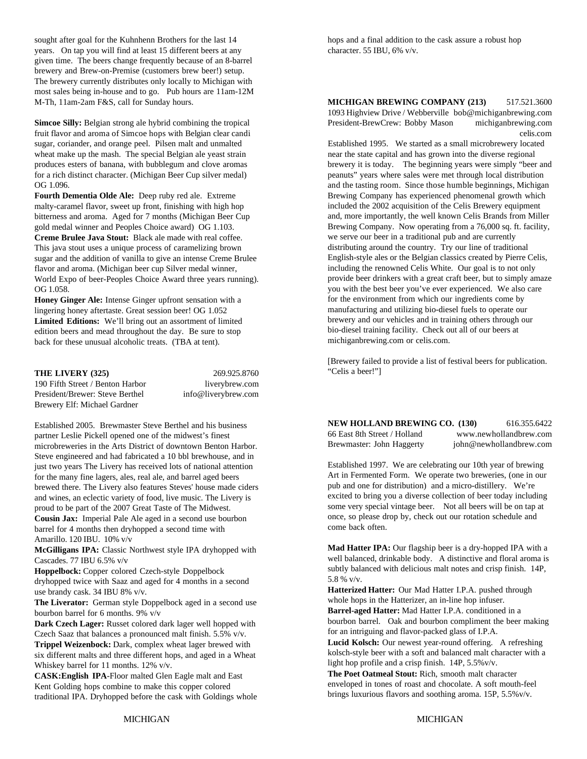sought after goal for the Kuhnhenn Brothers for the last 14 hops and a final addition to the cask assure a robust hop years. On tap you will find at least 15 different beers at any character. 55 IBU, 6% v/v. given time. The beers change frequently because of an 8-barrel brewery and Brew-on-Premise (customers brew beer!) setup. The brewery currently distributes only locally to Michigan with most sales being in-house and to go. Pub hours are 11am-12M M-Th, 11am-2am F&S, call for Sunday hours.

wheat make up the mash. The special Belgian ale yeast strain near the state capital and has grown into the diverse regional

**Fourth Dementia Olde Ale:** Deep ruby red ale. Extreme malty-caramel flavor, sweet up front, finishing with high hop bitterness and aroma. Aged for 7 months (Michigan Beer Cup gold medal winner and Peoples Choice award) OG 1.103. **Creme Brulee Java Stout:** Black ale made with real coffee. This java stout uses a unique process of caramelizing brown sugar and the addition of vanilla to give an intense Creme Brulee flavor and aroma. (Michigan beer cup Silver medal winner, World Expo of beer-Peoples Choice Award three years running). OG 1.058.

**Honey Ginger Ale:** Intense Ginger upfront sensation with a lingering honey aftertaste. Great session beer! OG 1.052 **Limited Editions:** We'll bring out an assortment of limited edition beers and mead throughout the day. Be sure to stop back for these unusual alcoholic treats. (TBA at tent).

#### **THE LIVERY (325)** 269.925.8760

190 Fifth Street / Benton Harbor liverybrew.com President/Brewer: Steve Berthel info@liverybrew.com Brewery Elf: Michael Gardner

Established 2005. Brewmaster Steve Berthel and his business partner Leslie Pickell opened one of the midwest's finest microbreweries in the Arts District of downtown Benton Harbor. Steve engineered and had fabricated a 10 bbl brewhouse, and in just two years The Livery has received lots of national attention for the many fine lagers, ales, real ale, and barrel aged beers brewed there. The Livery also features Steves' house made ciders and wines, an eclectic variety of food, live music. The Livery is proud to be part of the 2007 Great Taste of The Midwest. **Cousin Jax:** Imperial Pale Ale aged in a second use bourbon barrel for 4 months then dryhopped a second time with Amarillo. 120 IBU. 10% v/v

**McGilligans IPA:** Classic Northwest style IPA dryhopped with Cascades. 77 IBU 6.5% v/v

**Hoppelbock:** Copper colored Czech-style Doppelbock dryhopped twice with Saaz and aged for 4 months in a second use brandy cask. 34 IBU 8% v/v.

**The Liverator:** German style Doppelbock aged in a second use bourbon barrel for 6 months. 9% v/v

**Dark Czech Lager:** Russet colored dark lager well hopped with Czech Saaz that balances a pronounced malt finish. 5.5% v/v. **Trippel Weizenbock:** Dark, complex wheat lager brewed with six different malts and three different hops, and aged in a Wheat Whiskey barrel for 11 months. 12% v/v.

**CASK:English IPA**-Floor malted Glen Eagle malt and East Kent Golding hops combine to make this copper colored traditional IPA. Dryhopped before the cask with Goldings whole

**Simcoe Silly:** Belgian strong ale hybrid combining the tropical President-BrewCrew: Bobby Mason michiganbrewing.com fruit flavor and aroma of Simcoe hops with Belgian clear candi celis.com **MICHIGAN BREWING COMPANY (213)** 517.521.3600 1093 Highview Drive / Webberville bob@michiganbrewing.com

sugar, coriander, and orange peel. Pilsen malt and unmalted Established 1995. We started as a small microbrewery located produces esters of banana, with bubblegum and clove aromas brewery it is today. The beginning years were simply "beer and for a rich distinct character. (Michigan Beer Cup silver medal) peanuts" years where sales were met through local distribution OG 1.096. **and the tasting room.** Since those humble beginnings, Michigan Brewing Company has experienced phenomenal growth which included the 2002 acquisition of the Celis Brewery equipment and, more importantly, the well known Celis Brands from Miller Brewing Company. Now operating from a 76,000 sq. ft. facility, we serve our beer in a traditional pub and are currently distributing around the country. Try our line of traditional English-style ales or the Belgian classics created by Pierre Celis, including the renowned Celis White. Our goal is to not only provide beer drinkers with a great craft beer, but to simply amaze you with the best beer you've ever experienced. We also care for the environment from which our ingredients come by manufacturing and utilizing bio-diesel fuels to operate our brewery and our vehicles and in training others through our bio-diesel training facility. Check out all of our beers at michiganbrewing.com or celis.com.

> [Brewery failed to provide a list of festival beers for publication. "Celis a beer!"]

**NEW HOLLAND BREWING CO. (130)** 616.355.6422 66 East 8th Street / Holland www.newhollandbrew.com Brewmaster: John Haggerty john@newhollandbrew.com

Established 1997. We are celebrating our 10th year of brewing Art in Fermented Form. We operate two breweries, (one in our pub and one for distribution) and a micro-distillery. We're excited to bring you a diverse collection of beer today including some very special vintage beer. Not all beers will be on tap at once, so please drop by, check out our rotation schedule and come back often.

**Mad Hatter IPA:** Our flagship beer is a dry-hopped IPA with a well balanced, drinkable body. A distinctive and floral aroma is subtly balanced with delicious malt notes and crisp finish. 14P, 5.8 % v/v.

**Hatterized Hatter:** Our Mad Hatter I.P.A. pushed through whole hops in the Hatterizer, an in-line hop infuser. **Barrel-aged Hatter:** Mad Hatter I.P.A. conditioned in a

bourbon barrel. Oak and bourbon compliment the beer making for an intriguing and flavor-packed glass of I.P.A.

**Lucid Kolsch:** Our newest year-round offering. A refreshing kolsch-style beer with a soft and balanced malt character with a light hop profile and a crisp finish. 14P, 5.5%v/v.

**The Poet Oatmeal Stout:** Rich, smooth malt character enveloped in tones of roast and chocolate. A soft mouth-feel brings luxurious flavors and soothing aroma. 15P, 5.5%v/v.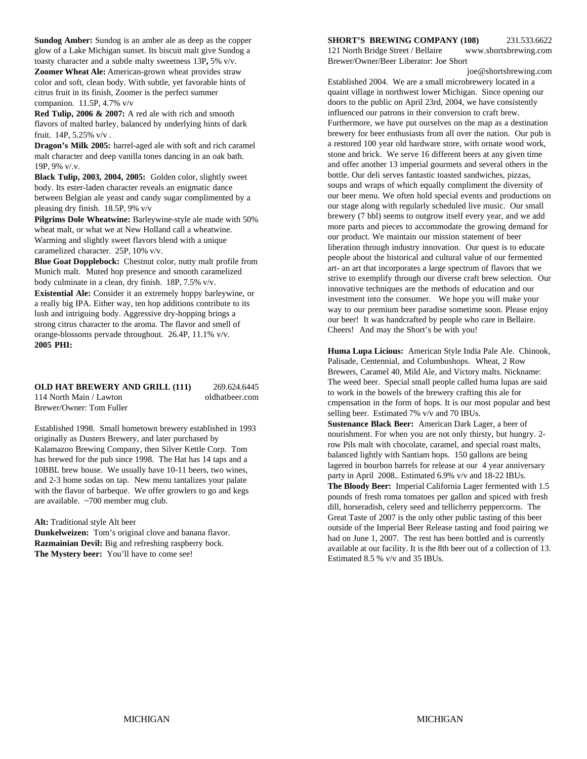toasty character and a subtle malty sweetness 13P**,** 5% v/v.

**Zoomer Wheat Ale:** American-grown wheat provides straw color and soft, clean body. With subtle, yet favorable hints of citrus fruit in its finish, Zoomer is the perfect summer companion. 11.5P, 4.7% v/v

**Red Tulip, 2006 & 2007:** A red ale with rich and smooth flavors of malted barley, balanced by underlying hints of dark fruit. 14P, 5.25% v/v .

**Dragon's Milk 2005:** barrel-aged ale with soft and rich caramel malt character and deep vanilla tones dancing in an oak bath. 19P, 9% v/.v.

**Black Tulip, 2003, 2004, 2005:** Golden color, slightly sweet body. Its ester-laden character reveals an enigmatic dance between Belgian ale yeast and candy sugar complimented by a pleasing dry finish.18.5P, 9% v/v

**Pilgrims Dole Wheatwine:** Barleywine-style ale made with 50% wheat malt, or what we at New Holland call a wheatwine. Warming and slightly sweet flavors blend with a unique caramelized character.25P, 10% v/v.

**Blue Goat Dopplebock:** Chestnut color, nutty malt profile from Munich malt. Muted hop presence and smooth caramelized body culminate in a clean, dry finish.18P, 7.5% v/v. **Existential Ale:** Consider it an extremely hoppy barleywine, or

a really big IPA. Either way, ten hop additions contribute to its lush and intriguing body. Aggressive dry-hopping brings a strong citrus character to the aroma. The flavor and smell of orange-blossoms pervade throughout. 26.4P, 11.1% v/v. **2005 PHI:**

#### **OLD HAT BREWERY AND GRILL (111)** 269.624.6445

114 North Main / Lawton oldhatbeer.com

Established 1998. Small hometown brewery established in 1993 originally as Dusters Brewery, and later purchased by Kalamazoo Brewing Company, then Silver Kettle Corp. Tom has brewed for the pub since 1998. The Hat has 14 taps and a 10BBL brew house. We usually have 10-11 beers, two wines, and 2-3 home sodas on tap. New menu tantalizes your palate with the flavor of barbeque. We offer growlers to go and kegs are available. ~700 member mug club.

#### **Alt:** Traditional style Alt beer

Brewer/Owner: Tom Fuller

**Dunkelweizen:** Tom's original clove and banana flavor. **Razmainian Devil:** Big and refreshing raspberry bock. **The Mystery beer:** You'll have to come see!

#### **Sundog Amber:** Sundog is an amber ale as deep as the copper **SHORT'S BREWING COMPANY (108)** 231.533.6622

glow of a Lake Michigan sunset. Its biscuit malt give Sundog a 121 North Bridge Street / Bellaire www.shortsbrewing.com Brewer/Owner/Beer Liberator: Joe Short

joe@shortsbrewing.com

Established 2004. We are a small microbrewery located in a quaint village in northwest lower Michigan. Since opening our doors to the public on April 23rd, 2004, we have consistently influenced our patrons in their conversion to craft brew. Furthermore, we have put ourselves on the map as a destination brewery for beer enthusiasts from all over the nation. Our pub is a restored 100 year old hardware store, with ornate wood work, stone and brick. We serve 16 different beers at any given time and offer another 13 imperial gourmets and several others in the bottle. Our deli serves fantastic toasted sandwiches, pizzas, soups and wraps of which equally compliment the diversity of our beer menu. We often hold special events and productions on our stage along with regularly scheduled live music. Our small brewery (7 bbl) seems to outgrow itself every year, and we add more parts and pieces to accommodate the growing demand for our product. We maintain our mission statement of beer liberation through industry innovation. Our quest is to educate people about the historical and cultural value of our fermented art- an art that incorporates a large spectrum of flavors that we strive to exemplify through our diverse craft brew selection. Our innovative techniques are the methods of education and our investment into the consumer. We hope you will make your way to our premium beer paradise sometime soon. Please enjoy our beer! It was handcrafted by people who care in Bellaire. Cheers! And may the Short's be with you!

**Huma Lupa Licious:** American Style India Pale Ale. Chinook, Palisade, Centennial, and Columbushops. Wheat, 2 Row Brewers, Caramel 40, Mild Ale, and Victory malts. Nickname: The weed beer. Special small people called huma lupas are said to work in the bowels of the brewery crafting this ale for cmpensation in the form of hops. It is our most popular and best selling beer. Estimated 7% v/v and 70 IBUs.

**Sustenance Black Beer:** American Dark Lager, a beer of nourishment. For when you are not only thirsty, but hungry. 2 row Pils malt with chocolate, caramel, and special roast malts, balanced lightly with Santiam hops. 150 gallons are being lagered in bourbon barrels for release at our 4 year anniversary party in April 2008.. Estimated 6.9% v/v and 18-22 IBUs.

**The Bloody Beer:** Imperial California Lager fermented with 1.5 pounds of fresh roma tomatoes per gallon and spiced with fresh dill, horseradish, celery seed and tellicherry peppercorns. The Great Taste of 2007 is the only other public tasting of this beer outside of the Imperial Beer Release tasting and food pairing we had on June 1, 2007. The rest has been bottled and is currently available at our facility. It is the 8th beer out of a collection of 13. Estimated 8.5 % v/v and 35 IBUs.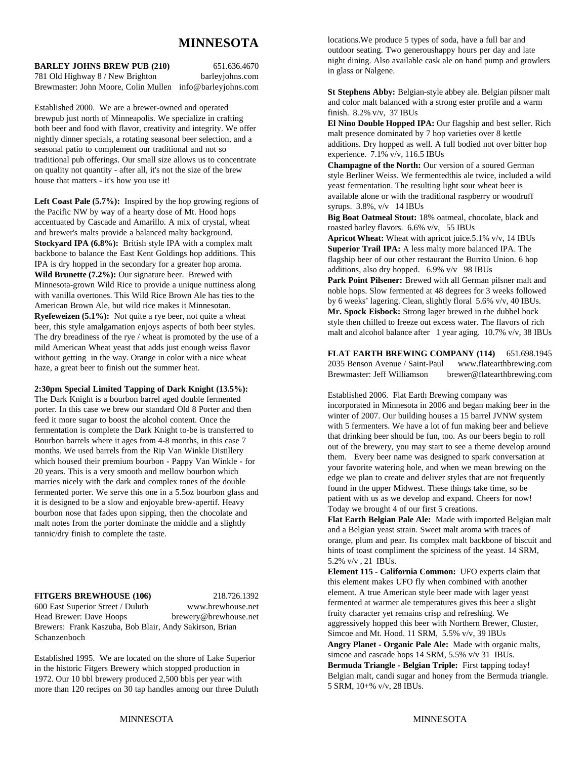# **MINNESOTA**

#### **BARLEY JOHNS BREW PUB (210)** 651.636.4670

781 Old Highway 8 / New Brighton barleyjohns.com Brewmaster: John Moore, Colin Mullen info@barleyjohns.com

Established 2000. We are a brewer-owned and operated brewpub just north of Minneapolis. We specialize in crafting both beer and food with flavor, creativity and integrity. We offer nightly dinner specials, a rotating seasonal beer selection, and a seasonal patio to complement our traditional and not so traditional pub offerings. Our small size allows us to concentrate on quality not quantity - after all, it's not the size of the brew house that matters - it's how you use it!

Left Coast Pale (5.7%): Inspired by the hop growing regions of the Pacific NW by way of a hearty dose of Mt. Hood hops accentuated by Cascade and Amarillo. A mix of crystal, wheat and brewer's malts provide a balanced malty background. **Stockyard IPA (6.8%):** British style IPA with a complex malt backbone to balance the East Kent Goldings hop additions. This IPA is dry hopped in the secondary for a greater hop aroma. **Wild Brunette (7.2%):** Our signature beer. Brewed with Minnesota-grown Wild Rice to provide a unique nuttiness along with vanilla overtones. This Wild Rice Brown Ale has ties to the American Brown Ale, but wild rice makes it Minnesotan. **Ryefeweizen (5.1%):** Not quite a rye beer, not quite a wheat beer, this style amalgamation enjoys aspects of both beer styles. The dry breadiness of the rye / wheat is promoted by the use of a mild American Wheat yeast that adds just enough weiss flavor without getting in the way. Orange in color with a nice wheat haze, a great beer to finish out the summer heat.

**2:30pm Special Limited Tapping of Dark Knight (13.5%):** The Dark Knight is a bourbon barrel aged double fermented porter. In this case we brew our standard Old 8 Porter and then feed it more sugar to boost the alcohol content. Once the fermentation is complete the Dark Knight to-be is transferred to Bourbon barrels where it ages from 4-8 months, in this case 7 months. We used barrels from the Rip Van Winkle Distillery which housed their premium bourbon - Pappy Van Winkle - for 20 years. This is a very smooth and mellow bourbon which marries nicely with the dark and complex tones of the double fermented porter. We serve this one in a 5.5oz bourbon glass and it is designed to be a slow and enjoyable brew-apertif. Heavy bourbon nose that fades upon sipping, then the chocolate and malt notes from the porter dominate the middle and a slightly tannic/dry finish to complete the taste.

#### **FITGERS BREWHOUSE (106)** 218.726.1392

600 East Superior Street / Duluth www.brewhouse.net Head Brewer: Dave Hoops brewery@brewhouse.net Brewers: Frank Kaszuba, Bob Blair, Andy Sakirson, Brian Schanzenboch

Established 1995. We are located on the shore of Lake Superior in the historic Fitgers Brewery which stopped production in 1972. Our 10 bbl brewery produced 2,500 bbls per year with more than 120 recipes on 30 tap handles among our three Duluth locations.We produce 5 types of soda, have a full bar and outdoor seating. Two generoushappy hours per day and late night dining. Also available cask ale on hand pump and growlers in glass or Nalgene.

**St Stephens Abby:** Belgian-style abbey ale. Belgian pilsner malt and color malt balanced with a strong ester profile and a warm finish. 8.2% v/v, 37 IBUs

**El Nino Double Hopped IPA:** Our flagship and best seller. Rich malt presence dominated by 7 hop varieties over 8 kettle additions. Dry hopped as well. A full bodied not over bitter hop experience. 7.1% v/v, 116.5 IBUs

**Champagne of the North:** Our version of a soured German style Berliner Weiss. We fermentedthis ale twice, included a wild yeast fermentation. The resulting light sour wheat beer is available alone or with the traditional raspberry or woodruff syrups. 3.8%, v/v 14 IBUs

**Big Boat Oatmeal Stout:** 18% oatmeal, chocolate, black and roasted barley flavors. 6.6% v/v, 55 IBUs

**Apricot Wheat:** Wheat with apricot juice.5.1% v/v, 14 IBUs **Superior Trail IPA:** A less malty more balanced IPA. The flagship beer of our other restaurant the Burrito Union. 6 hop additions, also dry hopped. 6.9% v/v 98 IBUs

Park Point Pilsener: Brewed with all German pilsner malt and noble hops. Slow fermented at 48 degrees for 3 weeks followed by 6 weeks' lagering. Clean, slightly floral 5.6% v/v, 40 IBUs. **Mr. Spock Eisbock:** Strong lager brewed in the dubbel bock style then chilled to freeze out excess water. The flavors of rich malt and alcohol balance after 1 year aging. 10.7% v/v, 38 IBUs

**FLAT EARTH BREWING COMPANY (114)** 651.698.1945 2035 Benson Avenue / Saint-Paul www.flatearthbrewing.com Brewmaster: Jeff Williamson brewer@flatearthbrewing.com

Established 2006. Flat Earth Brewing company was incorporated in Minnesota in 2006 and began making beer in the winter of 2007. Our building houses a 15 barrel JVNW system with 5 fermenters. We have a lot of fun making beer and believe that drinking beer should be fun, too. As our beers begin to roll out of the brewery, you may start to see a theme develop around them. Every beer name was designed to spark conversation at your favorite watering hole, and when we mean brewing on the edge we plan to create and deliver styles that are not frequently found in the upper Midwest. These things take time, so be patient with us as we develop and expand. Cheers for now! Today we brought 4 of our first 5 creations.

**Flat Earth Belgian Pale Ale:** Made with imported Belgian malt and a Belgian yeast strain. Sweet malt aroma with traces of orange, plum and pear. Its complex malt backbone of biscuit and hints of toast compliment the spiciness of the yeast. 14 SRM, 5.2% v/v , 21 IBUs.

**Element 115 - California Common:** UFO experts claim that this element makes UFO fly when combined with another element. A true American style beer made with lager yeast fermented at warmer ale temperatures gives this beer a slight fruity character yet remains crisp and refreshing. We aggressively hopped this beer with Northern Brewer, Cluster, Simcoe and Mt. Hood. 11 SRM, 5.5% v/v, 39 IBUs **Angry Planet - Organic Pale Ale:** Made with organic malts, simcoe and cascade hops 14 SRM, 5.5% v/v 31 IBUs. **Bermuda Triangle - Belgian Triple:** First tapping today! Belgian malt, candi sugar and honey from the Bermuda triangle. 5 SRM, 10+% v/v, 28 IBUs.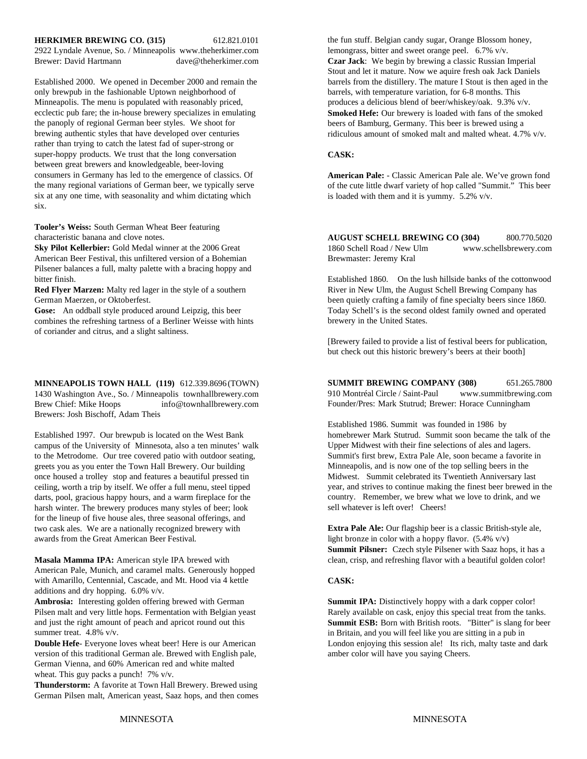#### **HERKIMER BREWING CO. (315)** 612.821.0101

2922 Lyndale Avenue, So. / Minneapolis www.theherkimer.com Brewer: David Hartmann dave@theherkimer.com **Czar Jack**: We begin by brewing a classic Russian Imperial

only brewpub in the fashionable Uptown neighborhood of barrels, with temperature variation, for 6-8 months. This Minneapolis. The menu is populated with reasonably priced, produces a delicious blend of beer/whiskey/oak. 9.3% v/v. ecclectic pub fare; the in-house brewery specializes in emulating the panoply of regional German beer styles. We shoot for brewing authentic styles that have developed over centuries rather than trying to catch the latest fad of super-strong or super-hoppy products. We trust that the long conversation between great brewers and knowledgeable, beer-loving consumers in Germany has led to the emergence of classics. Of the many regional variations of German beer, we typically serve six at any one time, with seasonality and whim dictating which six.

**Tooler's Weiss:** South German Wheat Beer featuring characteristic banana and clove notes.

**Sky Pilot Kellerbier:** Gold Medal winner at the 2006 Great American Beer Festival, this unfiltered version of a Bohemian Pilsener balances a full, malty palette with a bracing hoppy and bitter finish.

**Gose:** An oddball style produced around Leipzig, this beer combines the refreshing tartness of a Berliner Weisse with hints of coriander and citrus, and a slight saltiness.

**MINNEAPOLIS TOWN HALL (119)** 612.339.8696 (TOWN) 1430 Washington Ave., So. / Minneapolis townhallbrewery.com Brew Chief: Mike Hoops info@townhallbrewery.com Brewers: Josh Bischoff, Adam Theis

Established 1997. Our brewpub is located on the West Bank campus of the University of Minnesota, also a ten minutes' walk to the Metrodome. Our tree covered patio with outdoor seating, greets you as you enter the Town Hall Brewery. Our building once housed a trolley stop and features a beautiful pressed tin ceiling, worth a trip by itself. We offer a full menu, steel tipped darts, pool, gracious happy hours, and a warm fireplace for the harsh winter. The brewery produces many styles of beer; look for the lineup of five house ales, three seasonal offerings, and two cask ales. We are a nationally recognized brewery with awards from the Great American Beer Festival. light bronze in color with a hoppy flavor. (5.4% v/v)

American Pale, Munich, and caramel malts. Generously hopped with Amarillo, Centennial, Cascade, and Mt. Hood via 4 kettle additions and dry hopping. 6.0% v/v.

Ambrosia: Interesting golden offering brewed with German **Summit IPA:** Distinctively hoppy with a dark copper color! Pilsen malt and very little hops. Fermentation with Belgian yeast Rarely available on cask, enjoy this special treat from the tanks. and just the right amount of peach and apricot round out this summer treat. 4.8% v/v.

version of this traditional German ale. Brewed with English pale, German Vienna, and 60% American red and white malted wheat. This guy packs a punch! 7% v/v.

**Thunderstorm:** A favorite at Town Hall Brewery. Brewed using German Pilsen malt, American yeast, Saaz hops, and then comes

Stout and let it mature. Now we aquire fresh oak Jack Daniels Established 2000. We opened in December 2000 and remain the barrels from the distillery. The mature I Stout is then aged in the the fun stuff. Belgian candy sugar, Orange Blossom honey, lemongrass, bitter and sweet orange peel. 6.7% v/v. **Smoked Hefe:** Our brewery is loaded with fans of the smoked beers of Bamburg, Germany. This beer is brewed using a ridiculous amount of smoked malt and malted wheat. 4.7% v/v.

#### **CASK:**

**American Pale:** - Classic American Pale ale. We've grown fond of the cute little dwarf variety of hop called "Summit." This beer is loaded with them and it is yummy. 5.2% v/v.

**AUGUST SCHELL BREWING CO (304)** 800.770.5020 1860 Schell Road / New Ulm www.schellsbrewery.com Brewmaster: Jeremy Kral

**Red Flyer Marzen:** Malty red lager in the style of a southern River in New Ulm, the August Schell Brewing Company has German Maerzen, or Oktoberfest.<br>Been quietly crafting a family of fine specialty beers since 186 been quietly crafting a family of fine specialty beers since 1860. Established 1860. On the lush hillside banks of the cottonwood Today Schell's is the second oldest family owned and operated brewery in the United States.

> [Brewery failed to provide a list of festival beers for publication, but check out this historic brewery's beers at their booth]

**SUMMIT BREWING COMPANY (308)** 651.265.7800 910 Montréal Circle / Saint-Paul www.summitbrewing.com Founder/Pres: Mark Stutrud; Brewer: Horace Cunningham

Established 1986. Summit was founded in 1986 by homebrewer Mark Stutrud. Summit soon became the talk of the Upper Midwest with their fine selections of ales and lagers. Summit's first brew, Extra Pale Ale, soon became a favorite in Minneapolis, and is now one of the top selling beers in the Midwest. Summit celebrated its Twentieth Anniversary last year, and strives to continue making the finest beer brewed in the country. Remember, we brew what we love to drink, and we sell whatever is left over! Cheers!

**Extra Pale Ale:** Our flagship beer is a classic British-style ale, **Masala Mamma IPA:** American style IPA brewed with clean, crisp, and refreshing flavor with a beautiful golden color! **Summit Pilsner:** Czech style Pilsener with Saaz hops, it has a

#### **CASK:**

**Double Hefe**- Everyone loves wheat beer! Here is our American London enjoying this session ale! Its rich, malty taste and dark version of this traditional German ale. Brewed with English pale, amber color will have you sa **Summit ESB:** Born with British roots. "Bitter" is slang for beer in Britain, and you will feel like you are sitting in a pub in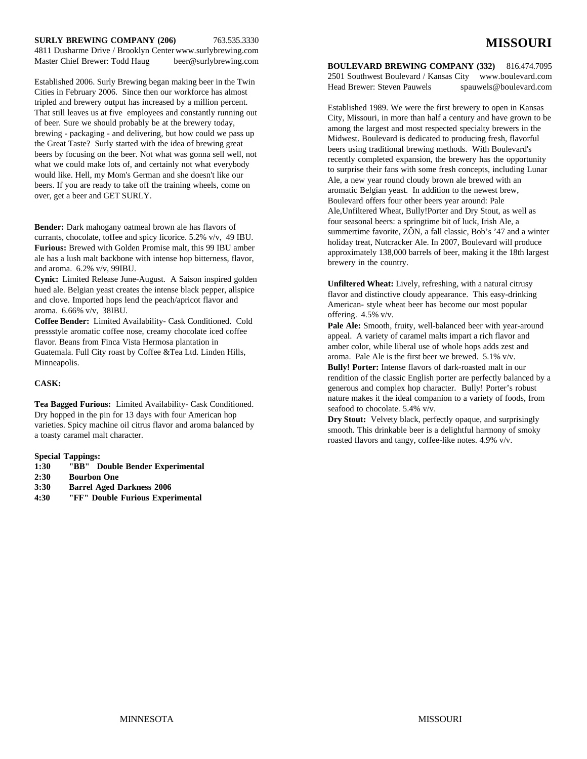#### **SURLY BREWING COMPANY (206)** 763.535.3330 4811 Dusharme Drive / Brooklyn Center www.surlybrewing.com

Master Chief Brewer: Todd Haug beer@surlybrewing.com

Established 2006. Surly Brewing began making beer in the Twin Cities in February 2006. Since then our workforce has almost tripled and brewery output has increased by a million percent. That still leaves us at five employees and constantly running out of beer. Sure we should probably be at the brewery today, brewing - packaging - and delivering, but how could we pass up the Great Taste? Surly started with the idea of brewing great beers by focusing on the beer. Not what was gonna sell well, not what we could make lots of, and certainly not what everybody would like. Hell, my Mom's German and she doesn't like our beers. If you are ready to take off the training wheels, come on over, get a beer and GET SURLY.

**Bender:** Dark mahogany oatmeal brown ale has flavors of currants, chocolate, toffee and spicy licorice. 5.2% v/v, 49 IBU. **Furious:** Brewed with Golden Promise malt, this 99 IBU amber ale has a lush malt backbone with intense hop bitterness, flavor, and aroma. 6.2% v/v, 99IBU.

**Cynic:** Limited Release June-August. A Saison inspired golden hued ale. Belgian yeast creates the intense black pepper, allspice and clove. Imported hops lend the peach/apricot flavor and aroma. 6.66% v/v, 38IBU.

**Coffee Bender:** Limited Availability- Cask Conditioned. Cold pressstyle aromatic coffee nose, creamy chocolate iced coffee flavor. Beans from Finca Vista Hermosa plantation in Guatemala. Full City roast by Coffee &Tea Ltd. Linden Hills, Minneapolis.

#### **CASK:**

**Tea Bagged Furious:** Limited Availability- Cask Conditioned. Dry hopped in the pin for 13 days with four American hop varieties. Spicy machine oil citrus flavor and aroma balanced by a toasty caramel malt character.

#### **Special Tappings:**

- **1:30 "BB" Double Bender Experimental**
- **2:30 Bourbon One**
- **3:30 Barrel Aged Darkness 2006**
- **4:30 "FF" Double Furious Experimental**

**BOULEVARD BREWING COMPANY (332)** 816.474.7095 2501 Southwest Boulevard / Kansas City www.boulevard.com Head Brewer: Steven Pauwels spauwels@boulevard.com

Established 1989. We were the first brewery to open in Kansas City, Missouri, in more than half a century and have grown to be among the largest and most respected specialty brewers in the Midwest. Boulevard is dedicated to producing fresh, flavorful beers using traditional brewing methods. With Boulevard's recently completed expansion, the brewery has the opportunity to surprise their fans with some fresh concepts, including Lunar Ale, a new year round cloudy brown ale brewed with an aromatic Belgian yeast. In addition to the newest brew, Boulevard offers four other beers year around: Pale Ale,Unfiltered Wheat, Bully!Porter and Dry Stout, as well as four seasonal beers: a springtime bit of luck, Irish Ale, a summertime favorite, ZÔN, a fall classic, Bob's '47 and a winter holiday treat, Nutcracker Ale. In 2007, Boulevard will produce approximately 138,000 barrels of beer, making it the 18th largest brewery in the country.

**Unfiltered Wheat:** Lively, refreshing, with a natural citrusy flavor and distinctive cloudy appearance. This easy-drinking American- style wheat beer has become our most popular offering. 4.5% v/v.

Pale Ale: Smooth, fruity, well-balanced beer with year-around appeal. A variety of caramel malts impart a rich flavor and amber color, while liberal use of whole hops adds zest and aroma. Pale Ale is the first beer we brewed. 5.1% v/v.

**Bully! Porter:** Intense flavors of dark-roasted malt in our rendition of the classic English porter are perfectly balanced by a generous and complex hop character. Bully! Porter's robust nature makes it the ideal companion to a variety of foods, from seafood to chocolate. 5.4% v/v.

**Dry Stout:** Velvety black, perfectly opaque, and surprisingly smooth. This drinkable beer is a delightful harmony of smoky roasted flavors and tangy, coffee-like notes. 4.9% v/v.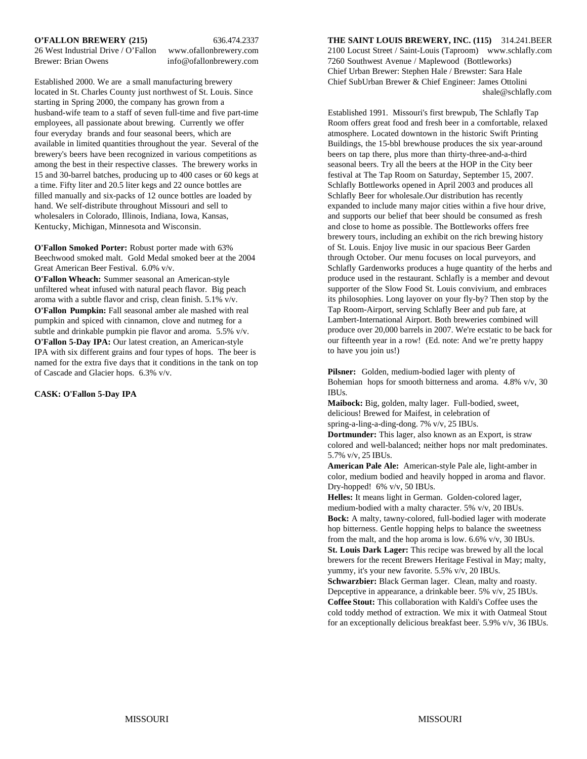Established 2000. We are a small manufacturing brewery Chief SubUrban Brewer & Chief Engineer: James Ottolini located in St. Charles County just northwest of St. Louis. Since shale@schlafly.com starting in Spring 2000, the company has grown from a husband-wife team to a staff of seven full-time and five part-time Established 1991. Missouri's first brewpub, The Schlafly Tap employees, all passionate about brewing. Currently we offer Room offers great food and fresh beer in a comfortable, relaxed four everyday brands and four seasonal beers, which are atmosphere. Located downtown in the historic Swift Printing available in limited quantities throughout the year. Several of the Buildings, the 15-bbl brewhouse produces the six year-around brewery's beers have been recognized in various competitions as beers on tap there, plus more than thirty-three-and-a-third among the best in their respective classes. The brewery works in seasonal beers. Try all the beers at the HOP in the City beer 15 and 30-barrel batches, producing up to 400 cases or 60 kegs at festival at The Tap Room on Saturday, September 15, 2007. a time. Fifty liter and 20.5 liter kegs and 22 ounce bottles are Schlafly Bottleworks opened in April 2003 and produces all filled manually and six-packs of 12 ounce bottles are loaded by Schlafly Beer for wholesale.Our distribution has recently hand. We self-distribute throughout Missouri and sell to expanded to include many major cities within a five hour drive, wholesalers in Colorado, Illinois, Indiana, Iowa, Kansas, and supports our belief that beer should be consumed as fresh Kentucky, Michigan, Minnesota and Wisconsin.  $\blacksquare$  and close to home as possible. The Bottleworks offers free

**O'Fallon Smoked Porter:** Robust porter made with 63% Beechwood smoked malt. Gold Medal smoked beer at the 2004 Great American Beer Festival. 6.0% v/v.

**O'Fallon Wheach:** Summer seasonal an American-style unfiltered wheat infused with natural peach flavor. Big peach aroma with a subtle flavor and crisp, clean finish. 5.1% v/v. **O'Fallon Pumpkin:** Fall seasonal amber ale mashed with real pumpkin and spiced with cinnamon, clove and nutmeg for a subtle and drinkable pumpkin pie flavor and aroma. 5.5% v/v. **O'Fallon 5-Day IPA:** Our latest creation, an American-style IPA with six different grains and four types of hops. The beer is named for the extra five days that it conditions in the tank on top of Cascade and Glacier hops. 6.3% v/v.

#### **CASK: O'Fallon 5-Day IPA**

**O'FALLON BREWERY (215)** 636.474.2337 **THE SAINT LOUIS BREWERY, INC. (115)** 314.241.BEER 26 West Industrial Drive / O'Fallon www.ofallonbrewery.com 2100 Locust Street / Saint-Louis (Taproom) www.schlafly.com Brewer: Brian Owens info@ofallonbrewery.com 7260 Southwest Avenue / Maplewood (Bottleworks) Chief Urban Brewer: Stephen Hale / Brewster: Sara Hale

> brewery tours, including an exhibit on the rich brewing history of St. Louis. Enjoy live music in our spacious Beer Garden through October. Our menu focuses on local purveyors, and Schlafly Gardenworks produces a huge quantity of the herbs and produce used in the restaurant. Schlafly is a member and devout supporter of the Slow Food St. Louis convivium, and embraces its philosophies. Long layover on your fly-by? Then stop by the Tap Room-Airport, serving Schlafly Beer and pub fare, at Lambert-International Airport. Both breweries combined will produce over 20,000 barrels in 2007. We're ecstatic to be back for our fifteenth year in a row! (Ed. note: And we're pretty happy to have you join us!)

Pilsner: Golden, medium-bodied lager with plenty of Bohemian hops for smooth bitterness and aroma. 4.8% v/v, 30 IBUs.

**Maibock:** Big, golden, malty lager. Full-bodied, sweet, delicious! Brewed for Maifest, in celebration of spring-a-ling-a-ding-dong. 7% v/v, 25 IBUs.

**Dortmunder:** This lager, also known as an Export, is straw colored and well-balanced; neither hops nor malt predominates. 5.7% v/v, 25 IBUs.

**American Pale Ale:** American-style Pale ale, light-amber in color, medium bodied and heavily hopped in aroma and flavor. Dry-hopped! 6% v/v, 50 IBUs.

**Helles:** It means light in German. Golden-colored lager, medium-bodied with a malty character. 5% v/v, 20 IBUs. **Bock:** A malty, tawny-colored, full-bodied lager with moderate hop bitterness. Gentle hopping helps to balance the sweetness from the malt, and the hop aroma is low. 6.6% v/v, 30 IBUs. **St. Louis Dark Lager:** This recipe was brewed by all the local

brewers for the recent Brewers Heritage Festival in May; malty, yummy, it's your new favorite. 5.5% v/v, 20 IBUs.

**Schwarzbier:** Black German lager. Clean, malty and roasty. Depceptive in appearance, a drinkable beer. 5% v/v, 25 IBUs. **Coffee Stout:** This collaboration with Kaldi's Coffee uses the cold toddy method of extraction. We mix it with Oatmeal Stout for an exceptionally delicious breakfast beer. 5.9% v/v, 36 IBUs.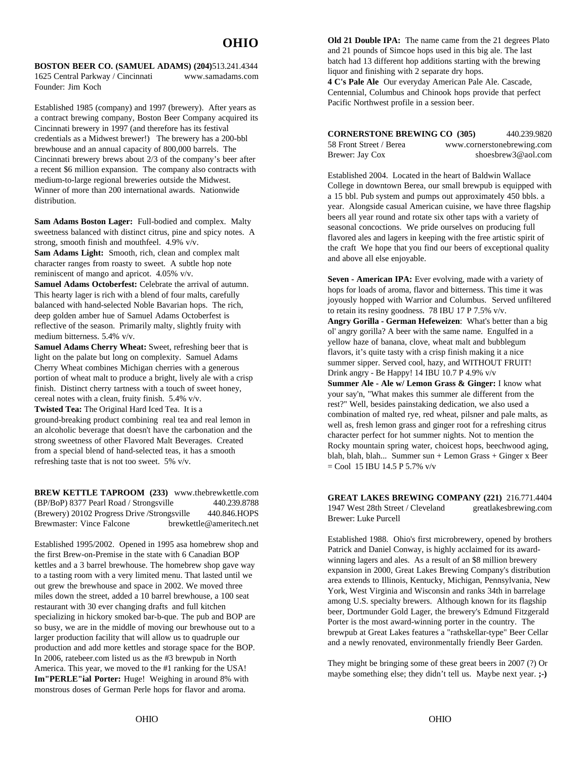**BOSTON BEER CO. (SAMUEL ADAMS) (204)**513.241.4344 1625 Central Parkway / Cincinnati www.samadams.com Founder: Jim Koch

Established 1985 (company) and 1997 (brewery). After years as a contract brewing company, Boston Beer Company acquired its Cincinnati brewery in 1997 (and therefore has its festival credentials as a Midwest brewer!) The brewery has a 200-bbl brewhouse and an annual capacity of 800,000 barrels. The Cincinnati brewery brews about 2/3 of the company's beer after a recent \$6 million expansion. The company also contracts with medium-to-large regional breweries outside the Midwest. Winner of more than 200 international awards. Nationwide distribution.

**Sam Adams Boston Lager:** Full-bodied and complex. Malty sweetness balanced with distinct citrus, pine and spicy notes. A strong, smooth finish and mouthfeel. 4.9% v/v. **Sam Adams Light:** Smooth, rich, clean and complex malt character ranges from roasty to sweet. A subtle hop note

reminiscent of mango and apricot. 4.05% v/v.

Samuel Adams Octoberfest: Celebrate the arrival of autumn. This hearty lager is rich with a blend of four malts, carefully balanced with hand-selected Noble Bavarian hops. The rich, deep golden amber hue of Samuel Adams Octoberfest is reflective of the season. Primarily malty, slightly fruity with medium bitterness. 5.4% v/v.

**Samuel Adams Cherry Wheat:** Sweet, refreshing beer that is light on the palate but long on complexity. Samuel Adams Cherry Wheat combines Michigan cherries with a generous portion of wheat malt to produce a bright, lively ale with a crisp finish. Distinct cherry tartness with a touch of sweet honey, cereal notes with a clean, fruity finish. 5.4% v/v. **Twisted Tea:** The Original Hard Iced Tea. It is a ground-breaking product combining real tea and real lemon in an alcoholic beverage that doesn't have the carbonation and the strong sweetness of other Flavored Malt Beverages. Created from a special blend of hand-selected teas, it has a smooth refreshing taste that is not too sweet. 5% v/v.

**BREW KETTLE TAPROOM (233)** www.thebrewkettle.com (BP/BoP) 8377 Pearl Road / Strongsville 440.239.8788 (Brewery) 20102 Progress Drive /Strongsville 440.846.HOPS Brewmaster: Vince Falcone brewkettle@ameritech.net

Established 1995/2002. Opened in 1995 asa homebrew shop and the first Brew-on-Premise in the state with 6 Canadian BOP kettles and a 3 barrel brewhouse. The homebrew shop gave way to a tasting room with a very limited menu. That lasted until we out grew the brewhouse and space in 2002. We moved three miles down the street, added a 10 barrel brewhouse, a 100 seat restaurant with 30 ever changing drafts and full kitchen specializing in hickory smoked bar-b-que. The pub and BOP are so busy, we are in the middle of moving our brewhouse out to a larger production facility that will allow us to quadruple our production and add more kettles and storage space for the BOP. In 2006, ratebeer.com listed us as the #3 brewpub in North America. This year, we moved to the #1 ranking for the USA! **Im"PERLE"ial Porter:** Huge! Weighing in around 8% with monstrous doses of German Perle hops for flavor and aroma.

**Old 21 Double IPA:** The name came from the 21 degrees Plato and 21 pounds of Simcoe hops used in this big ale. The last batch had 13 different hop additions starting with the brewing liquor and finishing with 2 separate dry hops.

**4 C's Pale Ale** Our everyday American Pale Ale. Cascade, Centennial, Columbus and Chinook hops provide that perfect Pacific Northwest profile in a session beer.

| <b>CORNERSTONE BREWING CO (305)</b> | 440.239.9820               |
|-------------------------------------|----------------------------|
| 58 Front Street / Berea             | www.cornerstonebrewing.com |
| Brewer: Jay Cox                     | shoesbrew $3@$ aol.com     |

Established 2004. Located in the heart of Baldwin Wallace College in downtown Berea, our small brewpub is equipped with a 15 bbl. Pub system and pumps out approximately 450 bbls. a year. Alongside casual American cuisine, we have three flagship beers all year round and rotate six other taps with a variety of seasonal concoctions. We pride ourselves on producing full flavored ales and lagers in keeping with the free artistic spirit of the craft We hope that you find our beers of exceptional quality and above all else enjoyable.

Seven - American IPA: Ever evolving, made with a variety of hops for loads of aroma, flavor and bitterness. This time it was joyously hopped with Warrior and Columbus. Served unfiltered to retain its resiny goodness. 78 IBU 17 P 7.5% v/v.

**Angry Gorilla - German Hefeweizen**: What's better than a big ol' angry gorilla? A beer with the same name. Engulfed in a yellow haze of banana, clove, wheat malt and bubblegum flavors, it's quite tasty with a crisp finish making it a nice summer sipper. Served cool, hazy, and WITHOUT FRUIT! Drink angry - Be Happy! 14 IBU 10.7 P 4.9% v/v

**Summer Ale - Ale w/ Lemon Grass & Ginger:** I know what your say'n, "What makes this summer ale different from the rest?" Well, besides painstaking dedication, we also used a combination of malted rye, red wheat, pilsner and pale malts, as well as, fresh lemon grass and ginger root for a refreshing citrus character perfect for hot summer nights. Not to mention the Rocky mountain spring water, choicest hops, beechwood aging, blah, blah, blah... Summer sun + Lemon Grass + Ginger x Beer  $=$  Cool 15 IBU 14.5 P 5.7% v/v

**GREAT LAKES BREWING COMPANY (221)** 216.771.4404 1947 West 28th Street / Cleveland greatlakesbrewing.com Brewer: Luke Purcell

Established 1988. Ohio's first microbrewery, opened by brothers Patrick and Daniel Conway, is highly acclaimed for its awardwinning lagers and ales. As a result of an \$8 million brewery expansion in 2000, Great Lakes Brewing Company's distribution area extends to Illinois, Kentucky, Michigan, Pennsylvania, New York, West Virginia and Wisconsin and ranks 34th in barrelage among U.S. specialty brewers. Although known for its flagship beer, Dortmunder Gold Lager, the brewery's Edmund Fitzgerald Porter is the most award-winning porter in the country. The brewpub at Great Lakes features a "rathskellar-type" Beer Cellar and a newly renovated, environmentally friendly Beer Garden.

They might be bringing some of these great beers in 2007 (?) Or maybe something else; they didn't tell us. Maybe next year. **;-)**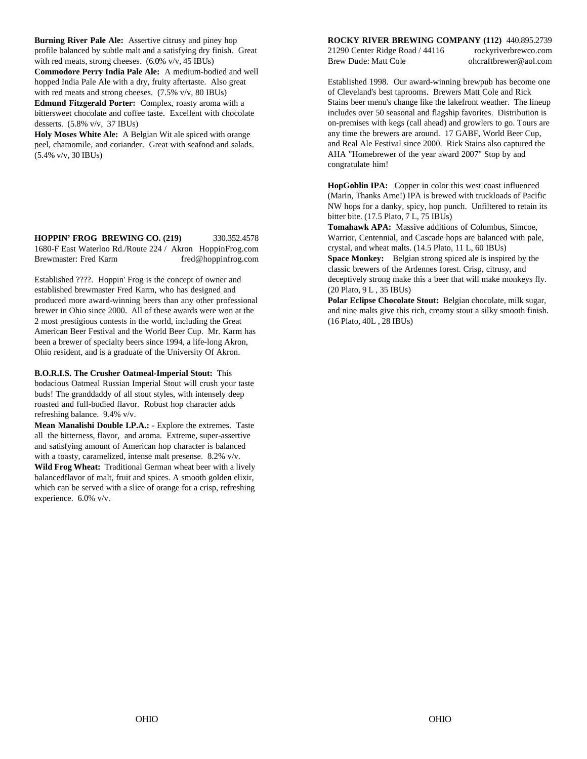**Burning River Pale Ale:** Assertive citrusy and piney hop **ROCKY RIVER BREWING COMPANY (112)** 440.895.2739 profile balanced by subtle malt and a satisfying dry finish. Great with red meats, strong cheeses. (6.0% v/v, 45 IBUs) Brew Dude: Matt Cole ohcraftbrewer@aol.com **Commodore Perry India Pale Ale:** A medium-bodied and well hopped India Pale Ale with a dry, fruity aftertaste. Also great with red meats and strong cheeses. (7.5% v/v, 80 IBUs) **Edmund Fitzgerald Porter:** Complex, roasty aroma with a bittersweet chocolate and coffee taste. Excellent with chocolate desserts. (5.8% v/v, 37 IBUs)

**Holy Moses White Ale:** A Belgian Wit ale spiced with orange peel, chamomile, and coriander. Great with seafood and salads. (5.4% v/v, 30 IBUs)

**HOPPIN' FROG BREWING CO. (219)** 330.352.4578 1680-F East Waterloo Rd./Route 224 / Akron HoppinFrog.com Brewmaster: Fred Karm fred@hoppinfrog.com

Established ????. Hoppin' Frog is the concept of owner and established brewmaster Fred Karm, who has designed and produced more award-winning beers than any other professional **Polar Eclipse Chocolate Stout:** Belgian chocolate, milk sugar, brewer in Ohio since 2000. All of these awards were won at the and nine malts give this rich, creamy stout a silky smooth finish. 2 most prestigious contests in the world, including the Great (16 Plato, 40L , 28 IBUs) American Beer Festival and the World Beer Cup. Mr. Karm has been a brewer of specialty beers since 1994, a life-long Akron, Ohio resident, and is a graduate of the University Of Akron.

**B.O.R.I.S. The Crusher Oatmeal-Imperial Stout:** This

bodacious Oatmeal Russian Imperial Stout will crush your taste buds! The granddaddy of all stout styles, with intensely deep roasted and full-bodied flavor. Robust hop character adds refreshing balance. 9.4% v/v.

**Mean Manalishi Double I.P.A.:** - Explore the extremes. Taste all the bitterness, flavor, and aroma. Extreme, super-assertive and satisfying amount of American hop character is balanced with a toasty, caramelized, intense malt presense. 8.2% v/v. **Wild Frog Wheat:** Traditional German wheat beer with a lively balancedflavor of malt, fruit and spices. A smooth golden elixir, which can be served with a slice of orange for a crisp, refreshing experience. 6.0% v/v.

21290 Center Ridge Road / 44116 rockyriverbrewco.com

Established 1998. Our award-winning brewpub has become one of Cleveland's best taprooms. Brewers Matt Cole and Rick Stains beer menu's change like the lakefront weather. The lineup includes over 50 seasonal and flagship favorites. Distribution is on-premises with kegs (call ahead) and growlers to go. Tours are any time the brewers are around. 17 GABF, World Beer Cup, and Real Ale Festival since 2000. Rick Stains also captured the AHA "Homebrewer of the year award 2007" Stop by and congratulate him!

**HopGoblin IPA:** Copper in color this west coast influenced (Marin, Thanks Arne!) IPA is brewed with truckloads of Pacific NW hops for a danky, spicy, hop punch. Unfiltered to retain its bitter bite. (17.5 Plato, 7 L, 75 IBUs)

**Tomahawk APA:** Massive additions of Columbus, Simcoe, Warrior, Centennial, and Cascade hops are balanced with pale, crystal, and wheat malts. (14.5 Plato, 11 L, 60 IBUs)

**Space Monkey:** Belgian strong spiced ale is inspired by the classic brewers of the Ardennes forest. Crisp, citrusy, and deceptively strong make this a beer that will make monkeys fly. (20 Plato, 9 L , 35 IBUs)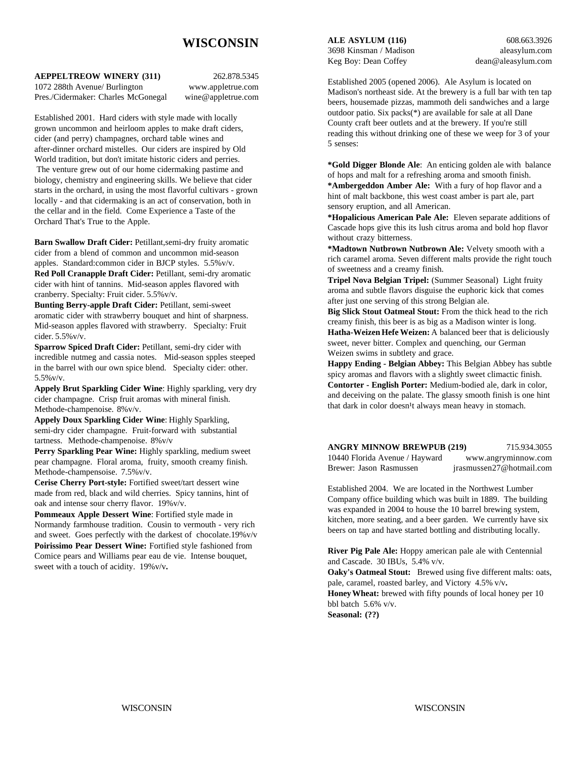# **WISCONSIN**

**AEPPELTREOW WINERY (311)** 262.878.5345 1072 288th Avenue/ Burlington www.appletrue.com

Pres./Cidermaker: Charles McGonegal wine@appletrue.com

Established 2001. Hard ciders with style made with locally grown uncommon and heirloom apples to make draft ciders, cider (and perry) champagnes, orchard table wines and after-dinner orchard mistelles. Our ciders are inspired by Old World tradition, but don't imitate historic ciders and perries. The venture grew out of our home cidermaking pastime and biology, chemistry and engineering skills. We believe that cider starts in the orchard, in using the most flavorful cultivars - grown locally - and that cidermaking is an act of conservation, both in the cellar and in the field. Come Experience a Taste of the Orchard That's True to the Apple.

**Barn Swallow Draft Cider:** Petillant,semi-dry fruity aromatic cider from a blend of common and uncommon mid-season apples. Standard:common cider in BJCP styles. 5.5%v/v.

**Red Poll Cranapple Draft Cider:** Petillant, semi-dry aromatic cider with hint of tannins. Mid-season apples flavored with cranberry. Specialty: Fruit cider. 5.5%v/v.

**Bunting Berry-apple Draft Cider:** Petillant, semi-sweet aromatic cider with strawberry bouquet and hint of sharpness. Mid-season apples flavored with strawberry. Specialty: Fruit cider. 5.5%v/v.

**Sparrow Spiced Draft Cider:** Petillant, semi-dry cider with incredible nutmeg and cassia notes. Mid-season spples steeped in the barrel with our own spice blend. Specialty cider: other. 5.5%v/v.

**Appely Brut Sparkling Cider Wine**: Highly sparkling, very dry cider champagne. Crisp fruit aromas with mineral finish. Methode-champenoise. 8%v/v.

**Appely Doux Sparkling Cider Wine**: Highly Sparkling, semi-dry cider champagne. Fruit-forward with substantial tartness. Methode-champenoise. 8%v/v

Perry Sparkling Pear Wine: Highly sparkling, medium sweet pear champagne. Floral aroma, fruity, smooth creamy finish. Methode-champensoise. 7.5%v/v.

**Cerise Cherry Port-style:** Fortified sweet/tart dessert wine made from red, black and wild cherries. Spicy tannins, hint of oak and intense sour cherry flavor. 19%v/v.

**Pommeaux Apple Dessert Wine**: Fortified style made in Normandy farmhouse tradition. Cousin to vermouth - very rich and sweet. Goes perfectly with the darkest of chocolate.19%v/v **Poirissimo Pear Dessert Wine:** Fortified style fashioned from Comice pears and Williams pear eau de vie. Intense bouquet, sweet with a touch of acidity. 19%v/v**.**

**ALE ASYLUM (116)** 608.663.3926 3698 Kinsman / Madison aleasylum.com Keg Boy: Dean Coffey dean@aleasylum.com

Established 2005 (opened 2006). Ale Asylum is located on Madison's northeast side. At the brewery is a full bar with ten tap beers, housemade pizzas, mammoth deli sandwiches and a large outdoor patio. Six packs(\*) are available for sale at all Dane County craft beer outlets and at the brewery. If you're still reading this without drinking one of these we weep for 3 of your 5 senses:

**\*Gold Digger Blonde Ale**: An enticing golden ale with balance of hops and malt for a refreshing aroma and smooth finish. **\*Ambergeddon Amber Ale:** With a fury of hop flavor and a hint of malt backbone, this west coast amber is part ale, part sensory eruption, and all American.

**\*Hopalicious American Pale Ale:** Eleven separate additions of Cascade hops give this its lush citrus aroma and bold hop flavor without crazy bitterness.

**\*Madtown Nutbrown Nutbrown Ale:** Velvety smooth with a rich caramel aroma. Seven different malts provide the right touch of sweetness and a creamy finish.

**Tripel Nova Belgian Tripel:** (Summer Seasonal) Light fruity aroma and subtle flavors disguise the euphoric kick that comes after just one serving of this strong Belgian ale.

**Big Slick Stout Oatmeal Stout:** From the thick head to the rich creamy finish, this beer is as big as a Madison winter is long. **Hatha-Weizen Hefe Weizen:** A balanced beer that is deliciously sweet, never bitter. Complex and quenching, our German Weizen swims in subtlety and grace.

**Happy Ending - Belgian Abbey:** This Belgian Abbey has subtle spicy aromas and flavors with a slightly sweet climactic finish. **Contorter - English Porter:** Medium-bodied ale, dark in color, and deceiving on the palate. The glassy smooth finish is one hint that dark in color doesn<sup>1</sup>t always mean heavy in stomach.

**ANGRY MINNOW BREWPUB (219)** 715.934.3055

10440 Florida Avenue / Hayward www.angryminnow.com Brewer: Jason Rasmussen jrasmussen27@hotmail.com

Established 2004. We are located in the Northwest Lumber Company office building which was built in 1889. The building was expanded in 2004 to house the 10 barrel brewing system, kitchen, more seating, and a beer garden. We currently have six beers on tap and have started bottling and distributing locally.

**River Pig Pale Ale:** Hoppy american pale ale with Centennial and Cascade. 30 IBUs, 5.4% v/v. **Oaky's Oatmeal Stout:** Brewed using five different malts: oats, pale, caramel, roasted barley, and Victory4.5% v/v**. Honey Wheat:** brewed with fifty pounds of local honey per 10 bbl batch 5.6% v/v.

**Seasonal: (??)**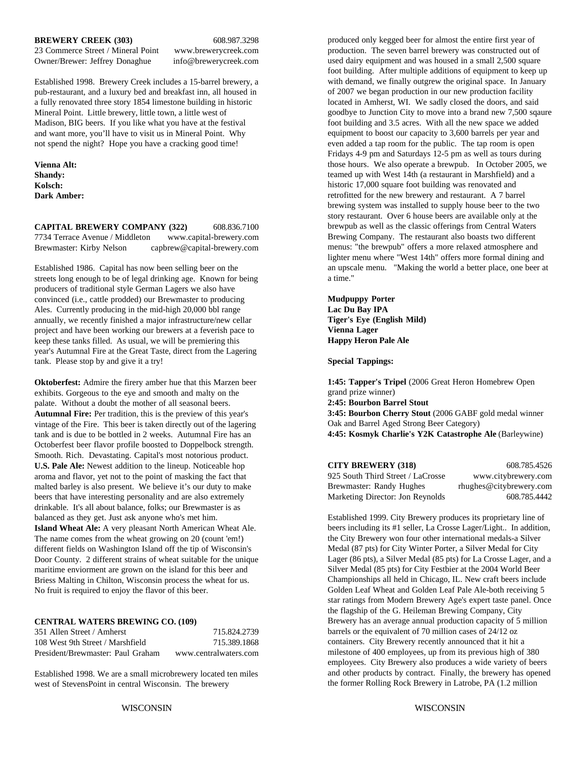#### **BREWERY CREEK (303)** 608.987.3298

23 Commerce Street / Mineral Point www.brewerycreek.com Owner/Brewer: Jeffrey Donaghue info@brewerycreek.com

Established 1998. Brewery Creek includes a 15-barrel brewery, a pub-restaurant, and a luxury bed and breakfast inn, all housed in a fully renovated three story 1854 limestone building in historic Mineral Point. Little brewery, little town, a little west of Madison, BIG beers. If you like what you have at the festival and want more, you'll have to visit us in Mineral Point. Why not spend the night? Hope you have a cracking good time!

**Vienna Alt: Shandy: Kolsch: Dark Amber:**

**CAPITAL BREWERY COMPANY (322)** 608.836.7100 7734 Terrace Avenue / Middleton www.capital-brewery.com Brewmaster: Kirby Nelson capbrew@capital-brewery.com

Established 1986. Capital has now been selling beer on the streets long enough to be of legal drinking age. Known for being producers of traditional style German Lagers we also have convinced (i.e., cattle prodded) our Brewmaster to producing Ales. Currently producing in the mid-high 20,000 bbl range annually, we recently finished a major infrastructure/new cellar project and have been working our brewers at a feverish pace to keep these tanks filled. As usual, we will be premiering this year's Autumnal Fire at the Great Taste, direct from the Lagering tank. Please stop by and give it a try!

**Oktoberfest:** Admire the firery amber hue that this Marzen beer exhibits. Gorgeous to the eye and smooth and malty on the palate. Without a doubt the mother of all seasonal beers. **Autumnal Fire:** Per tradition, this is the preview of this year's vintage of the Fire. This beer is taken directly out of the lagering tank and is due to be bottled in 2 weeks. Autumnal Fire has an Octoberfest beer flavor profile boosted to Doppelbock strength. Smooth. Rich. Devastating. Capital's most notorious product. **U.S. Pale Ale:** Newest addition to the lineup. Noticeable hop aroma and flavor, yet not to the point of masking the fact that malted barley is also present. We believe it's our duty to make beers that have interesting personality and are also extremely drinkable. It's all about balance, folks; our Brewmaster is as balanced as they get. Just ask anyone who's met him. **Island Wheat Ale:** A very pleasant North American Wheat Ale. The name comes from the wheat growing on 20 (count 'em!) different fields on Washington Island off the tip of Wisconsin's Door County. 2 different strains of wheat suitable for the unique maritime enviorment are grown on the island for this beer and Briess Malting in Chilton, Wisconsin process the wheat for us. No fruit is required to enjoy the flavor of this beer.

#### **CENTRAL WATERS BREWING CO. (109)**

| 351 Allen Street / Amherst        | 715.824.2739          |
|-----------------------------------|-----------------------|
| 108 West 9th Street / Marshfield  | 715.389.1868          |
| President/Brewmaster: Paul Graham | www.centralwaters.com |

Established 1998. We are a small microbrewery located ten miles west of StevensPoint in central Wisconsin. The brewery

produced only kegged beer for almost the entire first year of production. The seven barrel brewery was constructed out of used dairy equipment and was housed in a small 2,500 square foot building. After multiple additions of equipment to keep up with demand, we finally outgrew the original space. In January of 2007 we began production in our new production facility located in Amherst, WI. We sadly closed the doors, and said goodbye to Junction City to move into a brand new 7,500 sqaure foot building and 3.5 acres. With all the new space we added equipment to boost our capacity to 3,600 barrels per year and even added a tap room for the public. The tap room is open Fridays 4-9 pm and Saturdays 12-5 pm as well as tours during those hours. We also operate a brewpub. In October 2005, we teamed up with West 14th (a restaurant in Marshfield) and a historic 17,000 square foot building was renovated and retrofitted for the new brewery and restaurant. A 7 barrel brewing system was installed to supply house beer to the two story restaurant. Over 6 house beers are available only at the brewpub as well as the classic offerings from Central Waters Brewing Company. The restaurant also boasts two different menus: "the brewpub" offers a more relaxed atmosphere and lighter menu where "West 14th" offers more formal dining and an upscale menu. "Making the world a better place, one beer at a time."

**Mudpuppy Porter Lac Du Bay IPA Tiger's Eye (English Mild) Vienna Lager Happy Heron Pale Ale**

**Special Tappings:**

**1:45: Tapper's Tripel** (2006 Great Heron Homebrew Open grand prize winner) **2:45: Bourbon Barrel Stout 3:45: Bourbon Cherry Stout** (2006 GABF gold medal winner Oak and Barrel Aged Strong Beer Category) **4:45: Kosmyk Charlie's Y2K Catastrophe Ale** (Barleywine)

| <b>CITY BREWERY (318)</b>         | 608.785.4526            |
|-----------------------------------|-------------------------|
| 925 South Third Street / LaCrosse | www.citybrewery.com     |
| Brewmaster: Randy Hughes          | rhughes@citybrewery.com |
| Marketing Director: Jon Reynolds  | 608.785.4442            |

Established 1999. City Brewery produces its proprietary line of beers including its #1 seller, La Crosse Lager/Light.. In addition, the City Brewery won four other international medals-a Silver Medal (87 pts) for City Winter Porter, a Silver Medal for City Lager (86 pts), a Silver Medal (85 pts) for La Crosse Lager, and a Silver Medal (85 pts) for City Festbier at the 2004 World Beer Championships all held in Chicago, IL. New craft beers include Golden Leaf Wheat and Golden Leaf Pale Ale-both receiving 5 star ratings from Modern Brewery Age's expert taste panel. Once the flagship of the G. Heileman Brewing Company, City Brewery has an average annual production capacity of 5 million barrels or the equivalent of 70 million cases of 24/12 oz containers. City Brewery recently announced that it hit a milestone of 400 employees, up from its previous high of 380 employees. City Brewery also produces a wide variety of beers and other products by contract. Finally, the brewery has opened the former Rolling Rock Brewery in Latrobe, PA (1.2 million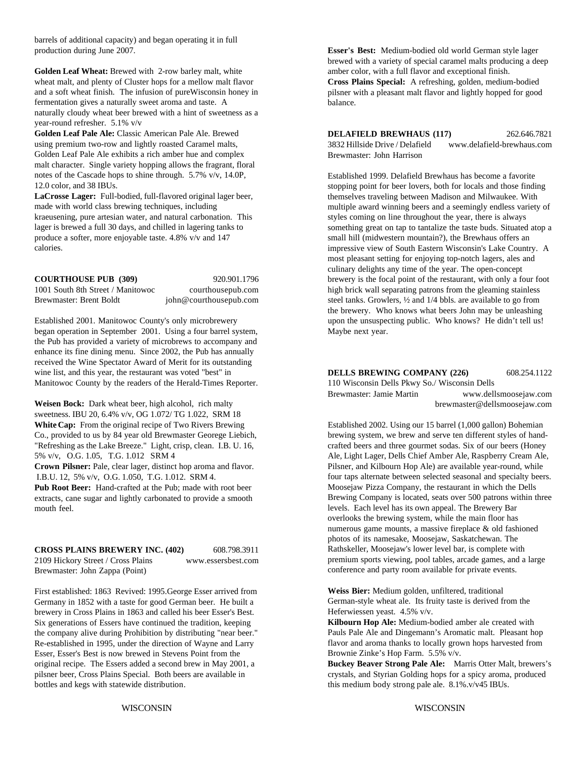barrels of additional capacity) and began operating it in full production during June 2007.

Golden Leaf Wheat: Brewed with 2-row barley malt, white amber color, with a full flavor and exceptional finish. wheat malt, and plenty of Cluster hops for a mellow malt flavor and a soft wheat finish. The infusion of pureWisconsin honey in fermentation gives a naturally sweet aroma and taste. A naturally cloudy wheat beer brewed with a hint of sweetness as a year-round refresher. 5.1% v/v

**Golden Leaf Pale Ale:** Classic American Pale Ale. Brewed using premium two-row and lightly roasted Caramel malts, Golden Leaf Pale Ale exhibits a rich amber hue and complex malt character. Single variety hopping allows the fragrant, floral notes of the Cascade hops to shine through. 5.7% v/v, 14.0P, 12.0 color, and 38 IBUs.

**LaCrosse Lager:** Full-bodied, full-flavored original lager beer, made with world class brewing techniques, including kraeusening, pure artesian water, and natural carbonation. This lager is brewed a full 30 days, and chilled in lagering tanks to produce a softer, more enjoyable taste. 4.8% v/v and 147 calories.

began operation in September 2001. Using a four barrel system, Maybe next year. the Pub has provided a variety of microbrews to accompany and enhance its fine dining menu. Since 2002, the Pub has annually received the Wine Spectator Award of Merit for its outstanding wine list, and this year, the restaurant was voted "best" in Manitowoc County by the readers of the Herald-Times Reporter.

**Weisen Bock:** Dark wheat beer, high alcohol, rich malty sweetness. IBU 20, 6.4% v/v, OG 1.072/ TG 1.022, SRM 18 **White Cap:** From the original recipe of Two Rivers Brewing Established 2002. Using our 15 barrel (1,000 gallon) Bohemian Co., provided to us by 84 year old Brewmaster Georege Liebich, brewing system, we brew and serve ten different styles of hand-"Refreshing as the Lake Breeze." Light, crisp, clean. I.B. U. 16, crafted beers and three gourmet sodas. Six of our beers (Honey

**Crown Pilsner:** Pale, clear lager, distinct hop aroma and flavor. I.B.U. 12, 5% v/v, O.G. 1.050, T.G. 1.012. SRM 4.

**Pub Root Beer:** Hand-crafted at the Pub; made with root beer extracts, cane sugar and lightly carbonated to provide a smooth mouth feel.

#### **CROSS PLAINS BREWERY INC. (402)** 608.798.3911 2109 Hickory Street / Cross Plains www.essersbest.com

Brewmaster: John Zappa (Point)

First established: 1863 Revived: 1995.George Esser arrived from Germany in 1852 with a taste for good German beer. He built a brewery in Cross Plains in 1863 and called his beer Esser's Best. Six generations of Essers have continued the tradition, keeping the company alive during Prohibition by distributing "near beer." Re-established in 1995, under the direction of Wayne and Larry Esser, Esser's Best is now brewed in Stevens Point from the original recipe. The Essers added a second brew in May 2001, a<br>
pilsner beer, Cross Plains Special. Both beers are available in experience of crystals, and Styrian Golding hops for a spicy aroma, produced bottles and kegs with statewide distribution. this medium body strong pale ale. 8.1% v/v45 IBUs.

**Esser's Best:** Medium-bodied old world German style lager brewed with a variety of special caramel malts producing a deep **Cross Plains Special:** A refreshing, golden, medium-bodied pilsner with a pleasant malt flavor and lightly hopped for good balance.

**DELAFIELD BREWHAUS (117)** 262.646.7821 3832 Hillside Drive / Delafield www.delafield-brewhaus.com Brewmaster: John Harrison

**COURTHOUSE PUB (309)** 920.901.1796 brewery is the focal point of the restaurant, with only a four foot 1001 South 8th Street / Manitowoc courthousepub.com high brick wall separating patrons from the gleaming stainless<br>Brewmaster: Brent Boldt john@courthousepub.com setel tanks. Growlers, 1/2 and 1/4 bbls. are available to go steel tanks. Growlers, 1/2 and 1/4 bbls. are available to go from Established 2001. Manitowoc County's only microbrewery upon the unsuspecting public. Who knows? He didn't tell us! Established 1999. Delafield Brewhaus has become a favorite stopping point for beer lovers, both for locals and those finding themselves traveling between Madison and Milwaukee. With multiple award winning beers and a seemingly endless variety of styles coming on line throughout the year, there is always something great on tap to tantalize the taste buds. Situated atop a small hill (midwestern mountain?), the Brewhaus offers an impressive view of South Eastern Wisconsin's Lake Country. A most pleasant setting for enjoying top-notch lagers, ales and culinary delights any time of the year. The open-concept the brewery. Who knows what beers John may be unleashing

**DELLS BREWING COMPANY (226)** 608.254.1122

110 Wisconsin Dells Pkwy So./ Wisconsin Dells Brewmaster: Jamie Martin www.dellsmoosejaw.com brewmaster@dellsmoosejaw.com

5% v/v, O.G. 1.05, T.G. 1.012 SRM 4 Ale, Light Lager, Dells Chief Amber Ale, Raspberry Cream Ale, Pilsner, and Kilbourn Hop Ale) are available year-round, while four taps alternate between selected seasonal and specialty beers. Moosejaw Pizza Company, the restaurant in which the Dells Brewing Company is located, seats over 500 patrons within three levels. Each level has its own appeal. The Brewery Bar overlooks the brewing system, while the main floor has numerous game mounts, a massive fireplace & old fashioned photos of its namesake, Moosejaw, Saskatchewan. The Rathskeller, Moosejaw's lower level bar, is complete with premium sports viewing, pool tables, arcade games, and a large conference and party room available for private events.

> **Weiss Bier:** Medium golden, unfiltered, traditional German-style wheat ale. Its fruity taste is derived from the Heferwiessen yeast. 4.5% v/v.

**Kilbourn Hop Ale:** Medium-bodied amber ale created with Pauls Pale Ale and Dingemann's Aromatic malt. Pleasant hop flavor and aroma thanks to locally grown hops harvested from Brownie Zinke's Hop Farm. 5.5% v/v.

crystals, and Styrian Golding hops for a spicy aroma, produced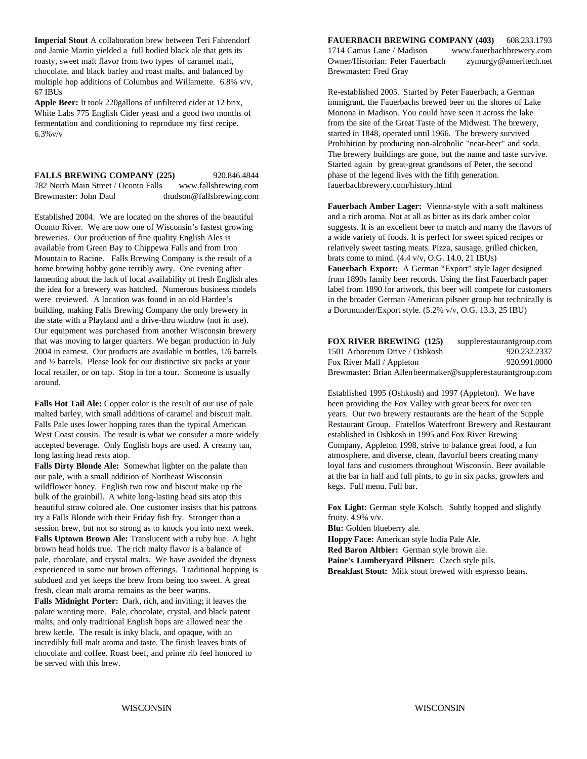**Imperial Stout** A collaboration brew between Teri Fahrendorf **FAUERBACH BREWING COMPANY (403)** 608.233.1793 chocolate, and black barley and roast malts, and balanced by Brewmaster: Fred Gray multiple hop additions of Columbus and Willamette. 6.8% v/v, 67 IBUs Re-established 2005. Started by Peter Fauerbach, a German

**Apple Beer:** It took 220gallons of unfiltered cider at 12 brix, White Labs 775 English Cider yeast and a good two months of fermentation and conditioning to reproduce my first recipe.  $6.3\%$  v/v

**FALLS BREWING COMPANY (225)** 920.846.4844 782 North Main Street / Oconto Falls www.fallsbrewing.com Brewmaster: John Daul thudson@fallsbrewing.com

Established 2004. We are located on the shores of the beautiful Oconto River. We are now one of Wisconsin's fastest growing breweries. Our production of fine quality English Ales is available from Green Bay to Chippewa Falls and from Iron Mountain to Racine. Falls Brewing Company is the result of a home brewing hobby gone terribly awry. One evening after **Fauerbach Export:** A German "Export" style lager designed lamenting about the lack of local availability of fresh English ales from 1890s family beer records. Using lamenting about the lack of local availability of fresh English ales building, making Falls Brewing Company the only brewery in a Dortmunder/Export style. (5.2% v/v, O.G. 13.3, 25 IBU) the state with a Playland and a drive-thru window (not in use). Our equipment was purchased from another Wisconsin brewery that was moving to larger quarters. We began production in July 2004 in earnest. Our products are available in bottles, 1/6 barrels and ½ barrels. Please look for our distinctive six packs at your local retailer, or on tap. Stop in for a tour. Someone is usually around.

**Falls Hot Tail Ale:** Copper color is the result of our use of pale been providing the Fox Valley with great beers for over ten malted barley, with small additions of caramel and biscuit malt. years. Our two brewery restaurants are the heart of the Supple Falls Pale uses lower hopping rates than the typical American Restaurant Restaurant Group. Fratellos Waterfront Brewery and Restaurant West Coast cousin. The result is what we consider a more widely established in Oshkosh in 1995 and Fox River Brewing accepted beverage. Only English hops are used. A creamy tan, Company, Appleton 1998, strive to balance great food, a fun long lasting head rests atop. atmosphere, and diverse, clean, flavorful beers creating many

**Falls Dirty Blonde Ale:** Somewhat lighter on the palate than our pale, with a small addition of Northeast Wisconsin wildflower honey. English two row and biscuit make up the bulk of the grainbill. A white long-lasting head sits atop this beautiful straw colored ale. One customer insists that his patrons **Fox Light:** German style Kolsch. Subtly hopped and slightly try a Falls Blonde with their Friday fish fry. Stronger than a fruity. 4.9% v/v. session brew, but not so strong as to knock you into next week. **Falls Uptown Brown Ale:** Translucent with a ruby hue. A light brown head holds true. The rich malty flavor is a balance of pale, chocolate, and crystal malts. We have avoided the dryness experienced in some nut brown offerings. Traditional hopping is subdued and yet keeps the brew from being too sweet. A great fresh, clean malt aroma remains as the beer warms.

**Falls Midnight Porter:** Dark, rich, and inviting; it leaves the palate wanting more. Pale, chocolate, crystal, and black patent malts, and only traditional English hops are allowed near the brew kettle. The result is inky black, and opaque, with an incredibly full malt aroma and taste. The finish leaves hints of chocolate and coffee. Roast beef, and prime rib feel honored to be served with this brew.

and Jamie Martin yielded a full bodied black ale that gets its 1714 Camus Lane / Madison www.fauerbachbrewery.com roasty, sweet malt flavor from two types of caramel malt, Owner/Historian: Peter Fauerbach zymurgy@ameritech.net

> immigrant, the Fauerbachs brewed beer on the shores of Lake Monona in Madison. You could have seen it across the lake from the site of the Great Taste of the Midwest. The brewery, started in 1848, operated until 1966. The brewery survived Prohibition by producing non-alcoholic "near-beer" and soda. The brewery buildings are gone, but the name and taste survive. Started again by great-great grandsons of Peter, the second phase of the legend lives with the fifth generation. fauerbachbrewery.com/history.html

**Fauerbach Amber Lager:** Vienna-style with a soft maltiness and a rich aroma. Not at all as bitter as its dark amber color suggests. It is an excellent beer to match and marry the flavors of a wide variety of foods. It is perfect for sweet spiced recipes or relatively sweet tasting meats. Pizza, sausage, grilled chicken, brats come to mind. (4.4 v/v, O.G. 14.0, 21 IBUs)

the idea for a brewery was hatched. Numerous business models label from 1890 for artwork, this beer will compete for customers were reviewed. A location was found in an old Hardee's in the broader German /American pilsner group but technically is

> **FOX RIVER BREWING (125)** supplerestaurantgroup.com 1501 Arboretum Drive / Oshkosh 920.232.2337 Fox River Mall / Appleton 920.991.0000 Brewmaster: Brian Allenbeermaker@supplerestaurantgroup.com

> Established 1995 (Oshkosh) and 1997 (Appleton). We have loyal fans and customers throughout Wisconsin. Beer available at the bar in half and full pints, to go in six packs, growlers and kegs. Full menu. Full bar.

**Blu:** Golden blueberry ale.

**Hoppy Face:** American style India Pale Ale.

**Red Baron Altbier:** German style brown ale.

**Paine's Lumberyard Pilsner:** Czech style pils.

**Breakfast Stout:** Milk stout brewed with espresso beans.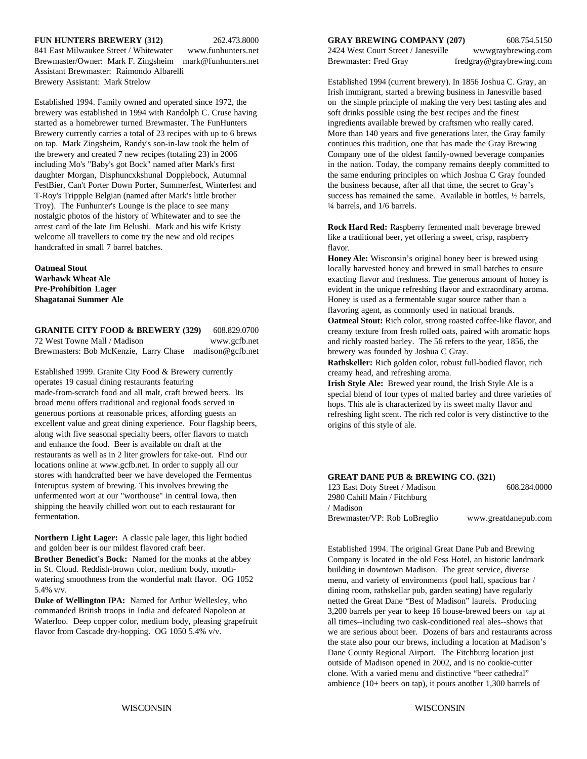841 East Milwaukee Street / Whitewater www.funhunters.net 2424 West Court Street / Janesville wwwgraybrewing.com Brewmaster/Owner: Mark F. Zingsheim mark@funhunters.net Brewmaster: Fred Gray fredgray@graybrewing.com Assistant Brewmaster: Raimondo Albarelli Brewery Assistant: Mark Strelow Established 1994 (current brewery). In 1856 Joshua C. Gray, an

brewery was established in 1994 with Randolph C. Cruse having soft drinks possible using the best recipes and the finest started as a homebrewer turned Brewmaster. The FunHunters ingredients available brewed by craftsmen who really cared. Brewery currently carries a total of 23 recipes with up to 6 brews More than 140 years and five generations later, the Gray family on tap. Mark Zingsheim, Randy's son-in-law took the helm of continues this tradition, one that has made the Gray Brewing the brewery and created 7 new recipes (totaling 23) in 2006 Company one of the oldest family-owned beverage companies including Mo's "Baby's got Bock" named after Mark's first in the nation. Today, the company remains deeply committed to daughter Morgan, Disphuncxkshunal Dopplebock, Autumnal the same enduring principles on which Joshua C Gray founded FestBier, Can't Porter Down Porter, Summerfest, Winterfest and the business because, after all that time, the secret to Gray's T-Roy's Trippple Belgian (named after Mark's little brother success has remained the same. Available in bottles,  $\frac{1}{2}$  barrels, Troy). The Funhunter's Lounge is the place to see many  $\frac{1}{4}$  barrels, and 1/6 barrels. nostalgic photos of the history of Whitewater and to see the arrest card of the late Jim Belushi. Mark and his wife Kristy welcome all travellers to come try the new and old recipes handcrafted in small 7 barrel batches.

**Oatmeal Stout Warhawk Wheat Ale Pre-Prohibition Lager Shagatanai Summer Ale**

**GRANITE CITY FOOD & BREWERY (329)** 608.829.0700 72 West Towne Mall / Madison www.gcfb.net Brewmasters: Bob McKenzie, Larry Chase madison@gcfb.net

Established 1999. Granite City Food & Brewery currently operates 19 casual dining restaurants featuring made-from-scratch food and all malt, craft brewed beers. Its broad menu offers traditional and regional foods served in generous portions at reasonable prices, affording guests an excellent value and great dining experience. Four flagship beers, along with five seasonal specialty beers, offer flavors to match and enhance the food. Beer is available on draft at the restaurants as well as in 2 liter growlers for take-out. Find our locations online at www.gcfb.net. In order to supply all our stores with handcrafted beer we have developed the Fermentus Interuptus system of brewing. This involves brewing the unfermented wort at our "worthouse" in central Iowa, then shipping the heavily chilled wort out to each restaurant for fermentation.

**Northern Light Lager:** A classic pale lager, this light bodied and golden beer is our mildest flavored craft beer. **Brother Benedict's Bock:** Named for the monks at the abbey in St. Cloud. Reddish-brown color, medium body, mouthwatering smoothness from the wonderful malt flavor. OG 1052 5.4% v/v.

**Duke of Wellington IPA:** Named for Arthur Wellesley, who commanded British troops in India and defeated Napoleon at Waterloo. Deep copper color, medium body, pleasing grapefruit flavor from Cascade dry-hopping. OG 1050 5.4% v/v.

**FUN HUNTERS BREWERY (312)** 262.473.8000 **GRAY BREWING COMPANY (207)** 608.754.5150

Irish immigrant, started a brewing business in Janesville based Established 1994. Family owned and operated since 1972, the on the simple principle of making the very best tasting ales and

> **Rock Hard Red:** Raspberry fermented malt beverage brewed like a traditional beer, yet offering a sweet, crisp, raspberry flavor.

**Honey Ale:** Wisconsin's original honey beer is brewed using locally harvested honey and brewed in small batches to ensure exacting flavor and freshness. The generous amount of honey is evident in the unique refreshing flavor and extraordinary aroma. Honey is used as a fermentable sugar source rather than a flavoring agent, as commonly used in national brands.

**Oatmeal Stout:** Rich color, strong roasted coffee-like flavor, and creamy texture from fresh rolled oats, paired with aromatic hops and richly roasted barley. The 56 refers to the year, 1856, the brewery was founded by Joshua C Gray.

**Rathskeller:** Rich golden color, robust full-bodied flavor, rich creamy head, and refreshing aroma.

**Irish Style Ale:** Brewed year round, the Irish Style Ale is a special blend of four types of malted barley and three varieties of hops. This ale is characterized by its sweet malty flavor and refreshing light scent. The rich red color is very distinctive to the origins of this style of ale.

#### **GREAT DANE PUB & BREWING CO. (321)**

123 East Doty Street / Madison 608.284.0000 2980 Cahill Main / Fitchburg / Madison Brewmaster/VP: Rob LoBreglio www.greatdanepub.com

Established 1994. The original Great Dane Pub and Brewing Company is located in the old Fess Hotel, an historic landmark building in downtown Madison. The great service, diverse menu, and variety of environments (pool hall, spacious bar / dining room, rathskellar pub, garden seating) have regularly netted the Great Dane "Best of Madison" laurels. Producing 3,200 barrels per year to keep 16 house-brewed beers on tap at all times--including two cask-conditioned real ales--shows that we are serious about beer. Dozens of bars and restaurants across the state also pour our brews, including a location at Madison's Dane County Regional Airport. The Fitchburg location just outside of Madison opened in 2002, and is no cookie-cutter clone. With a varied menu and distinctive "beer cathedral" ambience (10+ beers on tap), it pours another 1,300 barrels of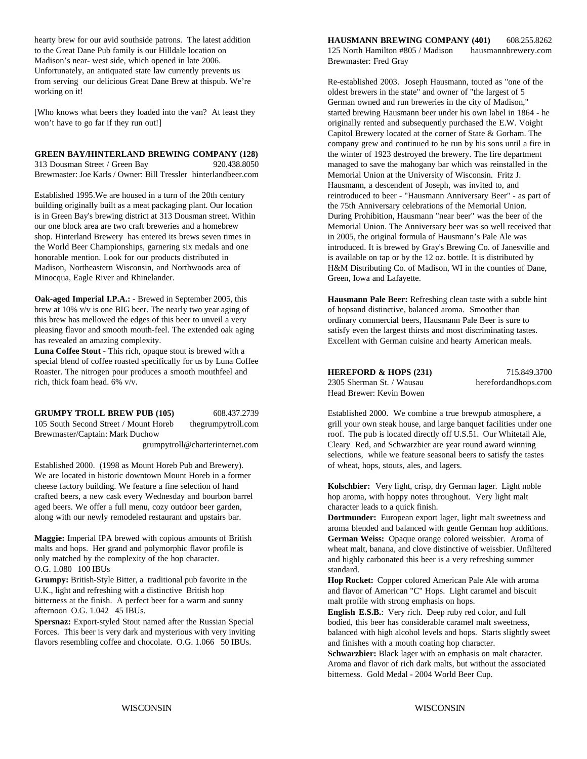hearty brew for our avid southside patrons. The latest addition to the Great Dane Pub family is our Hilldale location on Madison's near- west side, which opened in late 2006. Unfortunately, an antiquated state law currently prevents us from serving our delicious Great Dane Brew at thispub. We're working on it!

[Who knows what beers they loaded into the van? At least they won't have to go far if they run out!]

313 Dousman Street / Green Bay 920.438.8050 Brewmaster: Joe Karls / Owner: Bill Tressler hinterlandbeer.com

Established 1995.We are housed in a turn of the 20th century building originally built as a meat packaging plant. Our location is in Green Bay's brewing district at 313 Dousman street. Within our one block area are two craft breweries and a homebrew shop. Hinterland Brewery has entered its brews seven times in the World Beer Championships, garnering six medals and one honorable mention. Look for our products distributed in Madison, Northeastern Wisconsin, and Northwoods area of Minocqua, Eagle River and Rhinelander.

**Oak-aged Imperial I.P.A.:** - Brewed in September 2005, this brew at 10% v/v is one BIG beer. The nearly two year aging of this brew has mellowed the edges of this beer to unveil a very pleasing flavor and smooth mouth-feel. The extended oak aging has revealed an amazing complexity.

**Luna Coffee Stout** - This rich, opaque stout is brewed with a special blend of coffee roasted specifically for us by Luna Coffee Roaster. The nitrogen pour produces a smooth mouthfeel and rich, thick foam head. 6% v/v.

| <b>GRUMPY TROLL BREW PUB (105)</b>    | 608.437.2739       |
|---------------------------------------|--------------------|
| 105 South Second Street / Mount Horeb | thegrumpytroll.com |
| Brewmaster/Captain: Mark Duchow       |                    |

Established 2000. (1998 as Mount Horeb Pub and Brewery). The of wheat, hops, stouts, ales, and lagers. We are located in historic downtown Mount Horeb in a former cheese factory building. We feature a fine selection of hand crafted beers, a new cask every Wednesday and bourbon barrel aged beers. We offer a full menu, cozy outdoor beer garden, along with our newly remodeled restaurant and upstairs bar.

**Maggie:** Imperial IPA brewed with copious amounts of British malts and hops. Her grand and polymorphic flavor profile is only matched by the complexity of the hop character. O.G. 1.080 100 IBUs

**Grumpy:** British-Style Bitter, a traditional pub favorite in the U.K., light and refreshing with a distinctive British hop bitterness at the finish. A perfect beer for a warm and sunny afternoon O.G. 1.042 45 IBUs.

**Spersnaz:** Export-styled Stout named after the Russian Special Forces. This beer is very dark and mysterious with very inviting flavors resembling coffee and chocolate. O.G. 1.066 50 IBUs.

**HAUSMANN BREWING COMPANY (401)** 608.255.8262 125 North Hamilton #805 / Madison hausmannbrewery.com Brewmaster: Fred Gray

**GREEN BAY/HINTERLAND BREWING COMPANY (128)** the winter of 1923 destroyed the brewery. The fire department Re-established 2003. Joseph Hausmann, touted as "one of the oldest brewers in the state" and owner of "the largest of 5 German owned and run breweries in the city of Madison," started brewing Hausmann beer under his own label in 1864 - he originally rented and subsequently purchased the E.W. Voight Capitol Brewery located at the corner of State & Gorham. The company grew and continued to be run by his sons until a fire in managed to save the mahogany bar which was reinstalled in the Memorial Union at the University of Wisconsin. Fritz J. Hausmann, a descendent of Joseph, was invited to, and reintroduced to beer - "Hausmann Anniversary Beer" - as part of the 75th Anniversary celebrations of the Memorial Union. During Prohibition, Hausmann "near beer" was the beer of the Memorial Union. The Anniversary beer was so well received that in 2005, the original formula of Hausmann's Pale Ale was introduced. It is brewed by Gray's Brewing Co. of Janesville and is available on tap or by the 12 oz. bottle. It is distributed by H&M Distributing Co. of Madison, WI in the counties of Dane, Green, Iowa and Lafayette.

> **Hausmann Pale Beer:** Refreshing clean taste with a subtle hint of hopsand distinctive, balanced aroma. Smoother than ordinary commercial beers, Hausmann Pale Beer is sure to satisfy even the largest thirsts and most discriminating tastes. Excellent with German cuisine and hearty American meals.

**HEREFORD & HOPS (231)** 715.849.3700 2305 Sherman St. / Wausau herefordandhops.com Head Brewer: Kevin Bowen

Established 2000. We combine a true brewpub atmosphere, a grill your own steak house, and large banquet facilities under one roof. The pub is located directly off U.S.51. Our Whitetail Ale, grumpytroll@charterinternet.com Cleary Red, and Schwarzbier are year round award winning selections, while we feature seasonal beers to satisfy the tastes

> **Kolschbier:** Very light, crisp, dry German lager. Light noble hop aroma, with hoppy notes throughout. Very light malt character leads to a quick finish.

**Dortmunder:** European export lager, light malt sweetness and aroma blended and balanced with gentle German hop additions. **German Weiss:** Opaque orange colored weissbier. Aroma of wheat malt, banana, and clove distinctive of weissbier. Unfiltered and highly carbonated this beer is a very refreshing summer standard.

**Hop Rocket:** Copper colored American Pale Ale with aroma and flavor of American "C" Hops. Light caramel and biscuit malt profile with strong emphasis on hops.

**English E.S.B.**: Very rich. Deep ruby red color, and full bodied, this beer has considerable caramel malt sweetness, balanced with high alcohol levels and hops. Starts slightly sweet and finishes with a mouth coating hop character.

**Schwarzbier:** Black lager with an emphasis on malt character. Aroma and flavor of rich dark malts, but without the associated bitterness. Gold Medal - 2004 World Beer Cup.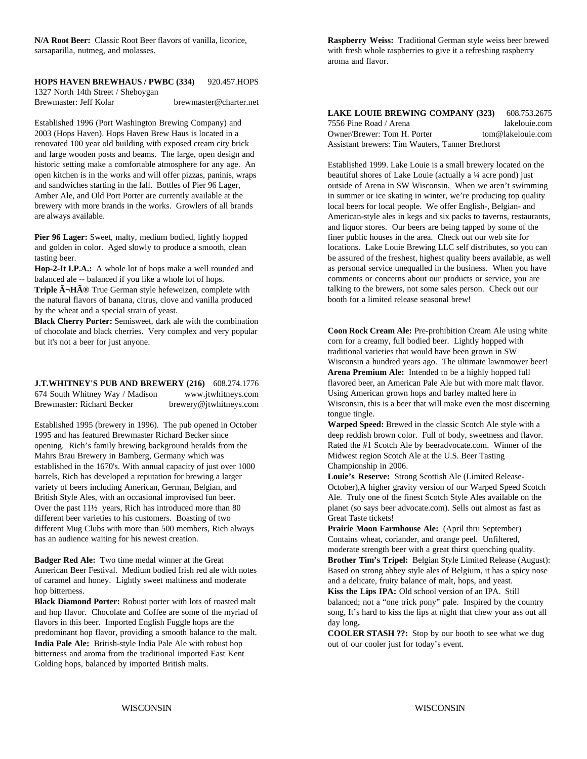sarsaparilla, nutmeg, and molasses.

#### **HOPS HAVEN BREWHAUS / PWBC (334)** 920.457.HOPS 1327 North 14th Street / Sheboygan

Brewmaster: Jeff Kolar brewmaster@charter.net

Established 1996 (Port Washington Brewing Company) and 2003 (Hops Haven). Hops Haven Brew Haus is located in a renovated 100 year old building with exposed cream city brick and large wooden posts and beams. The large, open design and historic setting make a comfortable atmosphere for any age. An open kitchen is in the works and will offer pizzas, paninis, wraps and sandwiches starting in the fall. Bottles of Pier 96 Lager, Amber Ale, and Old Port Porter are currently available at the brewery with more brands in the works. Growlers of all brands are always available.

**Hop-2-It I.P.A.:** A whole lot of hops make a well rounded and balanced ale -- balanced if you like a whole lot of hops.

Triple  $\tilde{A} \neg H \tilde{A} \circledast$  True German style hefeweizen, complete with the natural flavors of banana, citrus, clove and vanilla produced by the wheat and a special strain of yeast.

**Black Cherry Porter:** Semisweet, dark ale with the combination of chocolate and black cherries. Very complex and very popular but it's not a beer for just anyone.

### **J.T.WHITNEY'S PUB AND BREWERY (216)** 608.274.1776 674 South Whitney Way / Madison www.jtwhitneys.com Brewmaster: Richard Becker brewery@jtwhitneys.com

Established 1995 (brewery in 1996). The pub opened in October 1995 and has featured Brewmaster Richard Becker since opening. Rich's family brewing background heralds from the Mahrs Brau Brewery in Bamberg, Germany which was established in the 1670's. With annual capacity of just over 1000 barrels, Rich has developed a reputation for brewing a larger **Louie's Reserve:** Strong Scottish Ale (Limited Releasevariety of beers including American, German, Belgian, and October),A higher gravity version of our Warped Speed Scotch British Style Ales, with an occasional improvised fun beer. Ale. Truly one of the finest Scotch Style Ales available on the Over the past  $11\frac{1}{2}$  years, Rich has introduced more than 80 planet (so says beer advocate.com). Sells out almost as fast as different beer varieties to his customers. Boasting of two Great Taste tickets! different Mug Clubs with more than 500 members, Rich always has an audience waiting for his newest creation.

**Badger Red Ale:** Two time medal winner at the Great American Beer Festival. Medium bodied Irish red ale with notes of caramel and honey. Lightly sweet maltiness and moderate hop bitterness.

**Black Diamond Porter:** Robust porter with lots of roasted malt and hop flavor. Chocolate and Coffee are some of the myriad of flavors in this beer. Imported English Fuggle hops are the predominant hop flavor, providing a smooth balance to the malt. **India Pale Ale:** British-style India Pale Ale with robust hop bitterness and aroma from the traditional imported East Kent Golding hops, balanced by imported British malts.

**N/A Root Beer:** Classic Root Beer flavors of vanilla, licorice, **Raspberry Weiss:** Traditional German style weiss beer brewed with fresh whole raspberries to give it a refreshing raspberry aroma and flavor.

> **LAKE LOUIE BREWING COMPANY (323)** 608.753.2675 7556 Pine Road / Arena lakelouie.com Owner/Brewer: Tom H. Porter tom@lakelouie.com Assistant brewers: Tim Wauters, Tanner Brethorst

**Pier 96 Lager:** Sweet, malty, medium bodied, lightly hopped finer public houses in the area. Check out our web site for and golden in color. Aged slowly to produce a smooth, clean locations. Lake Louie Brewing LLC self distributes, so you can tasting beer. be assured of the freshest, highest quality beers available, as well Established 1999. Lake Louie is a small brewery located on the beautiful shores of Lake Louie (actually a ¼ acre pond) just outside of Arena in SW Wisconsin. When we aren't swimming in summer or ice skating in winter, we're producing top quality local beers for local people. We offer English-, Belgian- and American-style ales in kegs and six packs to taverns, restaurants, and liquor stores. Our beers are being tapped by some of the as personal service unequalled in the business. When you have comments or concerns about our products or service, you are talking to the brewers, not some sales person. Check out our booth for a limited release seasonal brew!

> **Coon Rock Cream Ale:** Pre-prohibition Cream Ale using white corn for a creamy, full bodied beer. Lightly hopped with traditional varieties that would have been grown in SW Wisconsin a hundred years ago. The ultimate lawnmower beer! **Arena Premium Ale:** Intended to be a highly hopped full flavored beer, an American Pale Ale but with more malt flavor. Using American grown hops and barley malted here in Wisconsin, this is a beer that will make even the most discerning tongue tingle.

**Warped Speed:** Brewed in the classic Scotch Ale style with a deep reddish brown color. Full of body, sweetness and flavor. Rated the #1 Scotch Ale by beeradvocate.com. Winner of the Midwest region Scotch Ale at the U.S. Beer Tasting Championship in 2006.

**Prairie Moon Farmhouse Ale:** (April thru September) Contains wheat, coriander, and orange peel. Unfiltered, moderate strength beer with a great thirst quenching quality. **Brother Tim's Tripel:** Belgian Style Limited Release (August): Based on strong abbey style ales of Belgium, it has a spicy nose and a delicate, fruity balance of malt, hops, and yeast.

Kiss the Lips IPA: Old school version of an IPA. Still balanced; not a "one trick pony" pale. Inspired by the country song, It's hard to kiss the lips at night that chew your ass out all day long**.**

**COOLER STASH ??:** Stop by our booth to see what we dug out of our cooler just for today's event.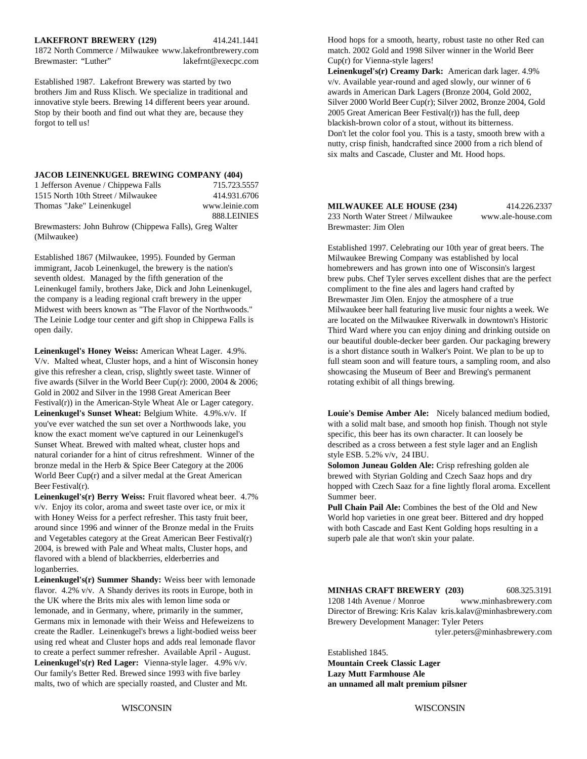#### **LAKEFRONT BREWERY (129)** 414.241.1441

1872 North Commerce / Milwaukee www.lakefrontbrewery.com Brewmaster: "Luther" lakefrnt@execpc.com

innovative style beers. Brewing 14 different beers year around. Stop by their booth and find out what they are, because they 2005 Great American Beer Festival(r)) has the full, deep forgot to tell us! blackish-brown color of a stout, without its bitterness.

#### **JACOB LEINENKUGEL BREWING COMPANY (404)**

| 1 Jefferson Avenue / Chippewa Falls | 715.723.5557   |
|-------------------------------------|----------------|
| 1515 North 10th Street / Milwaukee  | 414.931.6706   |
| Thomas "Jake" Leinenkugel           | www.leinie.com |
|                                     | 888.LEINIES    |

Brewmasters: John Buhrow (Chippewa Falls), Greg Walter (Milwaukee)

Established 1867 (Milwaukee, 1995). Founded by German immigrant, Jacob Leinenkugel, the brewery is the nation's seventh oldest. Managed by the fifth generation of the Leinenkugel family, brothers Jake, Dick and John Leinenkugel, the company is a leading regional craft brewery in the upper Midwest with beers known as "The Flavor of the Northwoods." The Leinie Lodge tour center and gift shop in Chippewa Falls is open daily.

V/v. Malted wheat, Cluster hops, and a hint of Wisconsin honey full steam soon and will feature tours, a sampling room, and also give this refresher a clean, crisp, slightly sweet taste. Winner of showcasing the Museum of Beer and Brewing's permanent five awards (Silver in the World Beer Cup(r): 2000, 2004 & 2006; rotating exhibit of all things brewing. Gold in 2002 and Silver in the 1998 Great American Beer Festival(r)) in the American-Style Wheat Ale or Lager category. **Leinenkugel's Sunset Wheat:** Belgium White. 4.9%.v/v. If **Louie's Demise Amber Ale:** Nicely balanced medium bodied, you've ever watched the sun set over a Northwoods lake, you with a solid malt base, and smooth hop finish. Though not style know the exact moment we've captured in our Leinenkugel's specific, this beer has its own character. It can loosely be Sunset Wheat. Brewed with malted wheat, cluster hops and described as a cross between a fest style lager and an English natural coriander for a hint of citrus refreshment. Winner of the style ESB. 5.2% v/v, 24 IBU. bronze medal in the Herb & Spice Beer Category at the 2006 World Beer Cup(r) and a silver medal at the Great American Beer Festival(r).

**Leinenkugel's(r) Berry Weiss:** Fruit flavored wheat beer. 4.7% Summer beer. v/v. Enjoy its color, aroma and sweet taste over ice, or mix it with Honey Weiss for a perfect refresher. This tasty fruit beer, around since 1996 and winner of the Bronze medal in the Fruits and Vegetables category at the Great American Beer Festival(r) 2004, is brewed with Pale and Wheat malts, Cluster hops, and flavored with a blend of blackberries, elderberries and loganberries.

**Leinenkugel's(r) Summer Shandy:** Weiss beer with lemonade flavor. 4.2% v/v. A Shandy derives its roots in Europe, both in the UK where the Brits mix ales with lemon lime soda or lemonade, and in Germany, where, primarily in the summer, Germans mix in lemonade with their Weiss and Hefeweizens to create the Radler. Leinenkugel's brews a light-bodied weiss beer using red wheat and Cluster hops and adds real lemonade flavor to create a perfect summer refresher. Available April - August. **Leinenkugel's(r) Red Lager:** Vienna-style lager. 4.9% v/v. Our family's Better Red. Brewed since 1993 with five barley malts, two of which are specially roasted, and Cluster and Mt.

Hood hops for a smooth, hearty, robust taste no other Red can match. 2002 Gold and 1998 Silver winner in the World Beer Cup(r) for Vienna-style lagers!

**Leinenkugel's(r) Creamy Dark:** American dark lager. 4.9% Established 1987. Lakefront Brewery was started by two v/v. Available year-round and aged slowly, our winner of 6 brothers Jim and Russ Klisch. We specialize in traditional and awards in American Dark Lagers (Bronze 2004, Gold 2002, innovative style beers. Brewing 14 different beers vear around. Silver 2000 World Beer Cup(r); Silver 2 Don't let the color fool you. This is a tasty, smooth brew with a nutty, crisp finish, handcrafted since 2000 from a rich blend of six malts and Cascade, Cluster and Mt. Hood hops.

> **MILWAUKEE ALE HOUSE (234)** 414.226.2337 233 North Water Street / Milwaukee www.ale-house.com Brewmaster: Jim Olen

Leinenkugel's Honey Weiss: American Wheat Lager. 4.9%. is a short distance south in Walker's Point. We plan to be up to Established 1997. Celebrating our 10th year of great beers. The Milwaukee Brewing Company was established by local homebrewers and has grown into one of Wisconsin's largest brew pubs. Chef Tyler serves excellent dishes that are the perfect compliment to the fine ales and lagers hand crafted by Brewmaster Jim Olen. Enjoy the atmosphere of a true Milwaukee beer hall featuring live music four nights a week. We are located on the Milwaukee Riverwalk in downtown's Historic Third Ward where you can enjoy dining and drinking outside on our beautiful double-decker beer garden. Our packaging brewery

**Solomon Juneau Golden Ale:** Crisp refreshing golden ale brewed with Styrian Golding and Czech Saaz hops and dry hopped with Czech Saaz for a fine lightly floral aroma. Excellent

**Pull Chain Pail Ale:** Combines the best of the Old and New World hop varieties in one great beer. Bittered and dry hopped with both Cascade and East Kent Golding hops resulting in a superb pale ale that won't skin your palate.

#### **MINHAS CRAFT BREWERY (203)** 608.325.3191

1208 14th Avenue / Monroe www.minhasbrewery.com Director of Brewing: Kris Kalav kris.kalav@minhasbrewery.com Brewery Development Manager: Tyler Peters

tyler.peters@minhasbrewery.com

Established 1845.

**Mountain Creek Classic Lager Lazy Mutt Farmhouse Ale an unnamed all malt premium pilsner**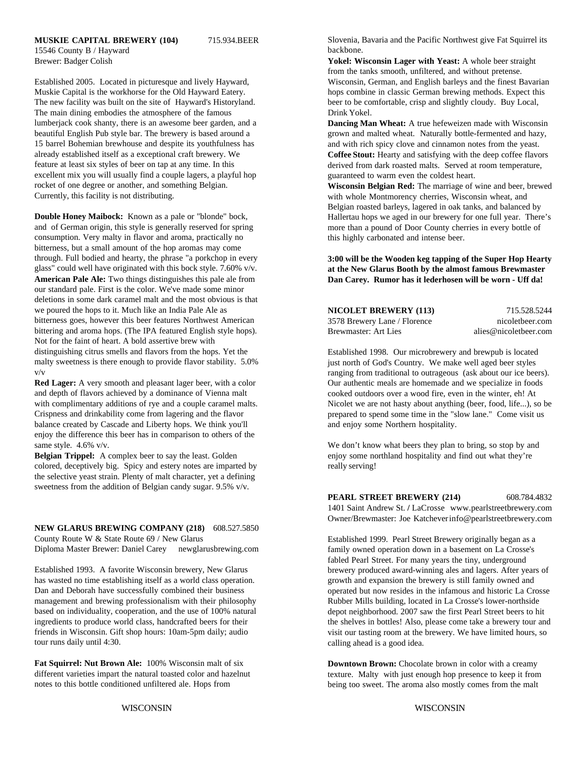#### **MUSKIE CAPITAL BREWERY (104)** 715.934.BEER

15546 County B / Hayward

Muskie Capital is the workhorse for the Old Hayward Eatery. https://www.blops.combine in classic German brewing methods. Expect this The new facility was built on the site of Hayward's Historyland. beer to be comfortable, crisp and slightly cloudy. Buy Local, The main dining embodies the atmosphere of the famous **Drink Yorkel**. lumberjack cook shanty, there is an awesome beer garden, and a beautiful English Pub style bar. The brewery is based around a 15 barrel Bohemian brewhouse and despite its youthfulness has already established itself as a exceptional craft brewery. We feature at least six styles of beer on tap at any time. In this excellent mix you will usually find a couple lagers, a playful hop rocket of one degree or another, and something Belgian. Currently, this facility is not distributing.

**Double Honey Maibock:** Known as a pale or "blonde" bock, and of German origin, this style is generally reserved for spring consumption. Very malty in flavor and aroma, practically no bitterness, but a small amount of the hop aromas may come through. Full bodied and hearty, the phrase "a porkchop in every glass" could well have originated with this bock style. 7.60% v/v. **American Pale Ale:** Two things distinguishes this pale ale from our standard pale. First is the color. We've made some minor deletions in some dark caramel malt and the most obvious is that we poured the hops to it. Much like an India Pale Ale as bitterness goes, however this beer features Northwest American bittering and aroma hops. (The IPA featured English style hops). Not for the faint of heart. A bold assertive brew with distinguishing citrus smells and flavors from the hops. Yet the malty sweetness is there enough to provide flavor stability. 5.0% v/v

**Red Lager:** A very smooth and pleasant lager beer, with a color and depth of flavors achieved by a dominance of Vienna malt with complimentary additions of rye and a couple caramel malts. Crispness and drinkability come from lagering and the flavor balance created by Cascade and Liberty hops. We think you'll enjoy the difference this beer has in comparison to others of the same style. 4.6% v/v.

colored, deceptively big. Spicy and estery notes are imparted by really serving! the selective yeast strain. Plenty of malt character, yet a defining sweetness from the addition of Belgian candy sugar. 9.5% v/v.

**NEW GLARUS BREWING COMPANY (218)** 608.527.5850 County Route W & State Route 69 / New Glarus Diploma Master Brewer: Daniel Carey newglarusbrewing.com

Established 1993. A favorite Wisconsin brewery, New Glarus has wasted no time establishing itself as a world class operation. Dan and Deborah have successfully combined their business management and brewing professionalism with their philosophy based on individuality, cooperation, and the use of 100% natural ingredients to produce world class, handcrafted beers for their friends in Wisconsin. Gift shop hours: 10am-5pm daily; audio tour runs daily until 4:30.

**Fat Squirrel: Nut Brown Ale:** 100% Wisconsin malt of six different varieties impart the natural toasted color and hazelnut notes to this bottle conditioned unfiltered ale. Hops from

Slovenia, Bavaria and the Pacific Northwest give Fat Squirrel its backbone.

Brewer: Badger Colish **Yokel: Wisconsin Lager with Yeast:** A whole beer straight Established 2005. Located in picturesque and lively Hayward, Wisconsin, German, and English barleys and the finest Bavarian from the tanks smooth, unfiltered, and without pretense.

> **Dancing Man Wheat:** A true hefeweizen made with Wisconsin grown and malted wheat. Naturally bottle-fermented and hazy, and with rich spicy clove and cinnamon notes from the yeast. **Coffee Stout:** Hearty and satisfying with the deep coffee flavors derived from dark roasted malts. Served at room temperature, guaranteed to warm even the coldest heart.

**Wisconsin Belgian Red:** The marriage of wine and beer, brewed with whole Montmorency cherries, Wisconsin wheat, and Belgian roasted barleys, lagered in oak tanks, and balanced by Hallertau hops we aged in our brewery for one full year. There's more than a pound of Door County cherries in every bottle of this highly carbonated and intense beer.

**3:00 will be the Wooden keg tapping of the Super Hop Hearty at the New Glarus Booth by the almost famous Brewmaster Dan Carey. Rumor has it lederhosen will be worn - Uff da!**

| <b>NICOLET BREWERY (113)</b> | 715.528.5244          |
|------------------------------|-----------------------|
| 3578 Brewery Lane / Florence | nicoletheer.com       |
| Brewmaster: Art Lies         | alies@nicoletbeer.com |

Established 1998. Our microbrewery and brewpub is located just north of God's Country. We make well aged beer styles ranging from traditional to outrageous (ask about our ice beers). Our authentic meals are homemade and we specialize in foods cooked outdoors over a wood fire, even in the winter, eh! At Nicolet we are not hasty about anything (beer, food, life...), so be prepared to spend some time in the "slow lane." Come visit us and enjoy some Northern hospitality.

**Belgian Trippel:** A complex beer to say the least. Golden enjoy some northland hospitality and find out what they're We don't know what beers they plan to bring, so stop by and

**PEARL STREET BREWERY (214)** 608.784.4832

1401 Saint Andrew St. **/** LaCrosse www.pearlstreetbrewery.com Owner/Brewmaster: Joe Katcheverinfo@pearlstreetbrewery.com

Established 1999. Pearl Street Brewery originally began as a family owned operation down in a basement on La Crosse's fabled Pearl Street. For many years the tiny, underground brewery produced award-winning ales and lagers. After years of growth and expansion the brewery is still family owned and operated but now resides in the infamous and historic La Crosse Rubber Mills building, located in La Crosse's lower-northside depot neighborhood. 2007 saw the first Pearl Street beers to hit the shelves in bottles! Also, please come take a brewery tour and visit our tasting room at the brewery. We have limited hours, so calling ahead is a good idea.

**Downtown Brown:** Chocolate brown in color with a creamy texture. Malty with just enough hop presence to keep it from being too sweet. The aroma also mostly comes from the malt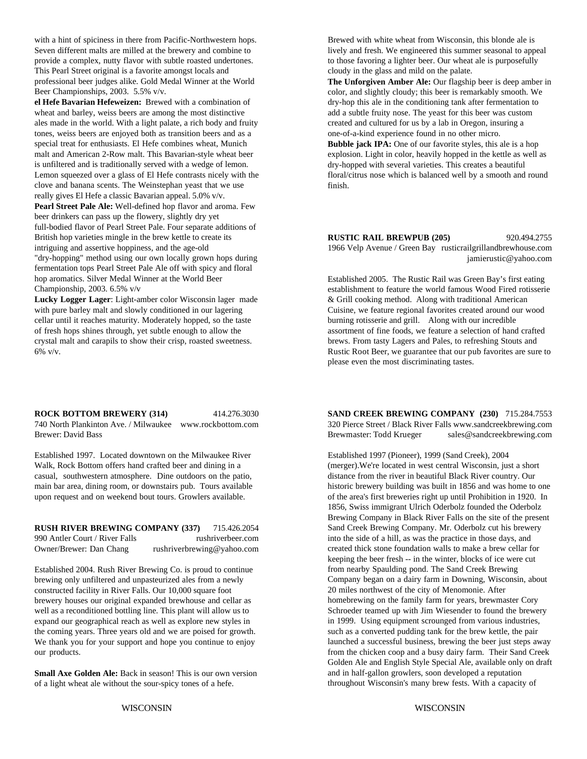with a hint of spiciness in there from Pacific-Northwestern hops. Brewed with white wheat from Wisconsin, this blonde ale is Seven different malts are milled at the brewery and combine to lively and fresh. We engineered this summer seasonal to appeal provide a complex, nutty flavor with subtle roasted undertones. to those favoring a lighter beer. Our wheat ale is purposefully This Pearl Street original is a favorite amongst locals and cloudy in the glass and mild on the palate. professional beer judges alike. Gold Medal Winner at the World Beer Championships, 2003. 5.5% v/v.

**el Hefe Bavarian Hefeweizen:** Brewed with a combination of dry-hop this ale in the conditioning tank after fermentation to wheat and barley, weiss beers are among the most distinctive add a subtle fruity nose. The yeast for this beer was custom<br>ales made in the world. With a light palate, a rich body and fruity reated and cultured for us by a ales made in the world. With a light palate, a rich body and fruity tones, weiss beers are enjoyed both as transition beers and as a one-of-a-kind experience found in no other micro. special treat for enthusiasts. El Hefe combines wheat, Munich malt and American 2-Row malt. This Bavarian-style wheat beer is unfiltered and is traditionally served with a wedge of lemon. Lemon squeezed over a glass of El Hefe contrasts nicely with the clove and banana scents. The Weinstephan yeast that we use really gives El Hefe a classic Bavarian appeal. 5.0% v/v. **Pearl Street Pale Ale:** Well-defined hop flavor and aroma. Few beer drinkers can pass up the flowery, slightly dry yet full-bodied flavor of Pearl Street Pale. Four separate additions of British hop varieties mingle in the brew kettle to create its intriguing and assertive hoppiness, and the age-old "dry-hopping" method using our own locally grown hops during fermentation tops Pearl Street Pale Ale off with spicy and floral hop aromatics. Silver Medal Winner at the World Beer Championship, 2003. 6.5% v/v

with pure barley malt and slowly conditioned in our lagering Cuisine, we feature regional favorites created around our wood cellar until it reaches maturity. Moderately hopped, so the taste burning rotisserie and grill. Along with our incredible of fresh hops shines through, yet subtle enough to allow the assortment of fine foods, we feature a selection of hand crafted crystal malt and carapils to show their crisp, roasted sweetness. brews. From tasty Lagers and Pales, to refreshing Stouts and 6% v/v. Rustic Root Beer, we guarantee that our pub favorites are sure to

740 North Plankinton Ave. / Milwaukee www.rockbottom.com 320 Pierce Street / Black River Falls www.sandcreekbrewing.com

Established 1997. Located downtown on the Milwaukee River Established 1997 (Pioneer), 1999 (Sand Creek), 2004 Walk, Rock Bottom offers hand crafted beer and dining in a (merger). We're located in west central Wisconsin, just a short casual, southwestern atmosphere. Dine outdoors on the patio, distance from the river in beautiful Black River country. Our

**RUSH RIVER BREWING COMPANY (337)** 715.426.2054 990 Antler Court / River Falls rushriverbeer.com Owner/Brewer: Dan Chang rushriverbrewing@yahoo.com

Established 2004. Rush River Brewing Co. is proud to continue brewing only unfiltered and unpasteurized ales from a newly constructed facility in River Falls. Our 10,000 square foot brewery houses our original expanded brewhouse and cellar as well as a reconditioned bottling line. This plant will allow us to expand our geographical reach as well as explore new styles in the coming years. Three years old and we are poised for growth. We thank you for your support and hope you continue to enjoy our products.

**Small Axe Golden Ale:** Back in season! This is our own version of a light wheat ale without the sour-spicy tones of a hefe.

**The Unforgiven Amber Ale:** Our flagship beer is deep amber in color, and slightly cloudy; this beer is remarkably smooth. We

**Bubble jack IPA:** One of our favorite styles, this ale is a hop explosion. Light in color, heavily hopped in the kettle as well as dry-hopped with several varieties. This creates a beautiful floral/citrus nose which is balanced well by a smooth and round finish.

**RUSTIC RAIL BREWPUB (205)** 920.494.2755 1966 Velp Avenue / Green Bay rusticrailgrillandbrewhouse.com jamierustic@yahoo.com

**Lucky Logger Lager**: Light-amber color Wisconsin lager made  $\&$  Grill cooking method. Along with traditional American Established 2005. The Rustic Rail was Green Bay's first eating establishment to feature the world famous Wood Fired rotisserie please even the most discriminating tastes.

**ROCK BOTTOM BREWERY (314)** 414.276.3030 **SAND CREEK BREWING COMPANY (230)** 715.284.7553 Brewer: David Bass Brewmaster: Todd Krueger sales@sandcreekbrewing.com

main bar area, dining room, or downstairs pub. Tours available historic brewery building was built in 1856 and was home to one upon request and on weekend bout tours. Growlers available.  $\qquad \qquad$  of the area's first breweries right up until Prohibition in 1920. In 1856, Swiss immigrant Ulrich Oderbolz founded the Oderbolz Brewing Company in Black River Falls on the site of the present Sand Creek Brewing Company. Mr. Oderbolz cut his brewery into the side of a hill, as was the practice in those days, and created thick stone foundation walls to make a brew cellar for keeping the beer fresh -- in the winter, blocks of ice were cut from nearby Spaulding pond. The Sand Creek Brewing Company began on a dairy farm in Downing, Wisconsin, about 20 miles northwest of the city of Menomonie. After homebrewing on the family farm for years, brewmaster Cory Schroeder teamed up with Jim Wiesender to found the brewery in 1999. Using equipment scrounged from various industries, such as a converted pudding tank for the brew kettle, the pair launched a successful business, brewing the beer just steps away from the chicken coop and a busy dairy farm. Their Sand Creek Golden Ale and English Style Special Ale, available only on draft and in half-gallon growlers, soon developed a reputation throughout Wisconsin's many brew fests. With a capacity of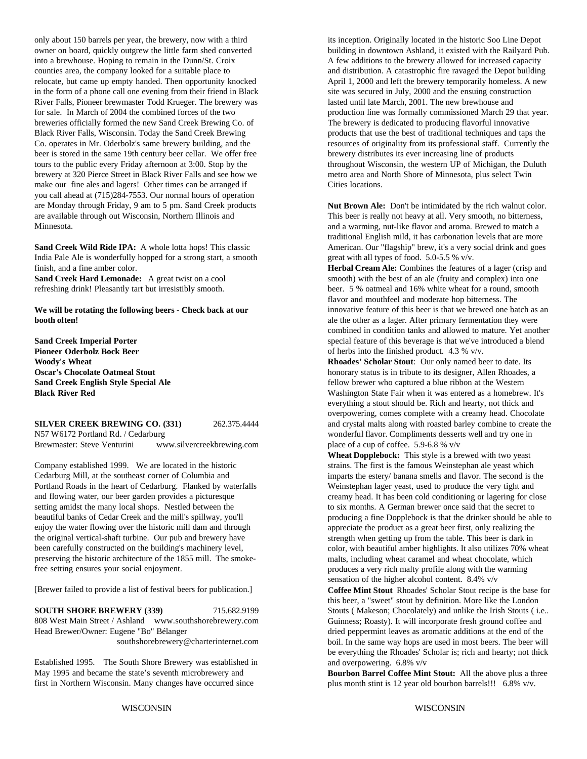only about 150 barrels per year, the brewery, now with a third its inception. Originally located in the historic Soo Line Depot owner on board, quickly outgrew the little farm shed converted building in downtown Ashland, it existed with the Railyard Pub. into a brewhouse. Hoping to remain in the Dunn/St. Croix A few additions to the brewery allowed for increased capacity counties area, the company looked for a suitable place to and distribution. A catastrophic fire ravaged the Depot building relocate, but came up empty handed. Then opportunity knocked April 1, 2000 and left the brewery temporarily homeless. A new<br>in the form of a phone call one evening from their friend in Black site was secured in July, 2000 in the form of a phone call one evening from their friend in Black River Falls, Pioneer brewmaster Todd Krueger. The brewery was lasted until late March, 2001. The new brewhouse and for sale. In March of 2004 the combined forces of the two production line was formally commissioned March 29 that year. breweries officially formed the new Sand Creek Brewing Co. of The brewery is dedicated to producing flavorful innovative Black River Falls, Wisconsin. Today the Sand Creek Brewing products that use the best of traditional techniques and taps the Co. operates in Mr. Oderbolz's same brewery building, and the resources of originality from its professional staff. Currently the beer is stored in the same 19th century beer cellar. We offer free brewery distributes its ever increasing line of products tours to the public every Friday afternoon at 3:00. Stop by the throughout Wisconsin, the western UP of Michigan, the Duluth brewery at 320 Pierce Street in Black River Falls and see how we metro area and North Shore of Minnesota, plus select Twin make our fine ales and lagers! Other times can be arranged if Cities locations. you call ahead at (715)284-7553. Our normal hours of operation are Monday through Friday, 9 am to 5 pm. Sand Creek products are available through out Wisconsin, Northern Illinois and Minnesota.

India Pale Ale is wonderfully hopped for a strong start, a smooth great with all types of food. 5.0-5.5 % v/v. finish, and a fine amber color.

**We will be rotating the following beers - Check back at our booth often!**

**Sand Creek Imperial Porter Pioneer Oderbolz Bock Beer**

N57 W6172 Portland Rd. / Cedarburg wonderful flavor. Compliments desserts well and try one in Brewmaster: Steve Venturini www.silvercreekbrewing.com place of a cup of coffee. 5.9-6.8 % v/v

Company established 1999. We are located in the historic Cedarburg Mill, at the southeast corner of Columbia and Portland Roads in the heart of Cedarburg. Flanked by waterfalls and flowing water, our beer garden provides a picturesque setting amidst the many local shops. Nestled between the beautiful banks of Cedar Creek and the mill's spillway, you'll enjoy the water flowing over the historic mill dam and through the original vertical-shaft turbine. Our pub and brewery have been carefully constructed on the building's machinery level, preserving the historic architecture of the 1855 mill. The smokefree setting ensures your social enjoyment.

[Brewer failed to provide a list of festival beers for publication.]

**SOUTH SHORE BREWERY (339)** 715.682.9199 808 West Main Street / Ashland www.southshorebrewery.com Head Brewer/Owner: Eugene "Bo" Bélanger

southshorebrewery@charterinternet.com

Established 1995. The South Shore Brewery was established in May 1995 and became the state's seventh microbrewery and first in Northern Wisconsin. Many changes have occurred since

Sand Creek Wild Ride IPA: A whole lotta hops! This classic American. Our "flagship" brew, it's a very social drink and goes **Nut Brown Ale:** Don't be intimidated by the rich walnut color. This beer is really not heavy at all. Very smooth, no bitterness, and a warming, nut-like flavor and aroma. Brewed to match a traditional English mild, it has carbonation levels that are more

**Sand Creek Hard Lemonade:** A great twist on a cool smooth) with the best of an ale (fruity and complex) into one refreshing drink! Pleasantly tart but irresistibly smooth. beer. 5 % oatmeal and 16% white wheat for a round, smooth **Herbal Cream Ale:** Combines the features of a lager (crisp and flavor and mouthfeel and moderate hop bitterness. The innovative feature of this beer is that we brewed one batch as an ale the other as a lager. After primary fermentation they were combined in condition tanks and allowed to mature. Yet another special feature of this beverage is that we've introduced a blend of herbs into the finished product. 4.3 % v/v.

**Woody's Wheat Rhoades' Scholar Stout**: Our only named beer to date. Its **Oscar's Chocolate Oatmeal Stout honorary status is in tribute to its designer.** Allen Rhoades, a **Sand Creek English Style Special Ale fellow** brewer who captured a blue ribbon at the Western **Black River Red** Washington State Fair when it was entered as a homebrew. It's **SILVER CREEK BREWING CO. (331)** 262.375.4444 and crystal malts along with roasted barley combine to create the everything a stout should be. Rich and hearty, not thick and overpowering, comes complete with a creamy head. Chocolate

> **Wheat Dopplebock:** This style is a brewed with two yeast strains. The first is the famous Weinstephan ale yeast which imparts the estery/ banana smells and flavor. The second is the Weinstephan lager yeast, used to produce the very tight and creamy head. It has been cold conditioning or lagering for close to six months. A German brewer once said that the secret to producing a fine Dopplebock is that the drinker should be able to appreciate the product as a great beer first, only realizing the strength when getting up from the table. This beer is dark in color, with beautiful amber highlights. It also utilizes 70% wheat malts, including wheat caramel and wheat chocolate, which produces a very rich malty profile along with the warming sensation of the higher alcohol content. 8.4% v/v

> **Coffee Mint Stout** Rhoades' Scholar Stout recipe is the base for this beer, a "sweet" stout by definition. More like the London Stouts ( Makeson; Chocolately) and unlike the Irish Stouts ( i.e.. Guinness; Roasty). It will incorporate fresh ground coffee and dried peppermint leaves as aromatic additions at the end of the boil. In the same way hops are used in most beers. The beer will be everything the Rhoades' Scholar is; rich and hearty; not thick and overpowering. 6.8% v/v

**Bourbon Barrel Coffee Mint Stout:** All the above plus a three plus month stint is 12 year old bourbon barrels!!! 6.8% v/v.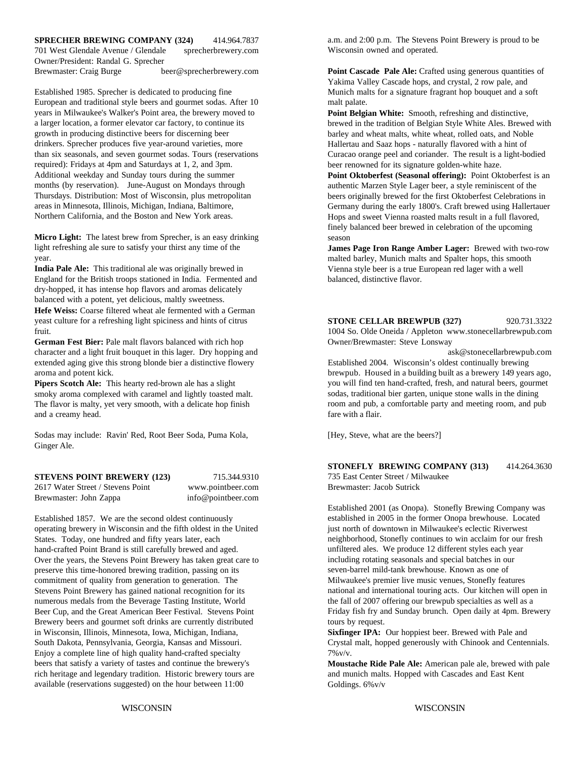### **SPRECHER BREWING COMPANY (324)** 414.964.7837

701 West Glendale Avenue / Glendale sprecherbrewery.com Owner/President: Randal G. Sprecher Brewmaster: Craig Burge beer@sprecherbrewery.com **Point Cascade Pale Ale:** Crafted using generous quantities of

European and traditional style beers and gourmet sodas. After 10 malt palate. years in Milwaukee's Walker's Point area, the brewery moved to a larger location, a former elevator car factory, to continue its growth in producing distinctive beers for discerning beer drinkers. Sprecher produces five year-around varieties, more than six seasonals, and seven gourmet sodas. Tours (reservations required): Fridays at 4pm and Saturdays at 1, 2, and 3pm. Additional weekday and Sunday tours during the summer months (by reservation). June-August on Mondays through Thursdays. Distribution: Most of Wisconsin, plus metropolitan areas in Minnesota, Illinois, Michigan, Indiana, Baltimore, Northern California, and the Boston and New York areas.

**Micro Light:** The latest brew from Sprecher, is an easy drinking light refreshing ale sure to satisfy your thirst any time of the year.

**India Pale Ale:** This traditional ale was originally brewed in England for the British troops stationed in India. Fermented and dry-hopped, it has intense hop flavors and aromas delicately balanced with a potent, yet delicious, maltly sweetness. **Hefe Weiss:** Coarse filtered wheat ale fermented with a German yeast culture for a refreshing light spiciness and hints of citrus fruit.

**German Fest Bier:** Pale malt flavors balanced with rich hop Owner/Brewmaster: Steve Lonsway character and a light fruit bouquet in this lager. Dry hopping and ask@stonecellarbrewpub.com extended aging give this strong blonde bier a distinctive flowery Established 2004. Wisconsin's oldest continually brewing

**Pipers Scotch Ale:** This hearty red-brown ale has a slight smoky aroma complexed with caramel and lightly toasted malt. The flavor is malty, yet very smooth, with a delicate hop finish and a creamy head.

Sodas may include: Ravin' Red, Root Beer Soda, Puma Kola, Ginger Ale.

**STEVENS POINT BREWERY (123)** 715.344.9310 2617 Water Street / Stevens Point www.pointbeer.com

Brewmaster: John Zappa info@pointbeer.com

Established 1857. We are the second oldest continuously operating brewery in Wisconsin and the fifth oldest in the United States. Today, one hundred and fifty years later, each hand-crafted Point Brand is still carefully brewed and aged. Over the years, the Stevens Point Brewery has taken great care to preserve this time-honored brewing tradition, passing on its commitment of quality from generation to generation. The Stevens Point Brewery has gained national recognition for its numerous medals from the Beverage Tasting Institute, World Beer Cup, and the Great American Beer Festival. Stevens Point Brewery beers and gourmet soft drinks are currently distributed in Wisconsin, Illinois, Minnesota, Iowa, Michigan, Indiana, **Sixfinger IPA:** Our hoppiest beer. Brewed with Pale and South Dakota, Pennsylvania, Georgia, Kansas and Missouri. Crystal malt, hopped generously with Chinook and Centennials. Enjoy a complete line of high quality hand-crafted specialty  $7\%$   $\frac{y}{y}$ . beers that satisfy a variety of tastes and continue the brewery's rich heritage and legendary tradition. Historic brewery tours are available (reservations suggested) on the hour between 11:00

a.m. and 2:00 p.m. The Stevens Point Brewery is proud to be Wisconsin owned and operated.

Established 1985. Sprecher is dedicated to producing fine Munich malts for a signature fragrant hop bouquet and a soft Yakima Valley Cascade hops, and crystal, 2 row pale, and

> **Point Belgian White:** Smooth, refreshing and distinctive, brewed in the tradition of Belgian Style White Ales. Brewed with barley and wheat malts, white wheat, rolled oats, and Noble Hallertau and Saaz hops - naturally flavored with a hint of Curacao orange peel and coriander. The result is a light-bodied beer renowned for its signature golden-white haze.

> **Point Oktoberfest (Seasonal offering):** Point Oktoberfest is an authentic Marzen Style Lager beer, a style reminiscent of the beers originally brewed for the first Oktoberfest Celebrations in Germany during the early 1800's. Craft brewed using Hallertauer Hops and sweet Vienna roasted malts result in a full flavored, finely balanced beer brewed in celebration of the upcoming season

> **James Page Iron Range Amber Lager:** Brewed with two-row malted barley, Munich malts and Spalter hops, this smooth Vienna style beer is a true European red lager with a well balanced, distinctive flavor.

#### **STONE CELLAR BREWPUB (327)** 920.731.3322

1004 So. Olde Oneida / Appleton www.stonecellarbrewpub.com

aroma and potent kick. brewpub. Housed in a building built as a brewery 149 years ago, you will find ten hand-crafted, fresh, and natural beers, gourmet sodas, traditional bier garten, unique stone walls in the dining room and pub, a comfortable party and meeting room, and pub fare with a flair.

[Hey, Steve, what are the beers?]

### **STONEFLY BREWING COMPANY (313)** 414.264.3630

735 East Center Street / Milwaukee Brewmaster: Jacob Sutrick

Established 2001 (as Onopa). Stonefly Brewing Company was established in 2005 in the former Onopa brewhouse. Located just north of downtown in Milwaukee's eclectic Riverwest neighborhood, Stonefly continues to win acclaim for our fresh unfiltered ales. We produce 12 different styles each year including rotating seasonals and special batches in our seven-barrel mild-tank brewhouse. Known as one of Milwaukee's premier live music venues, Stonefly features national and international touring acts. Our kitchen will open in the fall of 2007 offering our brewpub specialties as well as a Friday fish fry and Sunday brunch. Open daily at 4pm. Brewery tours by request.

**Moustache Ride Pale Ale:** American pale ale, brewed with pale and munich malts. Hopped with Cascades and East Kent Goldings. 6%v/v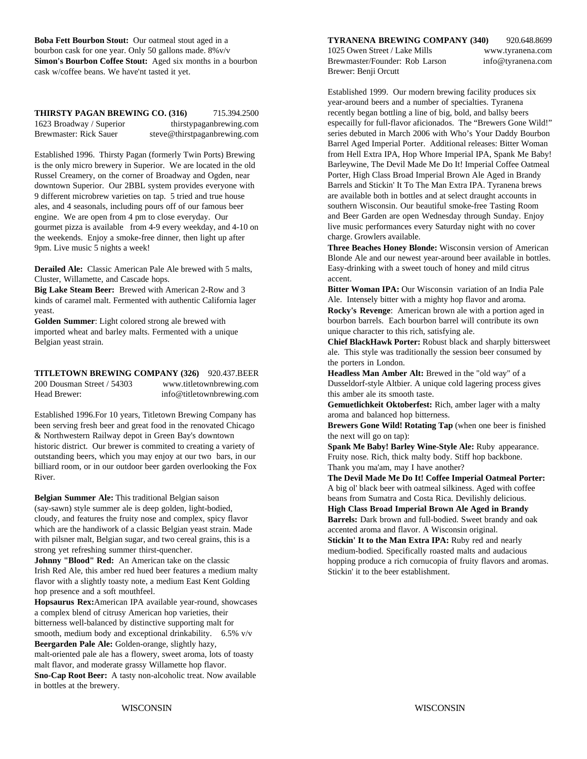**Boba Fett Bourbon Stout:** Our oatmeal stout aged in a **TYRANENA BREWING COMPANY (340)** 920.648.8699 bourbon cask for one year. Only 50 gallons made.  $8\%v/v$  1025 Owen Street / Lake Mills www.tyranena.com **Simon's Bourbon Coffee Stout:** Aged six months in a bourbon cask w/coffee beans. We have'nt tasted it yet.

**THIRSTY PAGAN BREWING CO. (316)** 715.394.2500 1623 Broadway / Superior thirstypaganbrewing.com Brewmaster: Rick Sauer steve@thirstpaganbrewing.com

Established 1996. Thirsty Pagan (formerly Twin Ports) Brewing is the only micro brewery in Superior. We are located in the old Russel Creamery, on the corner of Broadway and Ogden, near downtown Superior. Our 2BBL system provides everyone with 9 different microbrew varieties on tap. 5 tried and true house ales, and 4 seasonals, including pours off of our famous beer engine. We are open from 4 pm to close everyday. Our gourmet pizza is available from 4-9 every weekday, and 4-10 on the weekends. Enjoy a smoke-free dinner, then light up after 9pm. Live music 5 nights a week!

**Derailed Ale:** Classic American Pale Ale brewed with 5 malts, Cluster, Willamette, and Cascade hops.

**Big Lake Steam Beer:** Brewed with American 2-Row and 3 kinds of caramel malt. Fermented with authentic California lager yeast.

**Golden Summer**: Light colored strong ale brewed with imported wheat and barley malts. Fermented with a unique Belgian yeast strain.

**TITLETOWN BREWING COMPANY (326)** 920.437.BEER 200 Dousman Street / 54303 www.titletownbrewing.com Head Brewer: info@titletownbrewing.com

Established 1996.For 10 years, Titletown Brewing Company has aroma and balanced hop bitterness. been serving fresh beer and great food in the renovated Chicago & Northwestern Railway depot in Green Bay's downtown historic district. Our brewer is commited to creating a variety of outstanding beers, which you may enjoy at our two bars, in our billiard room, or in our outdoor beer garden overlooking the Fox River.

**Belgian Summer Ale:** This traditional Belgian saison (say-sawn) style summer ale is deep golden, light-bodied, cloudy, and features the fruity nose and complex, spicy flavor which are the handiwork of a classic Belgian yeast strain. Made with pilsner malt, Belgian sugar, and two cereal grains, this is a strong yet refreshing summer thirst-quencher.

**Johnny "Blood" Red:** An American take on the classic Irish Red Ale, this amber red hued beer features a medium malty flavor with a slightly toasty note, a medium East Kent Golding hop presence and a soft mouthfeel.

**Hopsaurus Rex:**American IPA available year-round, showcases a complex blend of citrusy American hop varieties, their bitterness well-balanced by distinctive supporting malt for smooth, medium body and exceptional drinkability. 6.5% v/v **Beergarden Pale Ale:** Golden-orange, slightly hazy, malt-oriented pale ale has a flowery, sweet aroma, lots of toasty

malt flavor, and moderate grassy Willamette hop flavor. **Sno-Cap Root Beer:** A tasty non-alcoholic treat. Now available in bottles at the brewery.

Brewmaster/Founder: Rob Larson info@tyranena.com Brewer: Benji Orcutt

Established 1999. Our modern brewing facility produces six year-around beers and a number of specialties. Tyranena recently began bottling a line of big, bold, and ballsy beers especailly for full-flavor aficionados. The "Brewers Gone Wild!" series debuted in March 2006 with Who's Your Daddy Bourbon Barrel Aged Imperial Porter. Additional releases: Bitter Woman from Hell Extra IPA, Hop Whore Imperial IPA, Spank Me Baby! Barleywine, The Devil Made Me Do It! Imperial Coffee Oatmeal Porter, High Class Broad Imperial Brown Ale Aged in Brandy Barrels and Stickin' It To The Man Extra IPA. Tyranena brews are available both in bottles and at select draught accounts in southern Wisconsin. Our beautiful smoke-free Tasting Room and Beer Garden are open Wednesday through Sunday. Enjoy live music performances every Saturday night with no cover charge. Growlers available.

**Three Beaches Honey Blonde:** Wisconsin version of American Blonde Ale and our newest year-around beer available in bottles. Easy-drinking with a sweet touch of honey and mild citrus accent.

**Bitter Woman IPA:** Our Wisconsin variation of an India Pale Ale. Intensely bitter with a mighty hop flavor and aroma.

**Rocky's Revenge**: American brown ale with a portion aged in bourbon barrels. Each bourbon barrel will contribute its own unique character to this rich, satisfying ale.

**Chief BlackHawk Porter:** Robust black and sharply bittersweet ale. This style was traditionally the session beer consumed by the porters in London.

**Headless Man Amber Alt:** Brewed in the "old way" of a Dusseldorf-style Altbier. A unique cold lagering process gives this amber ale its smooth taste.

**Gemuetlichkeit Oktoberfest:** Rich, amber lager with a malty

**Brewers Gone Wild! Rotating Tap** (when one beer is finished the next will go on tap):

**Spank Me Baby! Barley Wine-Style Ale:** Ruby appearance. Fruity nose. Rich, thick malty body. Stiff hop backbone. Thank you ma'am, may I have another?

**The Devil Made Me Do It! Coffee Imperial Oatmeal Porter:** A big ol' black beer with oatmeal silkiness. Aged with coffee beans from Sumatra and Costa Rica. Devilishly delicious.

**High Class Broad Imperial Brown Ale Aged in Brandy Barrels:** Dark brown and full-bodied. Sweet brandy and oak accented aroma and flavor. A Wisconsin original.

**Stickin' It to the Man Extra IPA:** Ruby red and nearly medium-bodied. Specifically roasted malts and audacious hopping produce a rich cornucopia of fruity flavors and aromas. Stickin' it to the beer establishment.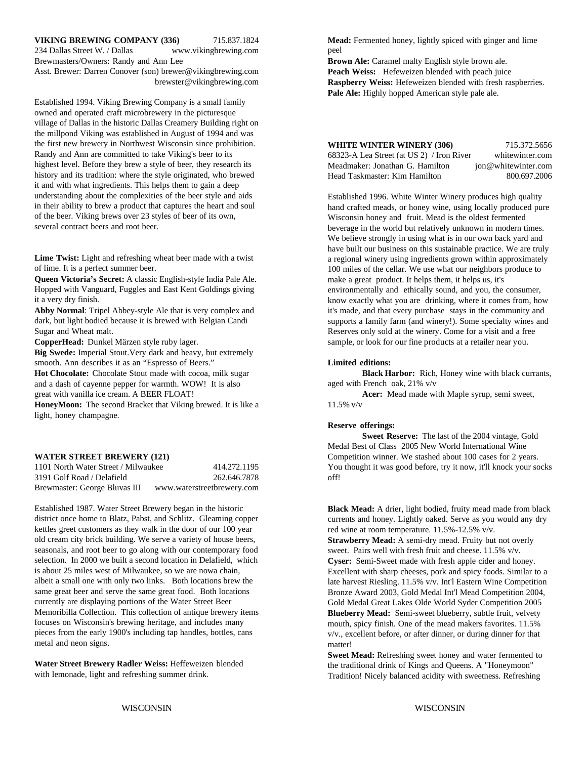### **VIKING BREWING COMPANY (336)** 715.837.1824 **Mead:** Fermented honey, lightly spiced with ginger and lime

234 Dallas Street W. / Dallas www.vikingbrewing.com Brewmasters/Owners: Randy and Ann Lee **Brown Ale: Caramel malty English style brown ale.** Asst. Brewer: Darren Conover (son) brewer@vikingbrewing.com brewster@vikingbrewing.com

Established 1994. Viking Brewing Company is a small family owned and operated craft microbrewery in the picturesque village of Dallas in the historic Dallas Creamery Building right on the millpond Viking was established in August of 1994 and was the first new brewery in Northwest Wisconsin since prohibition. Randy and Ann are committed to take Viking's beer to its highest level. Before they brew a style of beer, they research its history and its tradition: where the style originated, who brewed it and with what ingredients. This helps them to gain a deep understanding about the complexities of the beer style and aids in their ability to brew a product that captures the heart and soul of the beer. Viking brews over 23 styles of beer of its own, several contract beers and root beer.

**Lime Twist:** Light and refreshing wheat beer made with a twist of lime. It is a perfect summer beer.

**Queen Victoria's Secret:** A classic English-style India Pale Ale. Hopped with Vanguard, Fuggles and East Kent Goldings giving it a very dry finish.

**Abby Normal**: Tripel Abbey-style Ale that is very complex and dark, but light bodied because it is brewed with Belgian Candi Sugar and Wheat malt.

**Big Swede:** Imperial Stout.Very dark and heavy, but extremely smooth. Ann describes it as an "Espresso of Beers." **Limited editions:**

**Hot Chocolate:** Chocolate Stout made with cocoa, milk sugar and a dash of cayenne pepper for warmth. WOW! It is also great with vanilla ice cream. A BEER FLOAT! **Acer:** Mead made with Maple syrup, semi sweet,

**HoneyMoon:** The second Bracket that Viking brewed. It is like a light, honey champagne.

#### **WATER STREET BREWERY (121)**

| 1101 North Water Street / Milwaukee | 414.272.1195               | You  |
|-------------------------------------|----------------------------|------|
| 3191 Golf Road / Delafield          | 262.646.7878               | off! |
| Brewmaster: George Bluvas III       | www.waterstreetbrewery.com |      |

Established 1987. Water Street Brewery began in the historic district once home to Blatz, Pabst, and Schlitz. Gleaming copper kettles greet customers as they walk in the door of our 100 year old cream city brick building. We serve a variety of house beers, seasonals, and root beer to go along with our contemporary food selection. In 2000 we built a second location in Delafield, which is about 25 miles west of Milwaukee, so we are nowa chain, albeit a small one with only two links. Both locations brew the same great beer and serve the same great food. Both locations currently are displaying portions of the Water Street Beer Memoribilla Collection. This collection of antique brewery items focuses on Wisconsin's brewing heritage, and includes many pieces from the early 1900's including tap handles, bottles, cans metal and neon signs.

**Water Street Brewery Radler Weiss:** Heffeweizen blended with lemonade, light and refreshing summer drink.

peel

**Peach Weiss:** Hefeweizen blended with peach juice **Raspberry Weiss:** Hefeweizen blended with fresh raspberries. Pale Ale: Highly hopped American style pale ale.

| <b>WHITE WINTER WINERY (306)</b>          | 715.372.5656        |
|-------------------------------------------|---------------------|
| 68323-A Lea Street (at US 2) / Iron River | whitewinter.com     |
| Meadmaker: Jonathan G. Hamilton           | jon@whitewinter.com |
| Head Taskmaster: Kim Hamilton             | 800.697.2006        |

**CopperHead:** Dunkel Märzen style ruby lager. Sample, or look for our fine products at a retailer near you. Established 1996. White Winter Winery produces high quality hand crafted meads, or honey wine, using locally produced pure Wisconsin honey and fruit. Mead is the oldest fermented beverage in the world but relatively unknown in modern times. We believe strongly in using what is in our own back yard and have built our business on this sustainable practice. We are truly a regional winery using ingredients grown within approximately 100 miles of the cellar. We use what our neighbors produce to make a great product. It helps them, it helps us, it's environmentally and ethically sound, and you, the consumer, know exactly what you are drinking, where it comes from, how it's made, and that every purchase stays in the community and supports a family farm (and winery!). Some specialty wines and Reserves only sold at the winery. Come for a visit and a free

**Black Harbor:** Rich, Honey wine with black currants, aged with French oak, 21% v/v

11.5% v/v

#### **Reserve offerings:**

You thought it was good before, try it now, it'll knock your socks **Sweet Reserve:** The last of the 2004 vintage, Gold Medal Best of Class 2005 New World International Wine Competition winner. We stashed about 100 cases for 2 years.

**Black Mead:** A drier, light bodied, fruity mead made from black currents and honey. Lightly oaked. Serve as you would any dry red wine at room temperature. 11.5%-12.5% v/v.

**Strawberry Mead:** A semi-dry mead. Fruity but not overly sweet. Pairs well with fresh fruit and cheese. 11.5% v/v. **Cyser:** Semi-Sweet made with fresh apple cider and honey. Excellent with sharp cheeses, pork and spicy foods. Similar to a late harvest Riesling. 11.5% v/v. Int'l Eastern Wine Competition Bronze Award 2003, Gold Medal Int'l Mead Competition 2004, Gold Medal Great Lakes Olde World Syder Competition 2005 **Blueberry Mead:** Semi-sweet blueberry, subtle fruit, velvety mouth, spicy finish. One of the mead makers favorites. 11.5% v/v., excellent before, or after dinner, or during dinner for that matter!

**Sweet Mead:** Refreshing sweet honey and water fermented to the traditional drink of Kings and Queens. A "Honeymoon" Tradition! Nicely balanced acidity with sweetness. Refreshing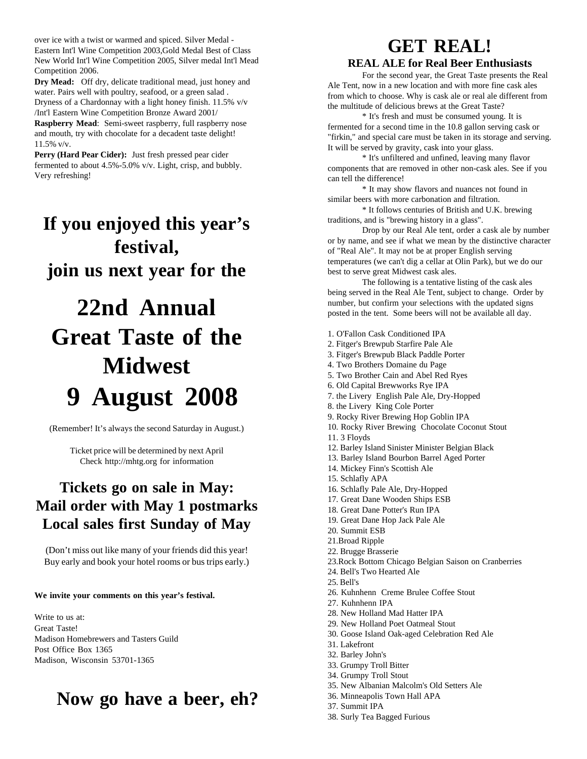over ice with a twist or warmed and spiced. Silver Medal - Eastern Int'l Wine Competition 2003,Gold Medal Best of Class New World Int'l Wine Competition 2005, Silver medal Int'l Mead Competition 2006.

**Dry Mead:** Off dry, delicate traditional mead, just honey and water. Pairs well with poultry, seafood, or a green salad . Dryness of a Chardonnay with a light honey finish. 11.5% v/v /Int'l Eastern Wine Competition Bronze Award 2001/

**Raspberry Mead**: Semi-sweet raspberry, full raspberry nose and mouth, try with chocolate for a decadent taste delight! 11.5% v/v.

**Perry (Hard Pear Cider):** Just fresh pressed pear cider fermented to about 4.5%-5.0% v/v. Light, crisp, and bubbly. Very refreshing!

# **If you enjoyed this year's festival, join us next year for the**

# **22nd Annual Great Taste of the Midwest 9 August 2008**

(Remember! It's always the second Saturday in August.)

Ticket price will be determined by next April Check http://mhtg.org for information

# **Tickets go on sale in May: Mail order with May 1 postmarks Local sales first Sunday of May**

(Don't miss out like many of your friends did this year! Buy early and book your hotel rooms or bus trips early.)

**We invite your comments on this year's festival.**

Write to us at: Great Taste! Madison Homebrewers and Tasters Guild Post Office Box 1365 Madison, Wisconsin 53701-1365

# **Now go have a beer, eh?**

# **GET REAL!**

### **REAL ALE for Real Beer Enthusiasts**

For the second year, the Great Taste presents the Real Ale Tent, now in a new location and with more fine cask ales from which to choose. Why is cask ale or real ale different from the multitude of delicious brews at the Great Taste?

\* It's fresh and must be consumed young. It is fermented for a second time in the 10.8 gallon serving cask or "firkin," and special care must be taken in its storage and serving. It will be served by gravity, cask into your glass.

\* It's unfiltered and unfined, leaving many flavor components that are removed in other non-cask ales. See if you can tell the difference!

\* It may show flavors and nuances not found in similar beers with more carbonation and filtration.

\* It follows centuries of British and U.K. brewing traditions, and is "brewing history in a glass".

Drop by our Real Ale tent, order a cask ale by number or by name, and see if what we mean by the distinctive character of "Real Ale". It may not be at proper English serving temperatures (we can't dig a cellar at Olin Park), but we do our best to serve great Midwest cask ales.

The following is a tentative listing of the cask ales being served in the Real Ale Tent, subject to change. Order by number, but confirm your selections with the updated signs posted in the tent. Some beers will not be available all day.

- 1. O'Fallon Cask Conditioned IPA
- 2. Fitger's Brewpub Starfire Pale Ale
- 3. Fitger's Brewpub Black Paddle Porter
- 4. Two Brothers Domaine du Page
- 5. Two Brother Cain and Abel Red Ryes
- 6. Old Capital Brewworks Rye IPA
- 7. the Livery English Pale Ale, Dry-Hopped
- 8. the Livery King Cole Porter
- 9. Rocky River Brewing Hop Goblin IPA
- 10. Rocky River Brewing Chocolate Coconut Stout 11. 3 Floyds
- 12. Barley Island Sinister Minister Belgian Black
- 13. Barley Island Bourbon Barrel Aged Porter
- 14. Mickey Finn's Scottish Ale
- 15. Schlafly APA
- 16. Schlafly Pale Ale, Dry-Hopped
- 17. Great Dane Wooden Ships ESB
- 18. Great Dane Potter's Run IPA
- 19. Great Dane Hop Jack Pale Ale
- 20. Summit ESB
- 21.Broad Ripple
- 22. Brugge Brasserie
- 23.Rock Bottom Chicago Belgian Saison on Cranberries
- 24. Bell's Two Hearted Ale
- 25. Bell's
- 26. Kuhnhenn Creme Brulee Coffee Stout
- 27. Kuhnhenn IPA
- 28. New Holland Mad Hatter IPA
- 29. New Holland Poet Oatmeal Stout
- 30. Goose Island Oak-aged Celebration Red Ale
- 31. Lakefront
- 32. Barley John's
- 33. Grumpy Troll Bitter
- 34. Grumpy Troll Stout
- 35. New Albanian Malcolm's Old Setters Ale
- 36. Minneapolis Town Hall APA
- 37. Summit IPA
- 38. Surly Tea Bagged Furious